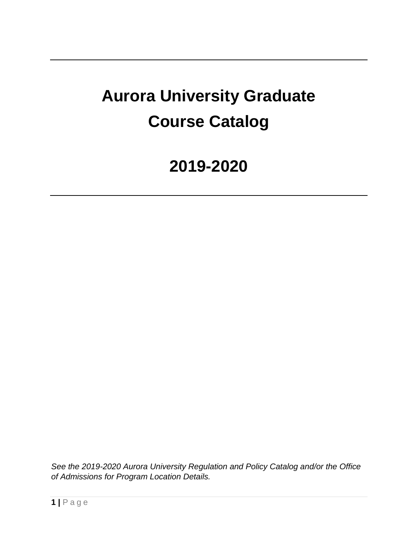# **Aurora University Graduate Course Catalog**

## **2019-2020**

*See the 2019-2020 Aurora University Regulation and Policy Catalog and/or the Office of Admissions for Program Location Details.*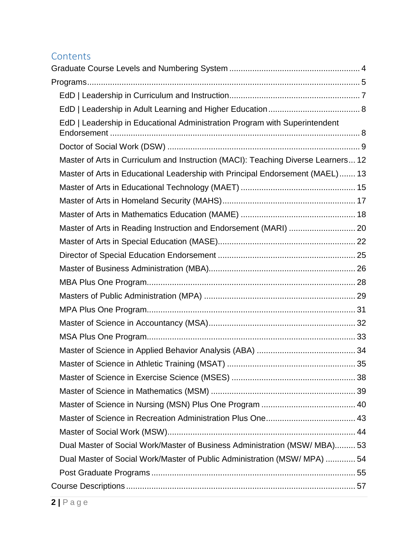## **Contents**

| EdD   Leadership in Educational Administration Program with Superintendent        |  |
|-----------------------------------------------------------------------------------|--|
|                                                                                   |  |
| Master of Arts in Curriculum and Instruction (MACI): Teaching Diverse Learners 12 |  |
| Master of Arts in Educational Leadership with Principal Endorsement (MAEL) 13     |  |
|                                                                                   |  |
|                                                                                   |  |
|                                                                                   |  |
| Master of Arts in Reading Instruction and Endorsement (MARI)  20                  |  |
|                                                                                   |  |
|                                                                                   |  |
|                                                                                   |  |
|                                                                                   |  |
|                                                                                   |  |
|                                                                                   |  |
|                                                                                   |  |
|                                                                                   |  |
|                                                                                   |  |
|                                                                                   |  |
|                                                                                   |  |
|                                                                                   |  |
|                                                                                   |  |
|                                                                                   |  |
|                                                                                   |  |
| Dual Master of Social Work/Master of Business Administration (MSW/ MBA) 53        |  |
| Dual Master of Social Work/Master of Public Administration (MSW/ MPA)  54         |  |
|                                                                                   |  |
|                                                                                   |  |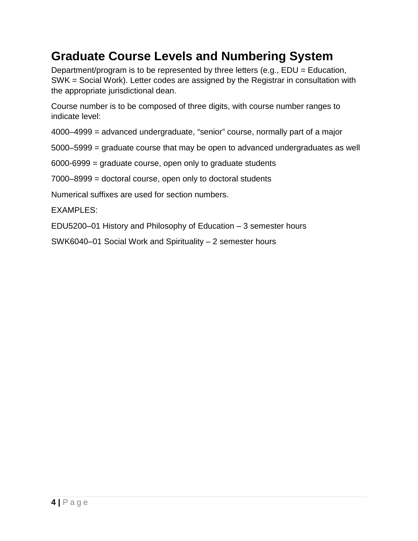## <span id="page-3-0"></span>**Graduate Course Levels and Numbering System**

Department/program is to be represented by three letters (e.g., EDU = Education, SWK = Social Work). Letter codes are assigned by the Registrar in consultation with the appropriate jurisdictional dean.

Course number is to be composed of three digits, with course number ranges to indicate level:

4000–4999 = advanced undergraduate, "senior" course, normally part of a major

5000–5999 = graduate course that may be open to advanced undergraduates as well

6000-6999 = graduate course, open only to graduate students

7000–8999 = doctoral course, open only to doctoral students

Numerical suffixes are used for section numbers.

EXAMPLES:

EDU5200–01 History and Philosophy of Education – 3 semester hours

SWK6040–01 Social Work and Spirituality – 2 semester hours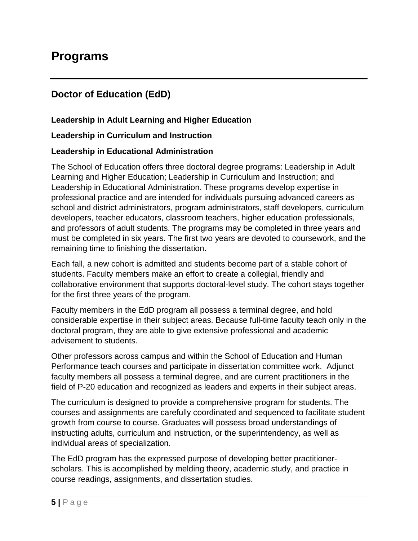## <span id="page-4-0"></span>**Doctor of Education (EdD)**

#### **Leadership in Adult Learning and Higher Education**

#### **Leadership in Curriculum and Instruction**

#### **Leadership in Educational Administration**

The School of Education offers three doctoral degree programs: Leadership in Adult Learning and Higher Education; Leadership in Curriculum and Instruction; and Leadership in Educational Administration. These programs develop expertise in professional practice and are intended for individuals pursuing advanced careers as school and district administrators, program administrators, staff developers, curriculum developers, teacher educators, classroom teachers, higher education professionals, and professors of adult students. The programs may be completed in three years and must be completed in six years. The first two years are devoted to coursework, and the remaining time to finishing the dissertation.

Each fall, a new cohort is admitted and students become part of a stable cohort of students. Faculty members make an effort to create a collegial, friendly and collaborative environment that supports doctoral-level study. The cohort stays together for the first three years of the program.

Faculty members in the EdD program all possess a terminal degree, and hold considerable expertise in their subject areas. Because full-time faculty teach only in the doctoral program, they are able to give extensive professional and academic advisement to students.

Other professors across campus and within the School of Education and Human Performance teach courses and participate in dissertation committee work. Adjunct faculty members all possess a terminal degree, and are current practitioners in the field of P-20 education and recognized as leaders and experts in their subject areas.

The curriculum is designed to provide a comprehensive program for students. The courses and assignments are carefully coordinated and sequenced to facilitate student growth from course to course. Graduates will possess broad understandings of instructing adults, curriculum and instruction, or the superintendency, as well as individual areas of specialization.

The EdD program has the expressed purpose of developing better practitionerscholars. This is accomplished by melding theory, academic study, and practice in course readings, assignments, and dissertation studies.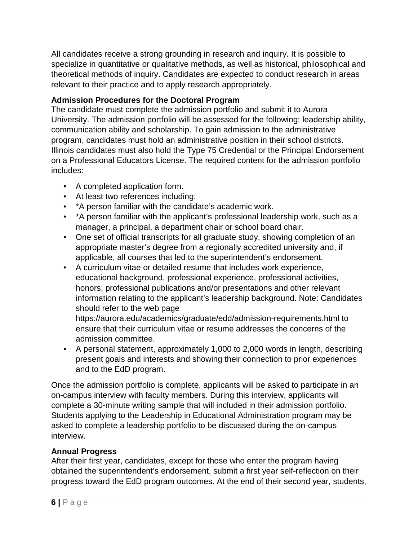All candidates receive a strong grounding in research and inquiry. It is possible to specialize in quantitative or qualitative methods, as well as historical, philosophical and theoretical methods of inquiry. Candidates are expected to conduct research in areas relevant to their practice and to apply research appropriately.

#### **Admission Procedures for the Doctoral Program**

The candidate must complete the admission portfolio and submit it to Aurora University. The admission portfolio will be assessed for the following: leadership ability, communication ability and scholarship. To gain admission to the administrative program, candidates must hold an administrative position in their school districts. Illinois candidates must also hold the Type 75 Credential or the Principal Endorsement on a Professional Educators License. The required content for the admission portfolio includes:

- A completed application form.
- At least two references including:
- \*A person familiar with the candidate's academic work.
- \*A person familiar with the applicant's professional leadership work, such as a manager, a principal, a department chair or school board chair.
- One set of official transcripts for all graduate study, showing completion of an appropriate master's degree from a regionally accredited university and, if applicable, all courses that led to the superintendent's endorsement.
- A curriculum vitae or detailed resume that includes work experience, educational background, professional experience, professional activities, honors, professional publications and/or presentations and other relevant information relating to the applicant's leadership background. Note: Candidates should refer to the web page

https://aurora.edu/academics/graduate/edd/admission-requirements.html to ensure that their curriculum vitae or resume addresses the concerns of the admission committee.

• A personal statement, approximately 1,000 to 2,000 words in length, describing present goals and interests and showing their connection to prior experiences and to the EdD program.

Once the admission portfolio is complete, applicants will be asked to participate in an on-campus interview with faculty members. During this interview, applicants will complete a 30-minute writing sample that will included in their admission portfolio. Students applying to the Leadership in Educational Administration program may be asked to complete a leadership portfolio to be discussed during the on-campus interview.

#### **Annual Progress**

After their first year, candidates, except for those who enter the program having obtained the superintendent's endorsement, submit a first year self-reflection on their progress toward the EdD program outcomes. At the end of their second year, students,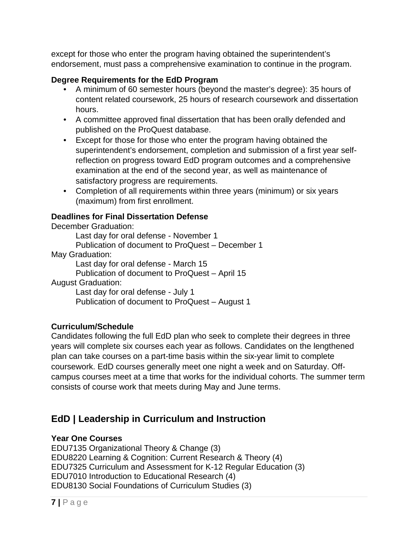except for those who enter the program having obtained the superintendent's endorsement, must pass a comprehensive examination to continue in the program.

#### **Degree Requirements for the EdD Program**

- A minimum of 60 semester hours (beyond the master's degree): 35 hours of content related coursework, 25 hours of research coursework and dissertation hours.
- A committee approved final dissertation that has been orally defended and published on the ProQuest database.
- Except for those for those who enter the program having obtained the superintendent's endorsement, completion and submission of a first year selfreflection on progress toward EdD program outcomes and a comprehensive examination at the end of the second year, as well as maintenance of satisfactory progress are requirements.
- Completion of all requirements within three years (minimum) or six years (maximum) from first enrollment.

#### **Deadlines for Final Dissertation Defense**

December Graduation: Last day for oral defense - November 1

Publication of document to ProQuest – December 1

May Graduation:

Last day for oral defense - March 15

Publication of document to ProQuest – April 15

August Graduation:

Last day for oral defense - July 1 Publication of document to ProQuest – August 1

#### **Curriculum/Schedule**

Candidates following the full EdD plan who seek to complete their degrees in three years will complete six courses each year as follows. Candidates on the lengthened plan can take courses on a part-time basis within the six-year limit to complete coursework. EdD courses generally meet one night a week and on Saturday. Offcampus courses meet at a time that works for the individual cohorts. The summer term consists of course work that meets during May and June terms.

## <span id="page-6-0"></span>**EdD | Leadership in Curriculum and Instruction**

#### **Year One Courses**

EDU7135 Organizational Theory & Change (3) EDU8220 Learning & Cognition: Current Research & Theory (4) EDU7325 Curriculum and Assessment for K-12 Regular Education (3) EDU7010 Introduction to Educational Research (4) EDU8130 Social Foundations of Curriculum Studies (3)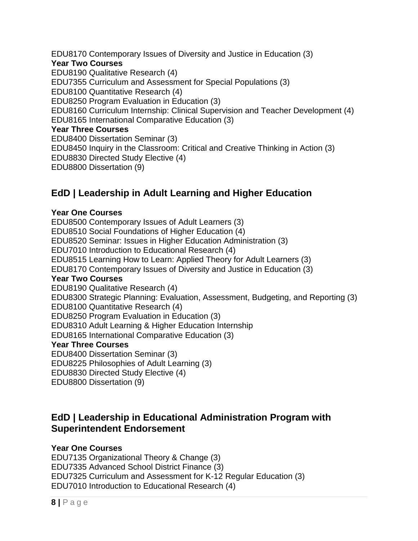EDU8170 Contemporary Issues of Diversity and Justice in Education (3) **Year Two Courses** EDU8190 Qualitative Research (4) EDU7355 Curriculum and Assessment for Special Populations (3) EDU8100 Quantitative Research (4) EDU8250 Program Evaluation in Education (3) EDU8160 Curriculum Internship: Clinical Supervision and Teacher Development (4) EDU8165 International Comparative Education (3) **Year Three Courses** EDU8400 Dissertation Seminar (3) EDU8450 Inquiry in the Classroom: Critical and Creative Thinking in Action (3) EDU8830 Directed Study Elective (4) EDU8800 Dissertation (9)

## <span id="page-7-0"></span>**EdD | Leadership in Adult Learning and Higher Education**

#### **Year One Courses**

EDU8500 Contemporary Issues of Adult Learners (3) EDU8510 Social Foundations of Higher Education (4) EDU8520 Seminar: Issues in Higher Education Administration (3) EDU7010 Introduction to Educational Research (4) EDU8515 Learning How to Learn: Applied Theory for Adult Learners (3) EDU8170 Contemporary Issues of Diversity and Justice in Education (3) **Year Two Courses** EDU8190 Qualitative Research (4) EDU8300 Strategic Planning: Evaluation, Assessment, Budgeting, and Reporting (3) EDU8100 Quantitative Research (4) EDU8250 Program Evaluation in Education (3) EDU8310 Adult Learning & Higher Education Internship EDU8165 International Comparative Education (3) **Year Three Courses** EDU8400 Dissertation Seminar (3) EDU8225 Philosophies of Adult Learning (3) EDU8830 Directed Study Elective (4) EDU8800 Dissertation (9)

## <span id="page-7-1"></span>**EdD | Leadership in Educational Administration Program with Superintendent Endorsement**

#### **Year One Courses**

EDU7135 Organizational Theory & Change (3) EDU7335 Advanced School District Finance (3) EDU7325 Curriculum and Assessment for K-12 Regular Education (3) EDU7010 Introduction to Educational Research (4)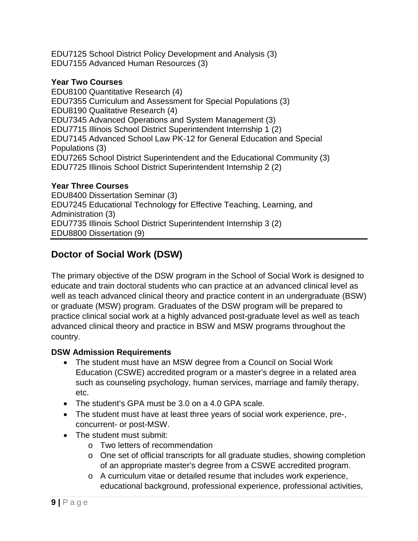EDU7125 School District Policy Development and Analysis (3) EDU7155 Advanced Human Resources (3)

#### **Year Two Courses**

EDU8100 Quantitative Research (4) EDU7355 Curriculum and Assessment for Special Populations (3) EDU8190 Qualitative Research (4) EDU7345 Advanced Operations and System Management (3) EDU7715 Illinois School District Superintendent Internship 1 (2) EDU7145 Advanced School Law PK-12 for General Education and Special Populations (3) EDU7265 School District Superintendent and the Educational Community (3) EDU7725 Illinois School District Superintendent Internship 2 (2)

#### **Year Three Courses**

EDU8400 Dissertation Seminar (3) EDU7245 Educational Technology for Effective Teaching, Learning, and Administration (3) EDU7735 Illinois School District Superintendent Internship 3 (2) EDU8800 Dissertation (9)

## <span id="page-8-0"></span>**Doctor of Social Work (DSW)**

The primary objective of the DSW program in the School of Social Work is designed to educate and train doctoral students who can practice at an advanced clinical level as well as teach advanced clinical theory and practice content in an undergraduate (BSW) or graduate (MSW) program. Graduates of the DSW program will be prepared to practice clinical social work at a highly advanced post-graduate level as well as teach advanced clinical theory and practice in BSW and MSW programs throughout the country.

#### **DSW Admission Requirements**

- The student must have an MSW degree from a Council on Social Work Education (CSWE) accredited program or a master's degree in a related area such as counseling psychology, human services, marriage and family therapy, etc.
- The student's GPA must be 3.0 on a 4.0 GPA scale.
- The student must have at least three years of social work experience, pre-, concurrent- or post-MSW.
- The student must submit:
	- o Two letters of recommendation
	- o One set of official transcripts for all graduate studies, showing completion of an appropriate master's degree from a CSWE accredited program.
	- o A curriculum vitae or detailed resume that includes work experience, educational background, professional experience, professional activities,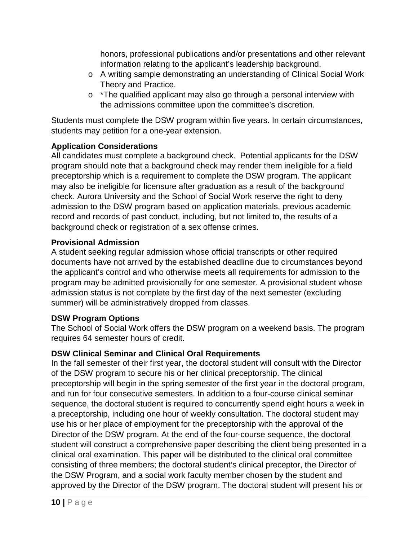honors, professional publications and/or presentations and other relevant information relating to the applicant's leadership background.

- o A writing sample demonstrating an understanding of Clinical Social Work Theory and Practice.
- o \*The qualified applicant may also go through a personal interview with the admissions committee upon the committee's discretion.

Students must complete the DSW program within five years. In certain circumstances, students may petition for a one-year extension.

#### **Application Considerations**

All candidates must complete a background check. Potential applicants for the DSW program should note that a background check may render them ineligible for a field preceptorship which is a requirement to complete the DSW program. The applicant may also be ineligible for licensure after graduation as a result of the background check. Aurora University and the School of Social Work reserve the right to deny admission to the DSW program based on application materials, previous academic record and records of past conduct, including, but not limited to, the results of a background check or registration of a sex offense crimes.

#### **Provisional Admission**

A student seeking regular admission whose official transcripts or other required documents have not arrived by the established deadline due to circumstances beyond the applicant's control and who otherwise meets all requirements for admission to the program may be admitted provisionally for one semester. A provisional student whose admission status is not complete by the first day of the next semester (excluding summer) will be administratively dropped from classes.

#### **DSW Program Options**

The School of Social Work offers the DSW program on a weekend basis. The program requires 64 semester hours of credit.

#### **DSW Clinical Seminar and Clinical Oral Requirements**

In the fall semester of their first year, the doctoral student will consult with the Director of the DSW program to secure his or her clinical preceptorship. The clinical preceptorship will begin in the spring semester of the first year in the doctoral program, and run for four consecutive semesters. In addition to a four-course clinical seminar sequence, the doctoral student is required to concurrently spend eight hours a week in a preceptorship, including one hour of weekly consultation. The doctoral student may use his or her place of employment for the preceptorship with the approval of the Director of the DSW program. At the end of the four-course sequence, the doctoral student will construct a comprehensive paper describing the client being presented in a clinical oral examination. This paper will be distributed to the clinical oral committee consisting of three members; the doctoral student's clinical preceptor, the Director of the DSW Program, and a social work faculty member chosen by the student and approved by the Director of the DSW program. The doctoral student will present his or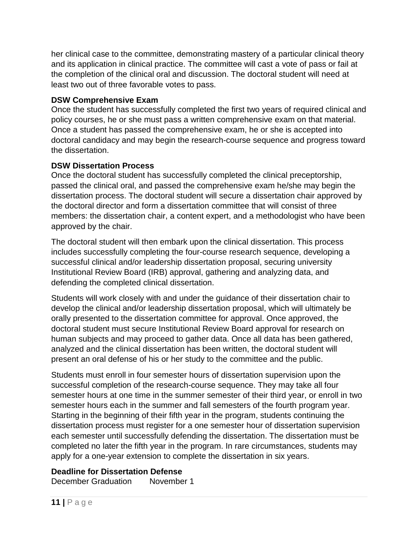her clinical case to the committee, demonstrating mastery of a particular clinical theory and its application in clinical practice. The committee will cast a vote of pass or fail at the completion of the clinical oral and discussion. The doctoral student will need at least two out of three favorable votes to pass.

#### **DSW Comprehensive Exam**

Once the student has successfully completed the first two years of required clinical and policy courses, he or she must pass a written comprehensive exam on that material. Once a student has passed the comprehensive exam, he or she is accepted into doctoral candidacy and may begin the research-course sequence and progress toward the dissertation.

#### **DSW Dissertation Process**

Once the doctoral student has successfully completed the clinical preceptorship, passed the clinical oral, and passed the comprehensive exam he/she may begin the dissertation process. The doctoral student will secure a dissertation chair approved by the doctoral director and form a dissertation committee that will consist of three members: the dissertation chair, a content expert, and a methodologist who have been approved by the chair.

The doctoral student will then embark upon the clinical dissertation. This process includes successfully completing the four-course research sequence, developing a successful clinical and/or leadership dissertation proposal, securing university Institutional Review Board (IRB) approval, gathering and analyzing data, and defending the completed clinical dissertation.

Students will work closely with and under the guidance of their dissertation chair to develop the clinical and/or leadership dissertation proposal, which will ultimately be orally presented to the dissertation committee for approval. Once approved, the doctoral student must secure Institutional Review Board approval for research on human subjects and may proceed to gather data. Once all data has been gathered, analyzed and the clinical dissertation has been written, the doctoral student will present an oral defense of his or her study to the committee and the public.

Students must enroll in four semester hours of dissertation supervision upon the successful completion of the research-course sequence. They may take all four semester hours at one time in the summer semester of their third year, or enroll in two semester hours each in the summer and fall semesters of the fourth program year. Starting in the beginning of their fifth year in the program, students continuing the dissertation process must register for a one semester hour of dissertation supervision each semester until successfully defending the dissertation. The dissertation must be completed no later the fifth year in the program. In rare circumstances, students may apply for a one-year extension to complete the dissertation in six years.

#### **Deadline for Dissertation Defense**

December Graduation November 1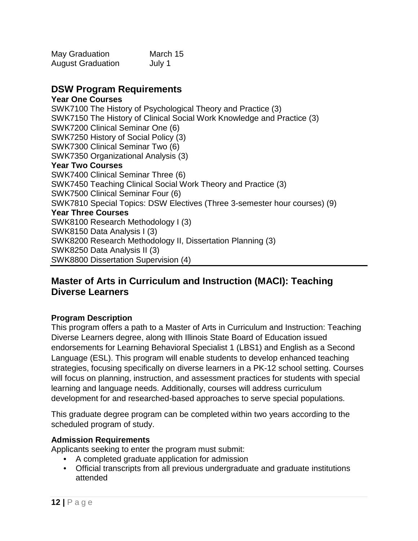| <b>May Graduation</b>    | March 15 |
|--------------------------|----------|
| <b>August Graduation</b> | July 1   |

#### **DSW Program Requirements**

**Year One Courses** SWK7100 The History of Psychological Theory and Practice (3) SWK7150 The History of Clinical Social Work Knowledge and Practice (3) SWK7200 Clinical Seminar One (6) SWK7250 History of Social Policy (3) SWK7300 Clinical Seminar Two (6) SWK7350 Organizational Analysis (3) **Year Two Courses** SWK7400 Clinical Seminar Three (6) SWK7450 Teaching Clinical Social Work Theory and Practice (3) SWK7500 Clinical Seminar Four (6) SWK7810 Special Topics: DSW Electives (Three 3-semester hour courses) (9) **Year Three Courses** SWK8100 Research Methodology I (3) SWK8150 Data Analysis I (3) SWK8200 Research Methodology II, Dissertation Planning (3) SWK8250 Data Analysis II (3) SWK8800 Dissertation Supervision (4)

#### <span id="page-11-0"></span>**Master of Arts in Curriculum and Instruction (MACI): Teaching Diverse Learners**

#### **Program Description**

This program offers a path to a Master of Arts in Curriculum and Instruction: Teaching Diverse Learners degree, along with Illinois State Board of Education issued endorsements for Learning Behavioral Specialist 1 (LBS1) and English as a Second Language (ESL). This program will enable students to develop enhanced teaching strategies, focusing specifically on diverse learners in a PK-12 school setting. Courses will focus on planning, instruction, and assessment practices for students with special learning and language needs. Additionally, courses will address curriculum development for and researched-based approaches to serve special populations.

This graduate degree program can be completed within two years according to the scheduled program of study.

#### **Admission Requirements**

Applicants seeking to enter the program must submit:

- A completed graduate application for admission
- Official transcripts from all previous undergraduate and graduate institutions attended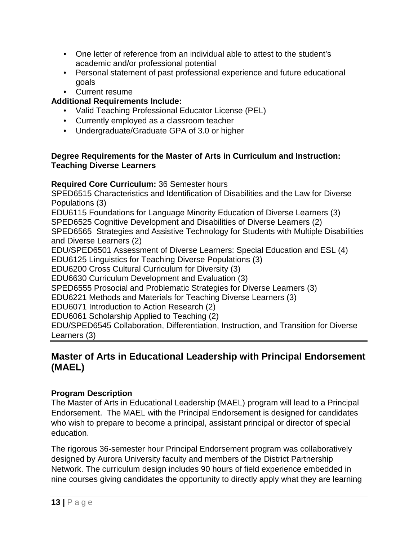- One letter of reference from an individual able to attest to the student's academic and/or professional potential
- Personal statement of past professional experience and future educational goals
- Current resume

#### **Additional Requirements Include:**

- Valid Teaching Professional Educator License (PEL)
- Currently employed as a classroom teacher
- Undergraduate/Graduate GPA of 3.0 or higher

#### **Degree Requirements for the Master of Arts in Curriculum and Instruction: Teaching Diverse Learners**

#### **Required Core Curriculum:** 36 Semester hours

SPED6515 Characteristics and Identification of Disabilities and the Law for Diverse Populations (3)

EDU6115 Foundations for Language Minority Education of Diverse Learners (3) SPED6525 Cognitive Development and Disabilities of Diverse Learners (2) SPED6565 Strategies and Assistive Technology for Students with Multiple Disabilities and Diverse Learners (2)

EDU/SPED6501 Assessment of Diverse Learners: Special Education and ESL (4) EDU6125 Linguistics for Teaching Diverse Populations (3)

EDU6200 Cross Cultural Curriculum for Diversity (3)

EDU6630 Curriculum Development and Evaluation (3)

SPED6555 Prosocial and Problematic Strategies for Diverse Learners (3)

EDU6221 Methods and Materials for Teaching Diverse Learners (3)

EDU6071 Introduction to Action Research (2)

EDU6061 Scholarship Applied to Teaching (2)

EDU/SPED6545 Collaboration, Differentiation, Instruction, and Transition for Diverse Learners (3)

## <span id="page-12-0"></span>**Master of Arts in Educational Leadership with Principal Endorsement (MAEL)**

#### **Program Description**

The Master of Arts in Educational Leadership (MAEL) program will lead to a Principal Endorsement. The MAEL with the Principal Endorsement is designed for candidates who wish to prepare to become a principal, assistant principal or director of special education.

The rigorous 36-semester hour Principal Endorsement program was collaboratively designed by Aurora University faculty and members of the District Partnership Network. The curriculum design includes 90 hours of field experience embedded in nine courses giving candidates the opportunity to directly apply what they are learning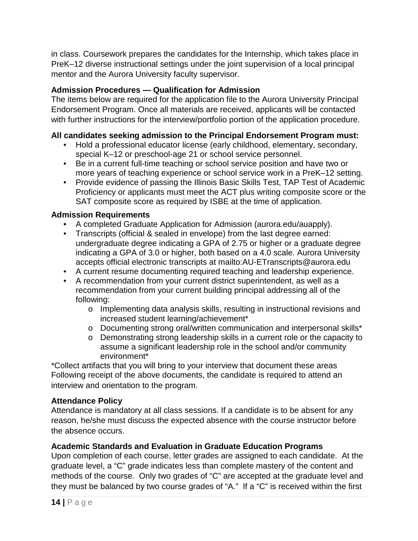in class. Coursework prepares the candidates for the Internship, which takes place in PreK–12 diverse instructional settings under the joint supervision of a local principal mentor and the Aurora University faculty supervisor.

#### **Admission Procedures — Qualification for Admission**

The items below are required for the application file to the Aurora University Principal Endorsement Program. Once all materials are received, applicants will be contacted with further instructions for the interview/portfolio portion of the application procedure.

#### **All candidates seeking admission to the Principal Endorsement Program must:**

- Hold a professional educator license (early childhood, elementary, secondary, special K–12 or preschool-age 21 or school service personnel.
- Be in a current full-time teaching or school service position and have two or more years of teaching experience or school service work in a PreK–12 setting.
- Provide evidence of passing the Illinois Basic Skills Test, TAP Test of Academic Proficiency or applicants must meet the ACT plus writing composite score or the SAT composite score as required by ISBE at the time of application.

#### **Admission Requirements**

- A completed Graduate Application for Admission (aurora.edu/auapply).
- Transcripts (official & sealed in envelope) from the last degree earned: undergraduate degree indicating a GPA of 2.75 or higher or a graduate degree indicating a GPA of 3.0 or higher, both based on a 4.0 scale. Aurora University accepts official electronic transcripts at mailto:AU-ETranscripts@aurora.edu
- A current resume documenting required teaching and leadership experience.
- A recommendation from your current district superintendent, as well as a recommendation from your current building principal addressing all of the following:
	- o Implementing data analysis skills, resulting in instructional revisions and increased student learning/achievement\*
	- o Documenting strong oral/written communication and interpersonal skills\*
	- o Demonstrating strong leadership skills in a current role or the capacity to assume a significant leadership role in the school and/or community environment\*

\*Collect artifacts that you will bring to your interview that document these areas Following receipt of the above documents, the candidate is required to attend an interview and orientation to the program.

#### **Attendance Policy**

Attendance is mandatory at all class sessions. If a candidate is to be absent for any reason, he/she must discuss the expected absence with the course instructor before the absence occurs.

#### **Academic Standards and Evaluation in Graduate Education Programs**

Upon completion of each course, letter grades are assigned to each candidate. At the graduate level, a "C" grade indicates less than complete mastery of the content and methods of the course. Only two grades of "C" are accepted at the graduate level and they must be balanced by two course grades of "A." If a "C" is received within the first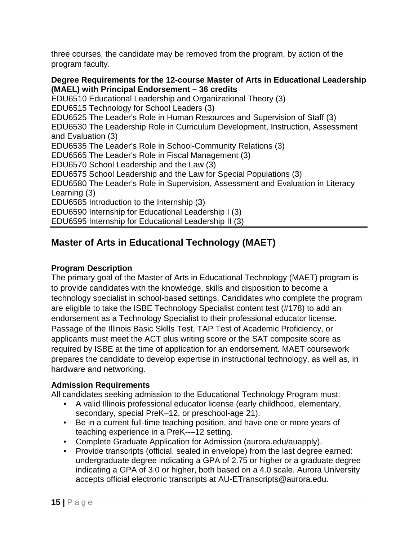three courses, the candidate may be removed from the program, by action of the program faculty.

**Degree Requirements for the 12-course Master of Arts in Educational Leadership (MAEL) with Principal Endorsement – 36 credits** EDU6510 Educational Leadership and Organizational Theory (3) EDU6515 Technology for School Leaders (3) EDU6525 The Leader's Role in Human Resources and Supervision of Staff (3) EDU6530 The Leadership Role in Curriculum Development, Instruction, Assessment and Evaluation (3) EDU6535 The Leader's Role in School-Community Relations (3) EDU6565 The Leader's Role in Fiscal Management (3) EDU6570 School Leadership and the Law (3) EDU6575 School Leadership and the Law for Special Populations (3) EDU6580 The Leader's Role in Supervision, Assessment and Evaluation in Literacy Learning (3) EDU6585 Introduction to the Internship (3) EDU6590 Internship for Educational Leadership I (3) EDU6595 Internship for Educational Leadership II (3)

## <span id="page-14-0"></span>**Master of Arts in Educational Technology (MAET)**

#### **Program Description**

The primary goal of the Master of Arts in Educational Technology (MAET) program is to provide candidates with the knowledge, skills and disposition to become a technology specialist in school-based settings. Candidates who complete the program are eligible to take the ISBE Technology Specialist content test (#178) to add an endorsement as a Technology Specialist to their professional educator license. Passage of the Illinois Basic Skills Test, TAP Test of Academic Proficiency, or applicants must meet the ACT plus writing score or the SAT composite score as required by ISBE at the time of application for an endorsement. MAET coursework prepares the candidate to develop expertise in instructional technology, as well as, in hardware and networking.

#### **Admission Requirements**

All candidates seeking admission to the Educational Technology Program must:

- A valid Illinois professional educator license (early childhood, elementary, secondary, special PreK–12, or preschool-age 21).
- Be in a current full-time teaching position, and have one or more years of teaching experience in a PreK--–12 setting.
- Complete Graduate Application for Admission (aurora.edu/auapply).
- Provide transcripts (official, sealed in envelope) from the last degree earned: undergraduate degree indicating a GPA of 2.75 or higher or a graduate degree indicating a GPA of 3.0 or higher, both based on a 4.0 scale. Aurora University accepts official electronic transcripts at AU-ETranscripts@aurora.edu.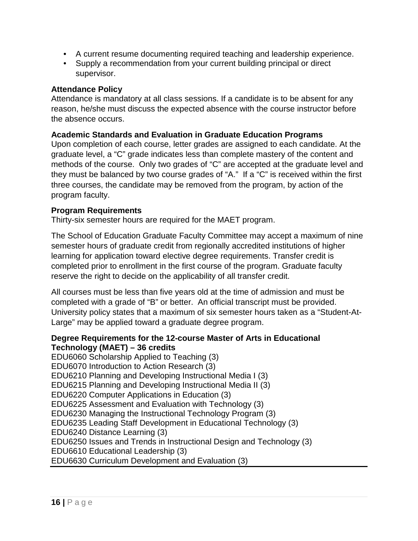- A current resume documenting required teaching and leadership experience.
- Supply a recommendation from your current building principal or direct supervisor.

#### **Attendance Policy**

Attendance is mandatory at all class sessions. If a candidate is to be absent for any reason, he/she must discuss the expected absence with the course instructor before the absence occurs.

#### **Academic Standards and Evaluation in Graduate Education Programs**

Upon completion of each course, letter grades are assigned to each candidate. At the graduate level, a "C" grade indicates less than complete mastery of the content and methods of the course. Only two grades of "C" are accepted at the graduate level and they must be balanced by two course grades of "A." If a "C" is received within the first three courses, the candidate may be removed from the program, by action of the program faculty.

#### **Program Requirements**

Thirty-six semester hours are required for the MAET program.

The School of Education Graduate Faculty Committee may accept a maximum of nine semester hours of graduate credit from regionally accredited institutions of higher learning for application toward elective degree requirements. Transfer credit is completed prior to enrollment in the first course of the program. Graduate faculty reserve the right to decide on the applicability of all transfer credit.

All courses must be less than five years old at the time of admission and must be completed with a grade of "B" or better. An official transcript must be provided. University policy states that a maximum of six semester hours taken as a "Student-At-Large" may be applied toward a graduate degree program.

#### **Degree Requirements for the 12-course Master of Arts in Educational Technology (MAET) – 36 credits**

EDU6060 Scholarship Applied to Teaching (3) EDU6070 Introduction to Action Research (3) EDU6210 Planning and Developing Instructional Media I (3) EDU6215 Planning and Developing Instructional Media II (3) EDU6220 Computer Applications in Education (3) EDU6225 Assessment and Evaluation with Technology (3) EDU6230 Managing the Instructional Technology Program (3) EDU6235 Leading Staff Development in Educational Technology (3) EDU6240 Distance Learning (3) EDU6250 Issues and Trends in Instructional Design and Technology (3) EDU6610 Educational Leadership (3) EDU6630 Curriculum Development and Evaluation (3)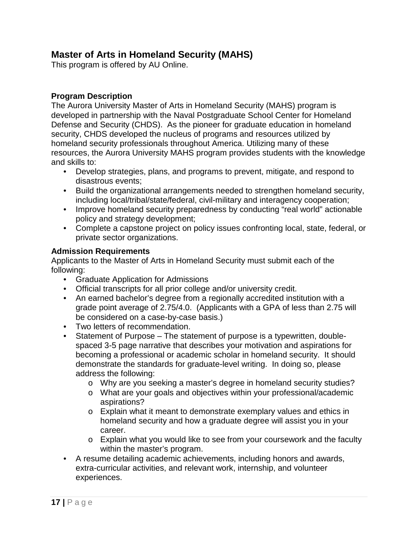## <span id="page-16-0"></span>**Master of Arts in Homeland Security (MAHS)**

This program is offered by AU Online.

#### **Program Description**

The Aurora University Master of Arts in Homeland Security (MAHS) program is developed in partnership with the Naval Postgraduate School Center for Homeland Defense and Security (CHDS). As the pioneer for graduate education in homeland security, CHDS developed the nucleus of programs and resources utilized by homeland security professionals throughout America. Utilizing many of these resources, the Aurora University MAHS program provides students with the knowledge and skills to:

- Develop strategies, plans, and programs to prevent, mitigate, and respond to disastrous events;
- Build the organizational arrangements needed to strengthen homeland security, including local/tribal/state/federal, civil-military and interagency cooperation;
- Improve homeland security preparedness by conducting "real world" actionable policy and strategy development;
- Complete a capstone project on policy issues confronting local, state, federal, or private sector organizations.

#### **Admission Requirements**

Applicants to the Master of Arts in Homeland Security must submit each of the following:

- Graduate Application for Admissions
- Official transcripts for all prior college and/or university credit.
- An earned bachelor's degree from a regionally accredited institution with a grade point average of 2.75/4.0. (Applicants with a GPA of less than 2.75 will be considered on a case-by-case basis.)
- Two letters of recommendation.
- Statement of Purpose The statement of purpose is a typewritten, doublespaced 3-5 page narrative that describes your motivation and aspirations for becoming a professional or academic scholar in homeland security. It should demonstrate the standards for graduate-level writing. In doing so, please address the following:
	- o Why are you seeking a master's degree in homeland security studies?
	- o What are your goals and objectives within your professional/academic aspirations?
	- $\circ$  Explain what it meant to demonstrate exemplary values and ethics in homeland security and how a graduate degree will assist you in your career.
	- o Explain what you would like to see from your coursework and the faculty within the master's program.
- A resume detailing academic achievements, including honors and awards, extra-curricular activities, and relevant work, internship, and volunteer experiences.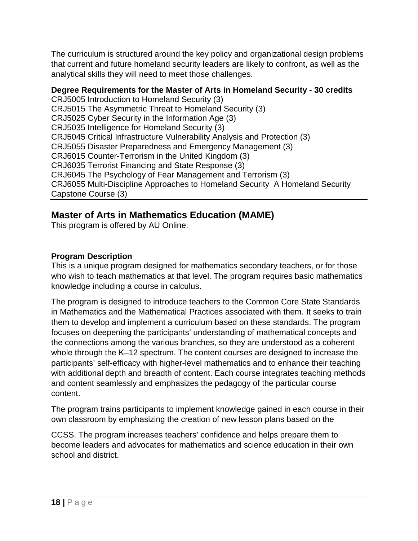The curriculum is structured around the key policy and organizational design problems that current and future homeland security leaders are likely to confront, as well as the analytical skills they will need to meet those challenges.

#### **Degree Requirements for the Master of Arts in Homeland Security - 30 credits**

CRJ5005 Introduction to Homeland Security (3) CRJ5015 The Asymmetric Threat to Homeland Security (3) CRJ5025 Cyber Security in the Information Age (3) CRJ5035 Intelligence for Homeland Security (3) CRJ5045 Critical Infrastructure Vulnerability Analysis and Protection (3) CRJ5055 Disaster Preparedness and Emergency Management (3) CRJ6015 Counter-Terrorism in the United Kingdom (3) CRJ6035 Terrorist Financing and State Response (3) CRJ6045 The Psychology of Fear Management and Terrorism (3) CRJ6055 Multi-Discipline Approaches to Homeland Security A Homeland Security Capstone Course (3)

#### <span id="page-17-0"></span>**Master of Arts in Mathematics Education (MAME)**

This program is offered by AU Online.

#### **Program Description**

This is a unique program designed for mathematics secondary teachers, or for those who wish to teach mathematics at that level. The program requires basic mathematics knowledge including a course in calculus.

The program is designed to introduce teachers to the Common Core State Standards in Mathematics and the Mathematical Practices associated with them. It seeks to train them to develop and implement a curriculum based on these standards. The program focuses on deepening the participants' understanding of mathematical concepts and the connections among the various branches, so they are understood as a coherent whole through the K–12 spectrum. The content courses are designed to increase the participants' self-efficacy with higher-level mathematics and to enhance their teaching with additional depth and breadth of content. Each course integrates teaching methods and content seamlessly and emphasizes the pedagogy of the particular course content.

The program trains participants to implement knowledge gained in each course in their own classroom by emphasizing the creation of new lesson plans based on the

CCSS. The program increases teachers' confidence and helps prepare them to become leaders and advocates for mathematics and science education in their own school and district.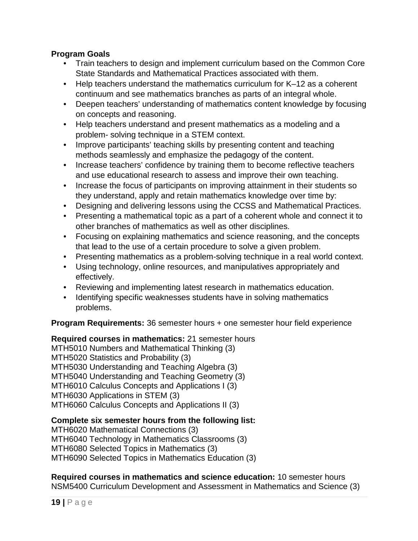#### **Program Goals**

- Train teachers to design and implement curriculum based on the Common Core State Standards and Mathematical Practices associated with them.
- Help teachers understand the mathematics curriculum for K–12 as a coherent continuum and see mathematics branches as parts of an integral whole.
- Deepen teachers' understanding of mathematics content knowledge by focusing on concepts and reasoning.
- Help teachers understand and present mathematics as a modeling and a problem- solving technique in a STEM context.
- Improve participants' teaching skills by presenting content and teaching methods seamlessly and emphasize the pedagogy of the content.
- Increase teachers' confidence by training them to become reflective teachers and use educational research to assess and improve their own teaching.
- Increase the focus of participants on improving attainment in their students so they understand, apply and retain mathematics knowledge over time by:
- Designing and delivering lessons using the CCSS and Mathematical Practices.
- Presenting a mathematical topic as a part of a coherent whole and connect it to other branches of mathematics as well as other disciplines.
- Focusing on explaining mathematics and science reasoning, and the concepts that lead to the use of a certain procedure to solve a given problem.
- Presenting mathematics as a problem-solving technique in a real world context.
- Using technology, online resources, and manipulatives appropriately and effectively.
- Reviewing and implementing latest research in mathematics education.
- Identifying specific weaknesses students have in solving mathematics problems.

**Program Requirements:** 36 semester hours + one semester hour field experience

**Required courses in mathematics:** 21 semester hours

MTH5010 Numbers and Mathematical Thinking (3) MTH5020 Statistics and Probability (3) MTH5030 Understanding and Teaching Algebra (3) MTH5040 Understanding and Teaching Geometry (3) MTH6010 Calculus Concepts and Applications I (3) MTH6030 Applications in STEM (3) MTH6060 Calculus Concepts and Applications II (3)

#### **Complete six semester hours from the following list:**

MTH6020 Mathematical Connections (3) MTH6040 Technology in Mathematics Classrooms (3) MTH6080 Selected Topics in Mathematics (3) MTH6090 Selected Topics in Mathematics Education (3)

**Required courses in mathematics and science education:** 10 semester hours NSM5400 Curriculum Development and Assessment in Mathematics and Science (3)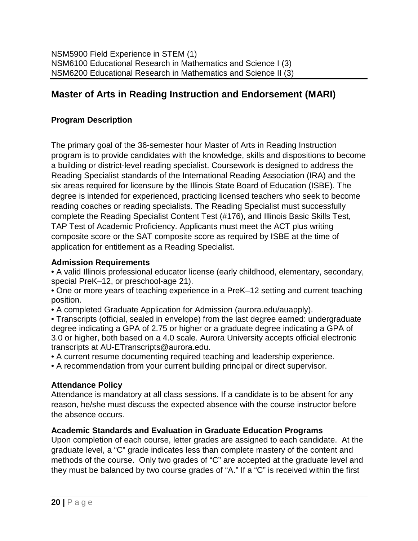## <span id="page-19-0"></span>**Master of Arts in Reading Instruction and Endorsement (MARI)**

#### **Program Description**

The primary goal of the 36-semester hour Master of Arts in Reading Instruction program is to provide candidates with the knowledge, skills and dispositions to become a building or district-level reading specialist. Coursework is designed to address the Reading Specialist standards of the International Reading Association (IRA) and the six areas required for licensure by the Illinois State Board of Education (ISBE). The degree is intended for experienced, practicing licensed teachers who seek to become reading coaches or reading specialists. The Reading Specialist must successfully complete the Reading Specialist Content Test (#176), and Illinois Basic Skills Test, TAP Test of Academic Proficiency. Applicants must meet the ACT plus writing composite score or the SAT composite score as required by ISBE at the time of application for entitlement as a Reading Specialist.

#### **Admission Requirements**

• A valid Illinois professional educator license (early childhood, elementary, secondary, special PreK–12, or preschool-age 21).

• One or more years of teaching experience in a PreK–12 setting and current teaching position.

• A completed Graduate Application for Admission (aurora.edu/auapply).

• Transcripts (official, sealed in envelope) from the last degree earned: undergraduate degree indicating a GPA of 2.75 or higher or a graduate degree indicating a GPA of 3.0 or higher, both based on a 4.0 scale. Aurora University accepts official electronic transcripts at AU-ETranscripts@aurora.edu.

• A current resume documenting required teaching and leadership experience.

• A recommendation from your current building principal or direct supervisor.

#### **Attendance Policy**

Attendance is mandatory at all class sessions. If a candidate is to be absent for any reason, he/she must discuss the expected absence with the course instructor before the absence occurs.

#### **Academic Standards and Evaluation in Graduate Education Programs**

Upon completion of each course, letter grades are assigned to each candidate. At the graduate level, a "C" grade indicates less than complete mastery of the content and methods of the course. Only two grades of "C" are accepted at the graduate level and they must be balanced by two course grades of "A." If a "C" is received within the first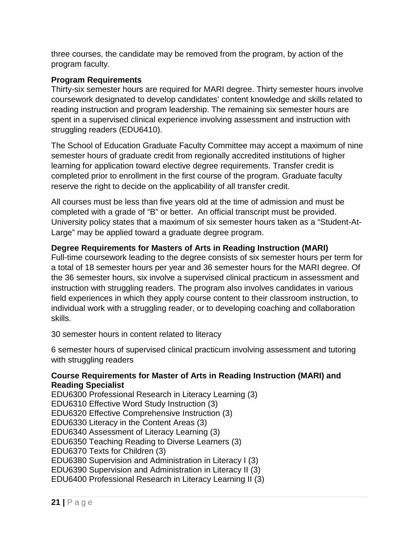three courses, the candidate may be removed from the program, by action of the program faculty.

#### **Program Requirements**

Thirty-six semester hours are required for MARI degree. Thirty semester hours involve coursework designated to develop candidates' content knowledge and skills related to reading instruction and program leadership. The remaining six semester hours are spent in a supervised clinical experience involving assessment and instruction with struggling readers (EDU6410).

The School of Education Graduate Faculty Committee may accept a maximum of nine semester hours of graduate credit from regionally accredited institutions of higher learning for application toward elective degree requirements. Transfer credit is completed prior to enrollment in the first course of the program. Graduate faculty reserve the right to decide on the applicability of all transfer credit.

All courses must be less than five years old at the time of admission and must be completed with a grade of "B" or better. An official transcript must be provided. University policy states that a maximum of six semester hours taken as a "Student-At-Large" may be applied toward a graduate degree program.

#### **Degree Requirements for Masters of Arts in Reading Instruction (MARI)**

Full-time coursework leading to the degree consists of six semester hours per term for a total of 18 semester hours per year and 36 semester hours for the MARI degree. Of the 36 semester hours, six involve a supervised clinical practicum in assessment and instruction with struggling readers. The program also involves candidates in various field experiences in which they apply course content to their classroom instruction, to individual work with a struggling reader, or to developing coaching and collaboration skills.

30 semester hours in content related to literacy

6 semester hours of supervised clinical practicum involving assessment and tutoring with struggling readers

#### **Course Requirements for Master of Arts in Reading Instruction (MARI) and Reading Specialist**

EDU6300 Professional Research in Literacy Learning (3) EDU6310 Effective Word Study Instruction (3) EDU6320 Effective Comprehensive Instruction (3) EDU6330 Literacy in the Content Areas (3) EDU6340 Assessment of Literacy Learning (3) EDU6350 Teaching Reading to Diverse Learners (3) EDU6370 Texts for Children (3) EDU6380 Supervision and Administration in Literacy I (3) EDU6390 Supervision and Administration in Literacy II (3) EDU6400 Professional Research in Literacy Learning II (3)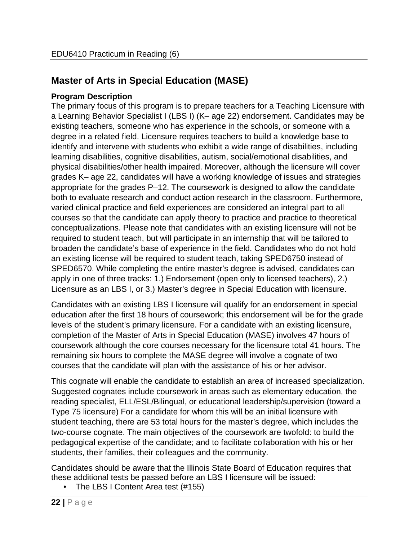## <span id="page-21-0"></span>**Master of Arts in Special Education (MASE)**

#### **Program Description**

The primary focus of this program is to prepare teachers for a Teaching Licensure with a Learning Behavior Specialist I (LBS I) (K– age 22) endorsement. Candidates may be existing teachers, someone who has experience in the schools, or someone with a degree in a related field. Licensure requires teachers to build a knowledge base to identify and intervene with students who exhibit a wide range of disabilities, including learning disabilities, cognitive disabilities, autism, social/emotional disabilities, and physical disabilities/other health impaired. Moreover, although the licensure will cover grades K– age 22, candidates will have a working knowledge of issues and strategies appropriate for the grades P–12. The coursework is designed to allow the candidate both to evaluate research and conduct action research in the classroom. Furthermore, varied clinical practice and field experiences are considered an integral part to all courses so that the candidate can apply theory to practice and practice to theoretical conceptualizations. Please note that candidates with an existing licensure will not be required to student teach, but will participate in an internship that will be tailored to broaden the candidate's base of experience in the field. Candidates who do not hold an existing license will be required to student teach, taking SPED6750 instead of SPED6570. While completing the entire master's degree is advised, candidates can apply in one of three tracks: 1.) Endorsement (open only to licensed teachers), 2.) Licensure as an LBS I, or 3.) Master's degree in Special Education with licensure.

Candidates with an existing LBS I licensure will qualify for an endorsement in special education after the first 18 hours of coursework; this endorsement will be for the grade levels of the student's primary licensure. For a candidate with an existing licensure, completion of the Master of Arts in Special Education (MASE) involves 47 hours of coursework although the core courses necessary for the licensure total 41 hours. The remaining six hours to complete the MASE degree will involve a cognate of two courses that the candidate will plan with the assistance of his or her advisor.

This cognate will enable the candidate to establish an area of increased specialization. Suggested cognates include coursework in areas such as elementary education, the reading specialist, ELL/ESL/Bilingual, or educational leadership/supervision (toward a Type 75 licensure) For a candidate for whom this will be an initial licensure with student teaching, there are 53 total hours for the master's degree, which includes the two-course cognate. The main objectives of the coursework are twofold: to build the pedagogical expertise of the candidate; and to facilitate collaboration with his or her students, their families, their colleagues and the community.

Candidates should be aware that the Illinois State Board of Education requires that these additional tests be passed before an LBS I licensure will be issued:

• The LBS I Content Area test (#155)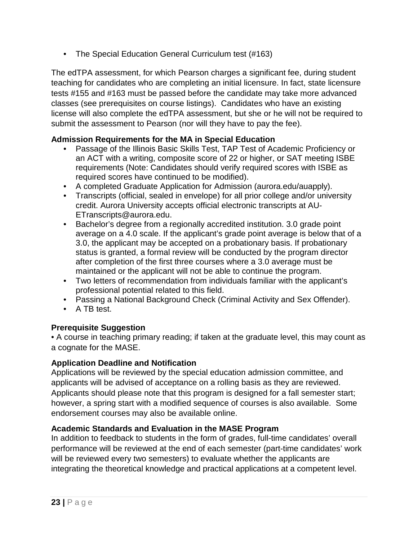• The Special Education General Curriculum test (#163)

The edTPA assessment, for which Pearson charges a significant fee, during student teaching for candidates who are completing an initial licensure. In fact, state licensure tests #155 and #163 must be passed before the candidate may take more advanced classes (see prerequisites on course listings). Candidates who have an existing license will also complete the edTPA assessment, but she or he will not be required to submit the assessment to Pearson (nor will they have to pay the fee).

#### **Admission Requirements for the MA in Special Education**

- Passage of the Illinois Basic Skills Test, TAP Test of Academic Proficiency or an ACT with a writing, composite score of 22 or higher, or SAT meeting ISBE requirements (Note: Candidates should verify required scores with ISBE as required scores have continued to be modified).
- A completed Graduate Application for Admission (aurora.edu/auapply).
- Transcripts (official, sealed in envelope) for all prior college and/or university credit. Aurora University accepts official electronic transcripts at AU-ETranscripts@aurora.edu.
- Bachelor's degree from a regionally accredited institution. 3.0 grade point average on a 4.0 scale. If the applicant's grade point average is below that of a 3.0, the applicant may be accepted on a probationary basis. If probationary status is granted, a formal review will be conducted by the program director after completion of the first three courses where a 3.0 average must be maintained or the applicant will not be able to continue the program.
- Two letters of recommendation from individuals familiar with the applicant's professional potential related to this field.
- Passing a National Background Check (Criminal Activity and Sex Offender).
- A TB test.

#### **Prerequisite Suggestion**

• A course in teaching primary reading; if taken at the graduate level, this may count as a cognate for the MASE.

#### **Application Deadline and Notification**

Applications will be reviewed by the special education admission committee, and applicants will be advised of acceptance on a rolling basis as they are reviewed. Applicants should please note that this program is designed for a fall semester start; however, a spring start with a modified sequence of courses is also available. Some endorsement courses may also be available online.

#### **Academic Standards and Evaluation in the MASE Program**

In addition to feedback to students in the form of grades, full-time candidates' overall performance will be reviewed at the end of each semester (part-time candidates' work will be reviewed every two semesters) to evaluate whether the applicants are integrating the theoretical knowledge and practical applications at a competent level.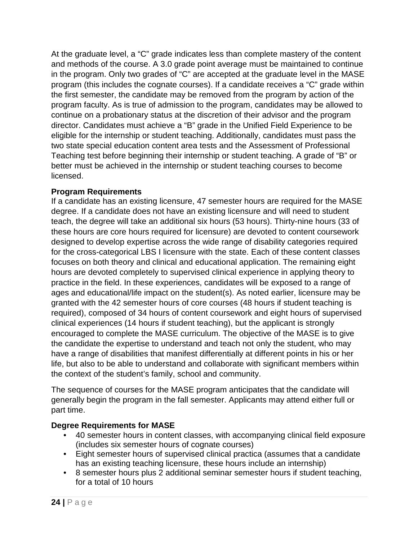At the graduate level, a "C" grade indicates less than complete mastery of the content and methods of the course. A 3.0 grade point average must be maintained to continue in the program. Only two grades of "C" are accepted at the graduate level in the MASE program (this includes the cognate courses). If a candidate receives a "C" grade within the first semester, the candidate may be removed from the program by action of the program faculty. As is true of admission to the program, candidates may be allowed to continue on a probationary status at the discretion of their advisor and the program director. Candidates must achieve a "B" grade in the Unified Field Experience to be eligible for the internship or student teaching. Additionally, candidates must pass the two state special education content area tests and the Assessment of Professional Teaching test before beginning their internship or student teaching. A grade of "B" or better must be achieved in the internship or student teaching courses to become licensed.

#### **Program Requirements**

If a candidate has an existing licensure, 47 semester hours are required for the MASE degree. If a candidate does not have an existing licensure and will need to student teach, the degree will take an additional six hours (53 hours). Thirty-nine hours (33 of these hours are core hours required for licensure) are devoted to content coursework designed to develop expertise across the wide range of disability categories required for the cross-categorical LBS I licensure with the state. Each of these content classes focuses on both theory and clinical and educational application. The remaining eight hours are devoted completely to supervised clinical experience in applying theory to practice in the field. In these experiences, candidates will be exposed to a range of ages and educational/life impact on the student(s). As noted earlier, licensure may be granted with the 42 semester hours of core courses (48 hours if student teaching is required), composed of 34 hours of content coursework and eight hours of supervised clinical experiences (14 hours if student teaching), but the applicant is strongly encouraged to complete the MASE curriculum. The objective of the MASE is to give the candidate the expertise to understand and teach not only the student, who may have a range of disabilities that manifest differentially at different points in his or her life, but also to be able to understand and collaborate with significant members within the context of the student's family, school and community.

The sequence of courses for the MASE program anticipates that the candidate will generally begin the program in the fall semester. Applicants may attend either full or part time.

#### **Degree Requirements for MASE**

- 40 semester hours in content classes, with accompanying clinical field exposure (includes six semester hours of cognate courses)
- Eight semester hours of supervised clinical practica (assumes that a candidate has an existing teaching licensure, these hours include an internship)
- 8 semester hours plus 2 additional seminar semester hours if student teaching, for a total of 10 hours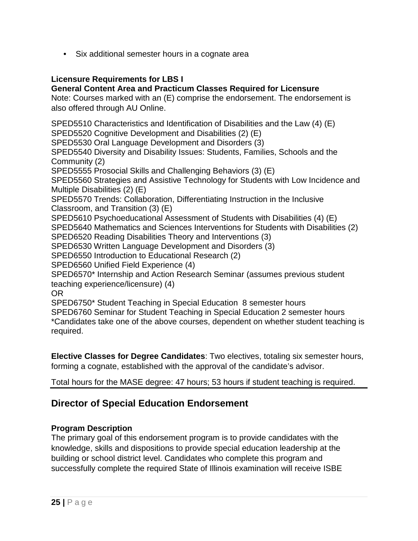• Six additional semester hours in a cognate area

#### **Licensure Requirements for LBS I**

#### **General Content Area and Practicum Classes Required for Licensure**

Note: Courses marked with an (E) comprise the endorsement. The endorsement is also offered through AU Online.

SPED5510 Characteristics and Identification of Disabilities and the Law (4) (E) SPED5520 Cognitive Development and Disabilities (2) (E) SPED5530 Oral Language Development and Disorders (3) SPED5540 Diversity and Disability Issues: Students, Families, Schools and the Community (2) SPED5555 Prosocial Skills and Challenging Behaviors (3) (E) SPED5560 Strategies and Assistive Technology for Students with Low Incidence and Multiple Disabilities (2) (E) SPED5570 Trends: Collaboration, Differentiating Instruction in the Inclusive Classroom, and Transition (3) (E) SPED5610 Psychoeducational Assessment of Students with Disabilities (4) (E) SPED5640 Mathematics and Sciences Interventions for Students with Disabilities (2) SPED6520 Reading Disabilities Theory and Interventions (3) SPED6530 Written Language Development and Disorders (3) SPED6550 Introduction to Educational Research (2) SPED6560 Unified Field Experience (4) SPED6570\* Internship and Action Research Seminar (assumes previous student teaching experience/licensure) (4) OR SPED6750\* Student Teaching in Special Education 8 semester hours SPED6760 Seminar for Student Teaching in Special Education 2 semester hours \*Candidates take one of the above courses, dependent on whether student teaching is required.

**Elective Classes for Degree Candidates**: Two electives, totaling six semester hours, forming a cognate, established with the approval of the candidate's advisor.

Total hours for the MASE degree: 47 hours; 53 hours if student teaching is required.

#### <span id="page-24-0"></span>**Director of Special Education Endorsement**

#### **Program Description**

The primary goal of this endorsement program is to provide candidates with the knowledge, skills and dispositions to provide special education leadership at the building or school district level. Candidates who complete this program and successfully complete the required State of Illinois examination will receive ISBE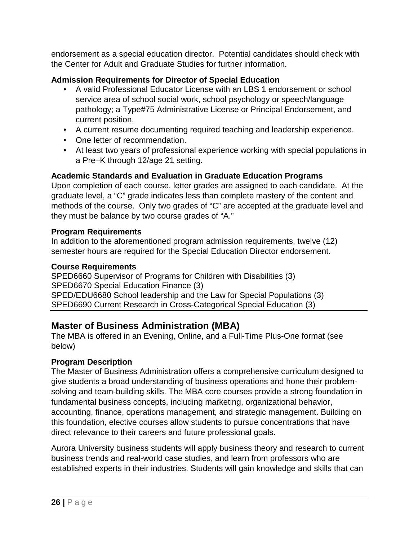endorsement as a special education director. Potential candidates should check with the Center for Adult and Graduate Studies for further information.

#### **Admission Requirements for Director of Special Education**

- A valid Professional Educator License with an LBS 1 endorsement or school service area of school social work, school psychology or speech/language pathology; a Type#75 Administrative License or Principal Endorsement, and current position.
- A current resume documenting required teaching and leadership experience.
- One letter of recommendation.
- At least two years of professional experience working with special populations in a Pre–K through 12/age 21 setting.

#### **Academic Standards and Evaluation in Graduate Education Programs**

Upon completion of each course, letter grades are assigned to each candidate. At the graduate level, a "C" grade indicates less than complete mastery of the content and methods of the course. Only two grades of "C" are accepted at the graduate level and they must be balance by two course grades of "A."

#### **Program Requirements**

In addition to the aforementioned program admission requirements, twelve (12) semester hours are required for the Special Education Director endorsement.

#### **Course Requirements**

SPED6660 Supervisor of Programs for Children with Disabilities (3) SPED6670 Special Education Finance (3) SPED/EDU6680 School leadership and the Law for Special Populations (3) SPED6690 Current Research in Cross-Categorical Special Education (3)

## <span id="page-25-0"></span>**Master of Business Administration (MBA)**

The MBA is offered in an Evening, Online, and a Full-Time Plus-One format (see below)

#### **Program Description**

The Master of Business Administration offers a comprehensive curriculum designed to give students a broad understanding of business operations and hone their problemsolving and team-building skills. The MBA core courses provide a strong foundation in fundamental business concepts, including marketing, organizational behavior, accounting, finance, operations management, and strategic management. Building on this foundation, elective courses allow students to pursue concentrations that have direct relevance to their careers and future professional goals.

Aurora University business students will apply business theory and research to current business trends and real-world case studies, and learn from professors who are established experts in their industries. Students will gain knowledge and skills that can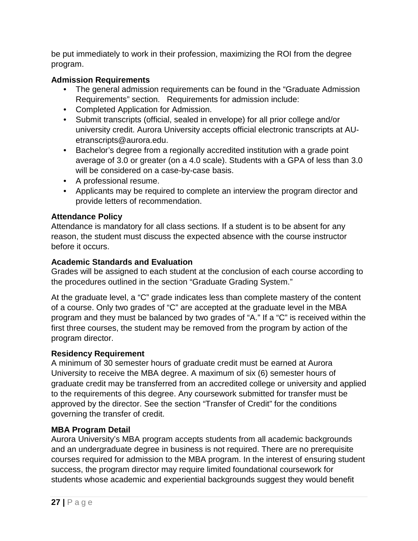be put immediately to work in their profession, maximizing the ROI from the degree program.

#### **Admission Requirements**

- The general admission requirements can be found in the "Graduate Admission Requirements" section. Requirements for admission include:
- Completed Application for Admission.
- Submit transcripts (official, sealed in envelope) for all prior college and/or university credit. Aurora University accepts official electronic transcripts at AUetranscripts@aurora.edu.
- Bachelor's degree from a regionally accredited institution with a grade point average of 3.0 or greater (on a 4.0 scale). Students with a GPA of less than 3.0 will be considered on a case-by-case basis.
- A professional resume.
- Applicants may be required to complete an interview the program director and provide letters of recommendation.

#### **Attendance Policy**

Attendance is mandatory for all class sections. If a student is to be absent for any reason, the student must discuss the expected absence with the course instructor before it occurs.

#### **Academic Standards and Evaluation**

Grades will be assigned to each student at the conclusion of each course according to the procedures outlined in the section "Graduate Grading System."

At the graduate level, a "C" grade indicates less than complete mastery of the content of a course. Only two grades of "C" are accepted at the graduate level in the MBA program and they must be balanced by two grades of "A." If a "C" is received within the first three courses, the student may be removed from the program by action of the program director.

#### **Residency Requirement**

A minimum of 30 semester hours of graduate credit must be earned at Aurora University to receive the MBA degree. A maximum of six (6) semester hours of graduate credit may be transferred from an accredited college or university and applied to the requirements of this degree. Any coursework submitted for transfer must be approved by the director. See the section "Transfer of Credit" for the conditions governing the transfer of credit.

#### **MBA Program Detail**

Aurora University's MBA program accepts students from all academic backgrounds and an undergraduate degree in business is not required. There are no prerequisite courses required for admission to the MBA program. In the interest of ensuring student success, the program director may require limited foundational coursework for students whose academic and experiential backgrounds suggest they would benefit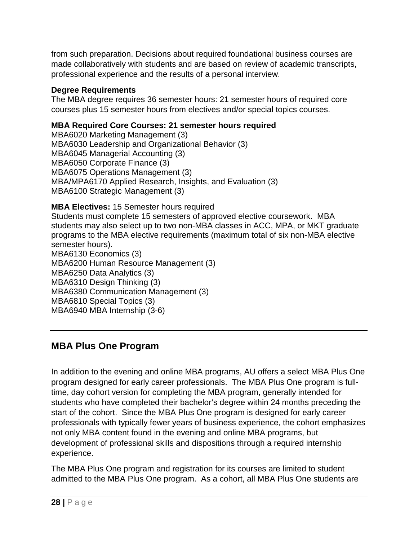from such preparation. Decisions about required foundational business courses are made collaboratively with students and are based on review of academic transcripts, professional experience and the results of a personal interview.

#### **Degree Requirements**

The MBA degree requires 36 semester hours: 21 semester hours of required core courses plus 15 semester hours from electives and/or special topics courses.

#### **MBA Required Core Courses: 21 semester hours required**

MBA6020 Marketing Management (3) MBA6030 Leadership and Organizational Behavior (3) MBA6045 Managerial Accounting (3) MBA6050 Corporate Finance (3) MBA6075 Operations Management (3) MBA/MPA6170 Applied Research, Insights, and Evaluation (3) MBA6100 Strategic Management (3)

**MBA Electives:** 15 Semester hours required

Students must complete 15 semesters of approved elective coursework. MBA students may also select up to two non-MBA classes in ACC, MPA, or MKT graduate programs to the MBA elective requirements (maximum total of six non-MBA elective semester hours).

MBA6130 Economics (3) MBA6200 Human Resource Management (3) MBA6250 Data Analytics (3) MBA6310 Design Thinking (3) MBA6380 Communication Management (3) MBA6810 Special Topics (3) MBA6940 MBA Internship (3-6)

#### <span id="page-27-0"></span>**MBA Plus One Program**

In addition to the evening and online MBA programs, AU offers a select MBA Plus One program designed for early career professionals. The MBA Plus One program is fulltime, day cohort version for completing the MBA program, generally intended for students who have completed their bachelor's degree within 24 months preceding the start of the cohort. Since the MBA Plus One program is designed for early career professionals with typically fewer years of business experience, the cohort emphasizes not only MBA content found in the evening and online MBA programs, but development of professional skills and dispositions through a required internship experience.

The MBA Plus One program and registration for its courses are limited to student admitted to the MBA Plus One program. As a cohort, all MBA Plus One students are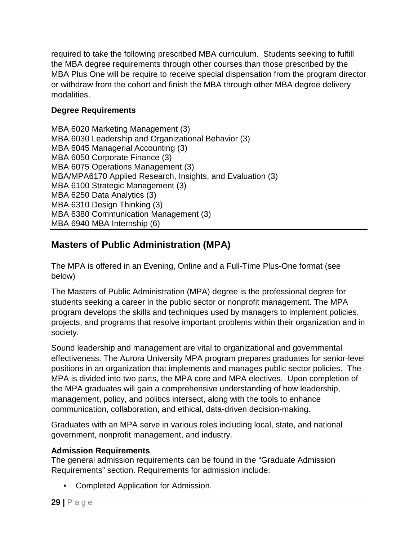required to take the following prescribed MBA curriculum. Students seeking to fulfill the MBA degree requirements through other courses than those prescribed by the MBA Plus One will be require to receive special dispensation from the program director or withdraw from the cohort and finish the MBA through other MBA degree delivery modalities.

#### **Degree Requirements**

MBA 6020 Marketing Management (3) MBA 6030 Leadership and Organizational Behavior (3) MBA 6045 Managerial Accounting (3) MBA 6050 Corporate Finance (3) MBA 6075 Operations Management (3) MBA/MPA6170 Applied Research, Insights, and Evaluation (3) MBA 6100 Strategic Management (3) MBA 6250 Data Analytics (3) MBA 6310 Design Thinking (3) MBA 6380 Communication Management (3) MBA 6940 MBA Internship (6)

## <span id="page-28-0"></span>**Masters of Public Administration (MPA)**

The MPA is offered in an Evening, Online and a Full-Time Plus-One format (see below)

The Masters of Public Administration (MPA) degree is the professional degree for students seeking a career in the public sector or nonprofit management. The MPA program develops the skills and techniques used by managers to implement policies, projects, and programs that resolve important problems within their organization and in society.

Sound leadership and management are vital to organizational and governmental effectiveness. The Aurora University MPA program prepares graduates for senior-level positions in an organization that implements and manages public sector policies. The MPA is divided into two parts, the MPA core and MPA electives. Upon completion of the MPA graduates will gain a comprehensive understanding of how leadership, management, policy, and politics intersect, along with the tools to enhance communication, collaboration, and ethical, data-driven decision-making.

Graduates with an MPA serve in various roles including local, state, and national government, nonprofit management, and industry.

#### **Admission Requirements**

The general admission requirements can be found in the "Graduate Admission Requirements" section. Requirements for admission include:

• Completed Application for Admission.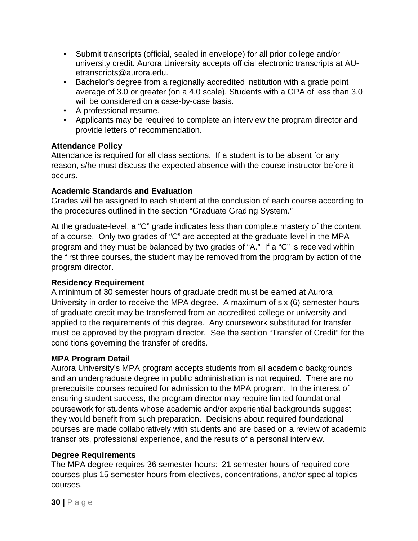- Submit transcripts (official, sealed in envelope) for all prior college and/or university credit. Aurora University accepts official electronic transcripts at AUetranscripts@aurora.edu.
- Bachelor's degree from a regionally accredited institution with a grade point average of 3.0 or greater (on a 4.0 scale). Students with a GPA of less than 3.0 will be considered on a case-by-case basis.
- A professional resume.
- Applicants may be required to complete an interview the program director and provide letters of recommendation.

#### **Attendance Policy**

Attendance is required for all class sections. If a student is to be absent for any reason, s/he must discuss the expected absence with the course instructor before it occurs.

#### **Academic Standards and Evaluation**

Grades will be assigned to each student at the conclusion of each course according to the procedures outlined in the section "Graduate Grading System."

At the graduate-level, a "C" grade indicates less than complete mastery of the content of a course. Only two grades of "C" are accepted at the graduate-level in the MPA program and they must be balanced by two grades of "A." If a "C" is received within the first three courses, the student may be removed from the program by action of the program director.

#### **Residency Requirement**

A minimum of 30 semester hours of graduate credit must be earned at Aurora University in order to receive the MPA degree. A maximum of six (6) semester hours of graduate credit may be transferred from an accredited college or university and applied to the requirements of this degree. Any coursework substituted for transfer must be approved by the program director. See the section "Transfer of Credit" for the conditions governing the transfer of credits.

#### **MPA Program Detail**

Aurora University's MPA program accepts students from all academic backgrounds and an undergraduate degree in public administration is not required. There are no prerequisite courses required for admission to the MPA program. In the interest of ensuring student success, the program director may require limited foundational coursework for students whose academic and/or experiential backgrounds suggest they would benefit from such preparation. Decisions about required foundational courses are made collaboratively with students and are based on a review of academic transcripts, professional experience, and the results of a personal interview.

#### **Degree Requirements**

The MPA degree requires 36 semester hours: 21 semester hours of required core courses plus 15 semester hours from electives, concentrations, and/or special topics courses.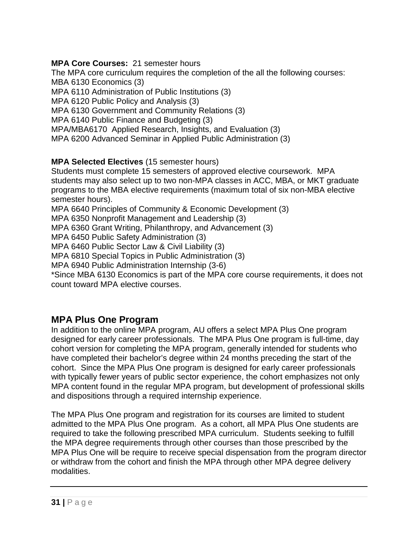#### **MPA Core Courses:** 21 semester hours

The MPA core curriculum requires the completion of the all the following courses: MBA 6130 Economics (3) MPA 6110 Administration of Public Institutions (3) MPA 6120 Public Policy and Analysis (3) MPA 6130 Government and Community Relations (3) MPA 6140 Public Finance and Budgeting (3) MPA/MBA6170 Applied Research, Insights, and Evaluation (3) MPA 6200 Advanced Seminar in Applied Public Administration (3)

#### **MPA Selected Electives** (15 semester hours)

Students must complete 15 semesters of approved elective coursework. MPA students may also select up to two non-MPA classes in ACC, MBA, or MKT graduate programs to the MBA elective requirements (maximum total of six non-MBA elective semester hours). MPA 6640 Principles of Community & Economic Development (3)

MPA 6350 Nonprofit Management and Leadership (3)

MPA 6360 Grant Writing, Philanthropy, and Advancement (3)

MPA 6450 Public Safety Administration (3)

MPA 6460 Public Sector Law & Civil Liability (3)

MPA 6810 Special Topics in Public Administration (3)

MPA 6940 Public Administration Internship (3-6)

<span id="page-30-0"></span>\*Since MBA 6130 Economics is part of the MPA core course requirements, it does not count toward MPA elective courses.

#### **MPA Plus One Program**

In addition to the online MPA program, AU offers a select MPA Plus One program designed for early career professionals. The MPA Plus One program is full-time, day cohort version for completing the MPA program, generally intended for students who have completed their bachelor's degree within 24 months preceding the start of the cohort. Since the MPA Plus One program is designed for early career professionals with typically fewer years of public sector experience, the cohort emphasizes not only MPA content found in the regular MPA program, but development of professional skills and dispositions through a required internship experience.

The MPA Plus One program and registration for its courses are limited to student admitted to the MPA Plus One program. As a cohort, all MPA Plus One students are required to take the following prescribed MPA curriculum. Students seeking to fulfill the MPA degree requirements through other courses than those prescribed by the MPA Plus One will be require to receive special dispensation from the program director or withdraw from the cohort and finish the MPA through other MPA degree delivery modalities.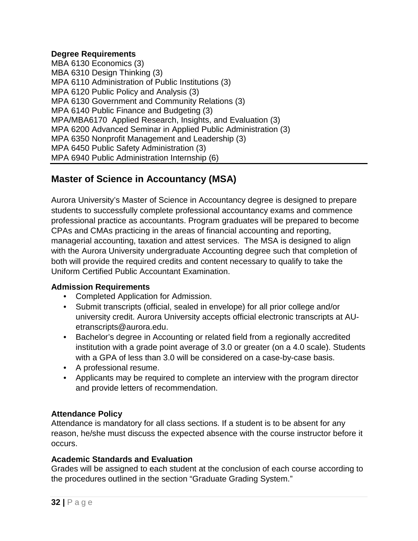#### **Degree Requirements**

MBA 6130 Economics (3) MBA 6310 Design Thinking (3) MPA 6110 Administration of Public Institutions (3) MPA 6120 Public Policy and Analysis (3) MPA 6130 Government and Community Relations (3) MPA 6140 Public Finance and Budgeting (3) MPA/MBA6170 Applied Research, Insights, and Evaluation (3) MPA 6200 Advanced Seminar in Applied Public Administration (3) MPA 6350 Nonprofit Management and Leadership (3) MPA 6450 Public Safety Administration (3) MPA 6940 Public Administration Internship (6)

## <span id="page-31-0"></span>**Master of Science in Accountancy (MSA)**

Aurora University's Master of Science in Accountancy degree is designed to prepare students to successfully complete professional accountancy exams and commence professional practice as accountants. Program graduates will be prepared to become CPAs and CMAs practicing in the areas of financial accounting and reporting, managerial accounting, taxation and attest services. The MSA is designed to align with the Aurora University undergraduate Accounting degree such that completion of both will provide the required credits and content necessary to qualify to take the Uniform Certified Public Accountant Examination.

#### **Admission Requirements**

- Completed Application for Admission.
- Submit transcripts (official, sealed in envelope) for all prior college and/or university credit. Aurora University accepts official electronic transcripts at AUetranscripts@aurora.edu.
- Bachelor's degree in Accounting or related field from a regionally accredited institution with a grade point average of 3.0 or greater (on a 4.0 scale). Students with a GPA of less than 3.0 will be considered on a case-by-case basis.
- A professional resume.
- Applicants may be required to complete an interview with the program director and provide letters of recommendation.

#### **Attendance Policy**

Attendance is mandatory for all class sections. If a student is to be absent for any reason, he/she must discuss the expected absence with the course instructor before it occurs.

#### **Academic Standards and Evaluation**

Grades will be assigned to each student at the conclusion of each course according to the procedures outlined in the section "Graduate Grading System."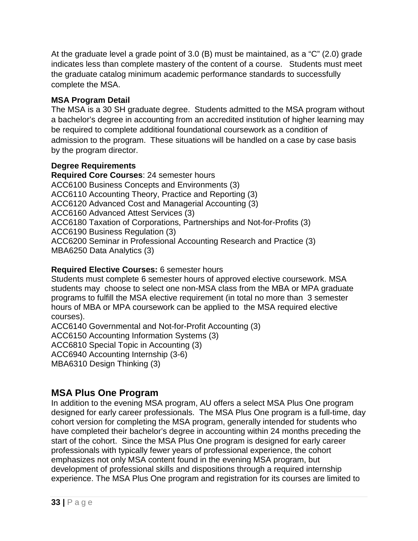At the graduate level a grade point of 3.0 (B) must be maintained, as a "C" (2.0) grade indicates less than complete mastery of the content of a course. Students must meet the graduate catalog minimum academic performance standards to successfully complete the MSA.

#### **MSA Program Detail**

The MSA is a 30 SH graduate degree. Students admitted to the MSA program without a bachelor's degree in accounting from an accredited institution of higher learning may be required to complete additional foundational coursework as a condition of admission to the program. These situations will be handled on a case by case basis by the program director.

#### **Degree Requirements**

**Required Core Courses**: 24 semester hours ACC6100 Business Concepts and Environments (3) ACC6110 Accounting Theory, Practice and Reporting (3) ACC6120 Advanced Cost and Managerial Accounting (3) ACC6160 Advanced Attest Services (3) ACC6180 Taxation of Corporations, Partnerships and Not-for-Profits (3) ACC6190 Business Regulation (3) ACC6200 Seminar in Professional Accounting Research and Practice (3) MBA6250 Data Analytics (3)

#### **Required Elective Courses:** 6 semester hours

Students must complete 6 semester hours of approved elective coursework. MSA students may choose to select one non-MSA class from the MBA or MPA graduate programs to fulfill the MSA elective requirement (in total no more than 3 semester hours of MBA or MPA coursework can be applied to the MSA required elective courses).

ACC6140 Governmental and Not-for-Profit Accounting (3)

ACC6150 Accounting Information Systems (3)

ACC6810 Special Topic in Accounting (3)

ACC6940 Accounting Internship (3-6)

<span id="page-32-0"></span>MBA6310 Design Thinking (3)

## **MSA Plus One Program**

In addition to the evening MSA program, AU offers a select MSA Plus One program designed for early career professionals. The MSA Plus One program is a full-time, day cohort version for completing the MSA program, generally intended for students who have completed their bachelor's degree in accounting within 24 months preceding the start of the cohort. Since the MSA Plus One program is designed for early career professionals with typically fewer years of professional experience, the cohort emphasizes not only MSA content found in the evening MSA program, but development of professional skills and dispositions through a required internship experience. The MSA Plus One program and registration for its courses are limited to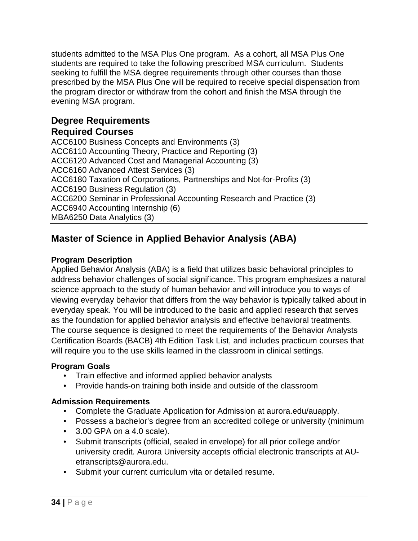students admitted to the MSA Plus One program. As a cohort, all MSA Plus One students are required to take the following prescribed MSA curriculum. Students seeking to fulfill the MSA degree requirements through other courses than those prescribed by the MSA Plus One will be required to receive special dispensation from the program director or withdraw from the cohort and finish the MSA through the evening MSA program.

## **Degree Requirements**

#### **Required Courses**

ACC6100 Business Concepts and Environments (3) ACC6110 Accounting Theory, Practice and Reporting (3) ACC6120 Advanced Cost and Managerial Accounting (3) ACC6160 Advanced Attest Services (3) ACC6180 Taxation of Corporations, Partnerships and Not-for-Profits (3) ACC6190 Business Regulation (3) ACC6200 Seminar in Professional Accounting Research and Practice (3) ACC6940 Accounting Internship (6) MBA6250 Data Analytics (3)

## <span id="page-33-0"></span>**Master of Science in Applied Behavior Analysis (ABA)**

#### **Program Description**

Applied Behavior Analysis (ABA) is a field that utilizes basic behavioral principles to address behavior challenges of social significance. This program emphasizes a natural science approach to the study of human behavior and will introduce you to ways of viewing everyday behavior that differs from the way behavior is typically talked about in everyday speak. You will be introduced to the basic and applied research that serves as the foundation for applied behavior analysis and effective behavioral treatments. The course sequence is designed to meet the requirements of the Behavior Analysts Certification Boards (BACB) 4th Edition Task List, and includes practicum courses that will require you to the use skills learned in the classroom in clinical settings.

#### **Program Goals**

- Train effective and informed applied behavior analysts
- Provide hands-on training both inside and outside of the classroom

#### **Admission Requirements**

- Complete the Graduate Application for Admission at aurora.edu/auapply.
- Possess a bachelor's degree from an accredited college or university (minimum
- 3.00 GPA on a 4.0 scale).
- Submit transcripts (official, sealed in envelope) for all prior college and/or university credit. Aurora University accepts official electronic transcripts at AUetranscripts@aurora.edu.
- Submit your current curriculum vita or detailed resume.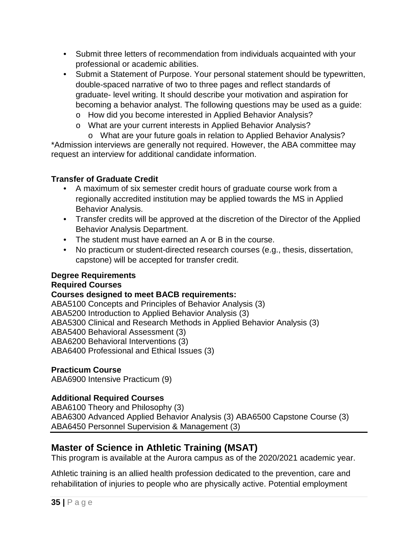- Submit three letters of recommendation from individuals acquainted with your professional or academic abilities.
- Submit a Statement of Purpose. Your personal statement should be typewritten, double-spaced narrative of two to three pages and reflect standards of graduate- level writing. It should describe your motivation and aspiration for becoming a behavior analyst. The following questions may be used as a guide:
	- o How did you become interested in Applied Behavior Analysis?
	- o What are your current interests in Applied Behavior Analysis?

o What are your future goals in relation to Applied Behavior Analysis? \*Admission interviews are generally not required. However, the ABA committee may request an interview for additional candidate information.

#### **Transfer of Graduate Credit**

- A maximum of six semester credit hours of graduate course work from a regionally accredited institution may be applied towards the MS in Applied Behavior Analysis.
- Transfer credits will be approved at the discretion of the Director of the Applied Behavior Analysis Department.
- The student must have earned an A or B in the course.
- No practicum or student-directed research courses (e.g., thesis, dissertation, capstone) will be accepted for transfer credit.

#### **Degree Requirements**

#### **Required Courses**

#### **Courses designed to meet BACB requirements:**

ABA5100 Concepts and Principles of Behavior Analysis (3) ABA5200 Introduction to Applied Behavior Analysis (3) ABA5300 Clinical and Research Methods in Applied Behavior Analysis (3) ABA5400 Behavioral Assessment (3) ABA6200 Behavioral Interventions (3) ABA6400 Professional and Ethical Issues (3)

#### **Practicum Course**

ABA6900 Intensive Practicum (9)

#### **Additional Required Courses**

ABA6100 Theory and Philosophy (3) ABA6300 Advanced Applied Behavior Analysis (3) ABA6500 Capstone Course (3) ABA6450 Personnel Supervision & Management (3)

## <span id="page-34-0"></span>**Master of Science in Athletic Training (MSAT)**

This program is available at the Aurora campus as of the 2020/2021 academic year.

Athletic training is an allied health profession dedicated to the prevention, care and rehabilitation of injuries to people who are physically active. Potential employment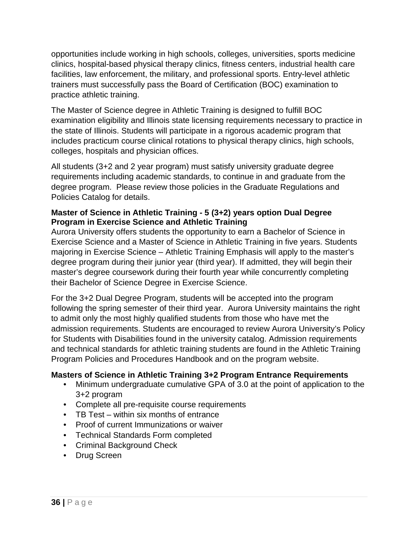opportunities include working in high schools, colleges, universities, sports medicine clinics, hospital-based physical therapy clinics, fitness centers, industrial health care facilities, law enforcement, the military, and professional sports. Entry-level athletic trainers must successfully pass the Board of Certification (BOC) examination to practice athletic training.

The Master of Science degree in Athletic Training is designed to fulfill BOC examination eligibility and Illinois state licensing requirements necessary to practice in the state of Illinois. Students will participate in a rigorous academic program that includes practicum course clinical rotations to physical therapy clinics, high schools, colleges, hospitals and physician offices.

All students (3+2 and 2 year program) must satisfy university graduate degree requirements including academic standards, to continue in and graduate from the degree program. Please review those policies in the Graduate Regulations and Policies Catalog for details.

#### **Master of Science in Athletic Training - 5 (3+2) years option Dual Degree Program in Exercise Science and Athletic Training**

Aurora University offers students the opportunity to earn a Bachelor of Science in Exercise Science and a Master of Science in Athletic Training in five years. Students majoring in Exercise Science – Athletic Training Emphasis will apply to the master's degree program during their junior year (third year). If admitted, they will begin their master's degree coursework during their fourth year while concurrently completing their Bachelor of Science Degree in Exercise Science.

For the 3+2 Dual Degree Program, students will be accepted into the program following the spring semester of their third year. Aurora University maintains the right to admit only the most highly qualified students from those who have met the admission requirements. Students are encouraged to review Aurora University's Policy for Students with Disabilities found in the university catalog. Admission requirements and technical standards for athletic training students are found in the Athletic Training Program Policies and Procedures Handbook and on the program website.

#### **Masters of Science in Athletic Training 3+2 Program Entrance Requirements**

- Minimum undergraduate cumulative GPA of 3.0 at the point of application to the 3+2 program
- Complete all pre-requisite course requirements
- TB Test within six months of entrance
- Proof of current Immunizations or waiver
- Technical Standards Form completed
- Criminal Background Check
- Drug Screen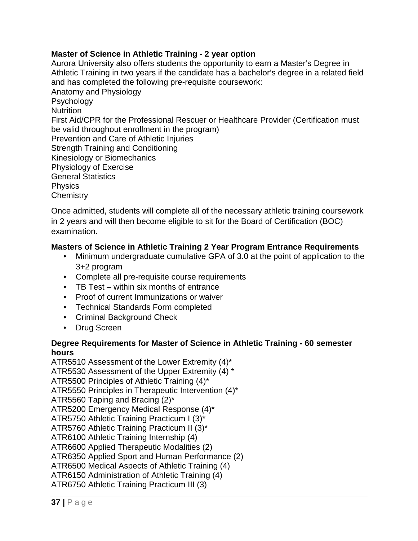#### **Master of Science in Athletic Training - 2 year option**

Aurora University also offers students the opportunity to earn a Master's Degree in Athletic Training in two years if the candidate has a bachelor's degree in a related field and has completed the following pre-requisite coursework: Anatomy and Physiology Psychology **Nutrition** First Aid/CPR for the Professional Rescuer or Healthcare Provider (Certification must be valid throughout enrollment in the program) Prevention and Care of Athletic Injuries Strength Training and Conditioning Kinesiology or Biomechanics Physiology of Exercise General Statistics **Physics Chemistry** 

Once admitted, students will complete all of the necessary athletic training coursework in 2 years and will then become eligible to sit for the Board of Certification (BOC) examination.

### **Masters of Science in Athletic Training 2 Year Program Entrance Requirements**

- Minimum undergraduate cumulative GPA of 3.0 at the point of application to the 3+2 program
- Complete all pre-requisite course requirements
- TB Test within six months of entrance
- Proof of current Immunizations or waiver
- Technical Standards Form completed
- Criminal Background Check
- Drug Screen

#### **Degree Requirements for Master of Science in Athletic Training - 60 semester hours**

ATR5510 Assessment of the Lower Extremity (4)\* ATR5530 Assessment of the Upper Extremity (4) \* ATR5500 Principles of Athletic Training (4)\* ATR5550 Principles in Therapeutic Intervention (4)\* ATR5560 Taping and Bracing (2)\* ATR5200 Emergency Medical Response (4)\* ATR5750 Athletic Training Practicum I (3)\* ATR5760 Athletic Training Practicum II (3)\* ATR6100 Athletic Training Internship (4) ATR6600 Applied Therapeutic Modalities (2) ATR6350 Applied Sport and Human Performance (2) ATR6500 Medical Aspects of Athletic Training (4) ATR6150 Administration of Athletic Training (4) ATR6750 Athletic Training Practicum III (3)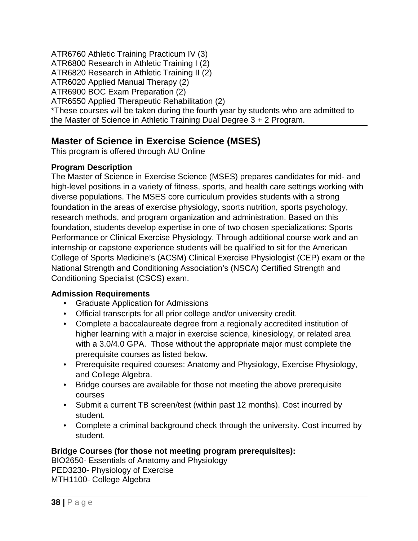ATR6760 Athletic Training Practicum IV (3) ATR6800 Research in Athletic Training I (2) ATR6820 Research in Athletic Training II (2) ATR6020 Applied Manual Therapy (2) ATR6900 BOC Exam Preparation (2) ATR6550 Applied Therapeutic Rehabilitation (2) \*These courses will be taken during the fourth year by students who are admitted to the Master of Science in Athletic Training Dual Degree 3 + 2 Program.

## **Master of Science in Exercise Science (MSES)**

This program is offered through AU Online

### **Program Description**

The Master of Science in Exercise Science (MSES) prepares candidates for mid- and high-level positions in a variety of fitness, sports, and health care settings working with diverse populations. The MSES core curriculum provides students with a strong foundation in the areas of exercise physiology, sports nutrition, sports psychology, research methods, and program organization and administration. Based on this foundation, students develop expertise in one of two chosen specializations: Sports Performance or Clinical Exercise Physiology. Through additional course work and an internship or capstone experience students will be qualified to sit for the American College of Sports Medicine's (ACSM) Clinical Exercise Physiologist (CEP) exam or the National Strength and Conditioning Association's (NSCA) Certified Strength and Conditioning Specialist (CSCS) exam.

### **Admission Requirements**

- Graduate Application for Admissions
- Official transcripts for all prior college and/or university credit.
- Complete a baccalaureate degree from a regionally accredited institution of higher learning with a major in exercise science, kinesiology, or related area with a 3.0/4.0 GPA. Those without the appropriate major must complete the prerequisite courses as listed below.
- Prerequisite required courses: Anatomy and Physiology, Exercise Physiology, and College Algebra.
- Bridge courses are available for those not meeting the above prerequisite courses
- Submit a current TB screen/test (within past 12 months). Cost incurred by student.
- Complete a criminal background check through the university. Cost incurred by student.

### **Bridge Courses (for those not meeting program prerequisites):**

BIO2650- Essentials of Anatomy and Physiology PED3230- Physiology of Exercise MTH1100- College Algebra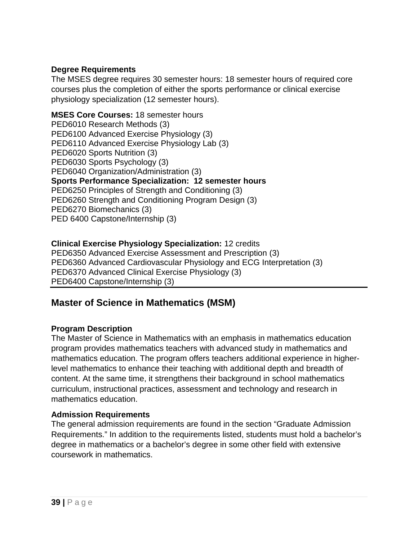### **Degree Requirements**

The MSES degree requires 30 semester hours: 18 semester hours of required core courses plus the completion of either the sports performance or clinical exercise physiology specialization (12 semester hours).

#### **MSES Core Courses:** 18 semester hours PED6010 Research Methods (3)

PED6100 Advanced Exercise Physiology (3) PED6110 Advanced Exercise Physiology Lab (3) PED6020 Sports Nutrition (3) PED6030 Sports Psychology (3) PED6040 Organization/Administration (3) **Sports Performance Specialization: 12 semester hours** PED6250 Principles of Strength and Conditioning (3) PED6260 Strength and Conditioning Program Design (3) PED6270 Biomechanics (3) PED 6400 Capstone/Internship (3)

### **Clinical Exercise Physiology Specialization:** 12 credits

PED6350 Advanced Exercise Assessment and Prescription (3) PED6360 Advanced Cardiovascular Physiology and ECG Interpretation (3) PED6370 Advanced Clinical Exercise Physiology (3) PED6400 Capstone/Internship (3)

## **Master of Science in Mathematics (MSM)**

### **Program Description**

The Master of Science in Mathematics with an emphasis in mathematics education program provides mathematics teachers with advanced study in mathematics and mathematics education. The program offers teachers additional experience in higherlevel mathematics to enhance their teaching with additional depth and breadth of content. At the same time, it strengthens their background in school mathematics curriculum, instructional practices, assessment and technology and research in mathematics education.

### **Admission Requirements**

The general admission requirements are found in the section "Graduate Admission Requirements." In addition to the requirements listed, students must hold a bachelor's degree in mathematics or a bachelor's degree in some other field with extensive coursework in mathematics.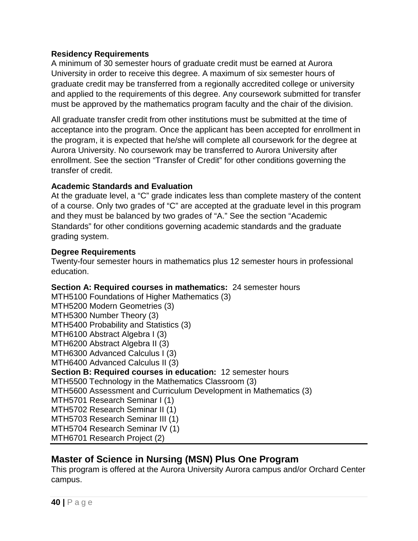#### **Residency Requirements**

A minimum of 30 semester hours of graduate credit must be earned at Aurora University in order to receive this degree. A maximum of six semester hours of graduate credit may be transferred from a regionally accredited college or university and applied to the requirements of this degree. Any coursework submitted for transfer must be approved by the mathematics program faculty and the chair of the division.

All graduate transfer credit from other institutions must be submitted at the time of acceptance into the program. Once the applicant has been accepted for enrollment in the program, it is expected that he/she will complete all coursework for the degree at Aurora University. No coursework may be transferred to Aurora University after enrollment. See the section "Transfer of Credit" for other conditions governing the transfer of credit.

### **Academic Standards and Evaluation**

At the graduate level, a "C" grade indicates less than complete mastery of the content of a course. Only two grades of "C" are accepted at the graduate level in this program and they must be balanced by two grades of "A." See the section "Academic Standards" for other conditions governing academic standards and the graduate grading system.

#### **Degree Requirements**

Twenty-four semester hours in mathematics plus 12 semester hours in professional education.

**Section A: Required courses in mathematics:** 24 semester hours MTH5100 Foundations of Higher Mathematics (3) MTH5200 Modern Geometries (3) MTH5300 Number Theory (3) MTH5400 Probability and Statistics (3) MTH6100 Abstract Algebra I (3) MTH6200 Abstract Algebra II (3) MTH6300 Advanced Calculus I (3) MTH6400 Advanced Calculus II (3) **Section B: Required courses in education:** 12 semester hours MTH5500 Technology in the Mathematics Classroom (3) MTH5600 Assessment and Curriculum Development in Mathematics (3) MTH5701 Research Seminar I (1) MTH5702 Research Seminar II (1) MTH5703 Research Seminar III (1) MTH5704 Research Seminar IV (1) MTH6701 Research Project (2)

## **Master of Science in Nursing (MSN) Plus One Program**

This program is offered at the Aurora University Aurora campus and/or Orchard Center campus.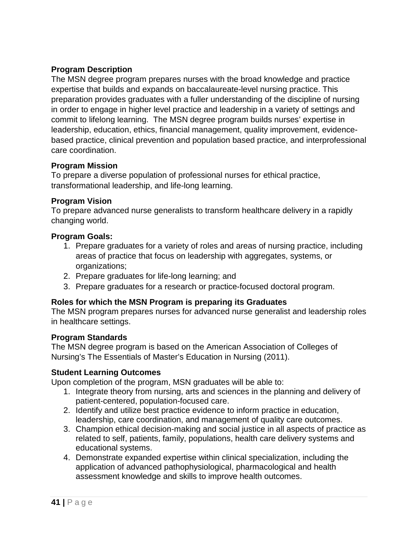### **Program Description**

The MSN degree program prepares nurses with the broad knowledge and practice expertise that builds and expands on baccalaureate-level nursing practice. This preparation provides graduates with a fuller understanding of the discipline of nursing in order to engage in higher level practice and leadership in a variety of settings and commit to lifelong learning. The MSN degree program builds nurses' expertise in leadership, education, ethics, financial management, quality improvement, evidencebased practice, clinical prevention and population based practice, and interprofessional care coordination.

### **Program Mission**

To prepare a diverse population of professional nurses for ethical practice, transformational leadership, and life-long learning.

### **Program Vision**

To prepare advanced nurse generalists to transform healthcare delivery in a rapidly changing world.

### **Program Goals:**

- 1. Prepare graduates for a variety of roles and areas of nursing practice, including areas of practice that focus on leadership with aggregates, systems, or organizations;
- 2. Prepare graduates for life-long learning; and
- 3. Prepare graduates for a research or practice-focused doctoral program.

### **Roles for which the MSN Program is preparing its Graduates**

The MSN program prepares nurses for advanced nurse generalist and leadership roles in healthcare settings.

### **Program Standards**

The MSN degree program is based on the American Association of Colleges of Nursing's The Essentials of Master's Education in Nursing (2011).

### **Student Learning Outcomes**

Upon completion of the program, MSN graduates will be able to:

- 1. Integrate theory from nursing, arts and sciences in the planning and delivery of patient-centered, population-focused care.
- 2. Identify and utilize best practice evidence to inform practice in education, leadership, care coordination, and management of quality care outcomes.
- 3. Champion ethical decision-making and social justice in all aspects of practice as related to self, patients, family, populations, health care delivery systems and educational systems.
- 4. Demonstrate expanded expertise within clinical specialization, including the application of advanced pathophysiological, pharmacological and health assessment knowledge and skills to improve health outcomes.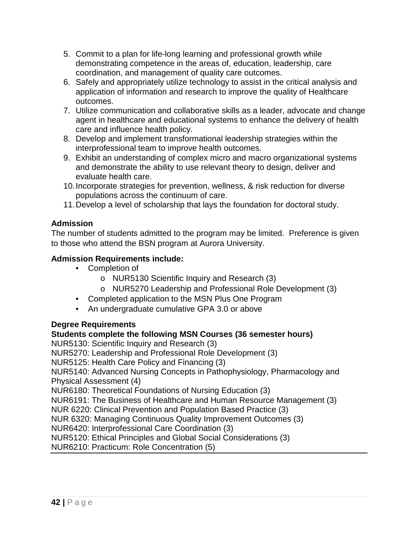- 5. Commit to a plan for life-long learning and professional growth while demonstrating competence in the areas of, education, leadership, care coordination, and management of quality care outcomes.
- 6. Safely and appropriately utilize technology to assist in the critical analysis and application of information and research to improve the quality of Healthcare outcomes.
- 7. Utilize communication and collaborative skills as a leader, advocate and change agent in healthcare and educational systems to enhance the delivery of health care and influence health policy.
- 8. Develop and implement transformational leadership strategies within the interprofessional team to improve health outcomes.
- 9. Exhibit an understanding of complex micro and macro organizational systems and demonstrate the ability to use relevant theory to design, deliver and evaluate health care.
- 10.Incorporate strategies for prevention, wellness, & risk reduction for diverse populations across the continuum of care.
- 11.Develop a level of scholarship that lays the foundation for doctoral study.

### **Admission**

The number of students admitted to the program may be limited. Preference is given to those who attend the BSN program at Aurora University.

### **Admission Requirements include:**

- Completion of
	- o NUR5130 Scientific Inquiry and Research (3)
	- o NUR5270 Leadership and Professional Role Development (3)
- Completed application to the MSN Plus One Program
- An undergraduate cumulative GPA 3.0 or above

### **Degree Requirements**

### **Students complete the following MSN Courses (36 semester hours)**

NUR5130: Scientific Inquiry and Research (3)

NUR5270: Leadership and Professional Role Development (3)

NUR5125: Health Care Policy and Financing (3)

NUR5140: Advanced Nursing Concepts in Pathophysiology, Pharmacology and Physical Assessment (4)

NUR6180: Theoretical Foundations of Nursing Education (3)

NUR6191: The Business of Healthcare and Human Resource Management (3)

NUR 6220: Clinical Prevention and Population Based Practice (3)

NUR 6320: Managing Continuous Quality Improvement Outcomes (3)

NUR6420: Interprofessional Care Coordination (3)

NUR5120: Ethical Principles and Global Social Considerations (3)

NUR6210: Practicum: Role Concentration (5)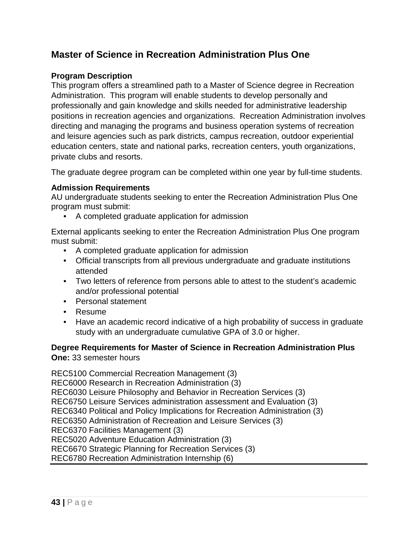## **Master of Science in Recreation Administration Plus One**

### **Program Description**

This program offers a streamlined path to a Master of Science degree in Recreation Administration. This program will enable students to develop personally and professionally and gain knowledge and skills needed for administrative leadership positions in recreation agencies and organizations. Recreation Administration involves directing and managing the programs and business operation systems of recreation and leisure agencies such as park districts, campus recreation, outdoor experiential education centers, state and national parks, recreation centers, youth organizations, private clubs and resorts.

The graduate degree program can be completed within one year by full-time students.

### **Admission Requirements**

AU undergraduate students seeking to enter the Recreation Administration Plus One program must submit:

• A completed graduate application for admission

External applicants seeking to enter the Recreation Administration Plus One program must submit:

- A completed graduate application for admission
- Official transcripts from all previous undergraduate and graduate institutions attended
- Two letters of reference from persons able to attest to the student's academic and/or professional potential
- Personal statement
- Resume
- Have an academic record indicative of a high probability of success in graduate study with an undergraduate cumulative GPA of 3.0 or higher.

### **Degree Requirements for Master of Science in Recreation Administration Plus One:** 33 semester hours

REC5100 Commercial Recreation Management (3) REC6000 Research in Recreation Administration (3) REC6030 Leisure Philosophy and Behavior in Recreation Services (3) REC6750 Leisure Services administration assessment and Evaluation (3) REC6340 Political and Policy Implications for Recreation Administration (3) REC6350 Administration of Recreation and Leisure Services (3) REC6370 Facilities Management (3) REC5020 Adventure Education Administration (3) REC6670 Strategic Planning for Recreation Services (3) REC6780 Recreation Administration Internship (6)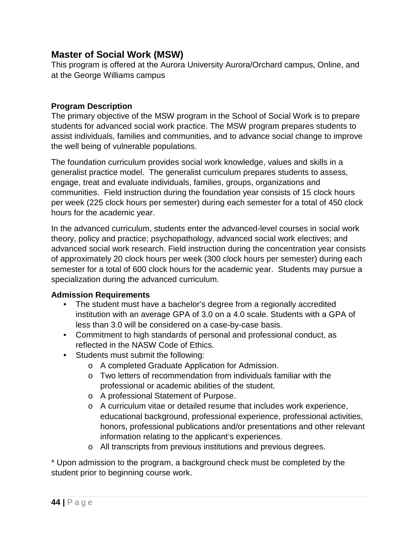## **Master of Social Work (MSW)**

This program is offered at the Aurora University Aurora/Orchard campus, Online, and at the George Williams campus

### **Program Description**

The primary objective of the MSW program in the School of Social Work is to prepare students for advanced social work practice. The MSW program prepares students to assist individuals, families and communities, and to advance social change to improve the well being of vulnerable populations.

The foundation curriculum provides social work knowledge, values and skills in a generalist practice model. The generalist curriculum prepares students to assess, engage, treat and evaluate individuals, families, groups, organizations and communities. Field instruction during the foundation year consists of 15 clock hours per week (225 clock hours per semester) during each semester for a total of 450 clock hours for the academic year.

In the advanced curriculum, students enter the advanced-level courses in social work theory, policy and practice; psychopathology, advanced social work electives; and advanced social work research. Field instruction during the concentration year consists of approximately 20 clock hours per week (300 clock hours per semester) during each semester for a total of 600 clock hours for the academic year. Students may pursue a specialization during the advanced curriculum.

### **Admission Requirements**

- The student must have a bachelor's degree from a regionally accredited institution with an average GPA of 3.0 on a 4.0 scale. Students with a GPA of less than 3.0 will be considered on a case-by-case basis.
- Commitment to high standards of personal and professional conduct, as reflected in the NASW Code of Ethics.
- Students must submit the following:
	- o A completed Graduate Application for Admission.
	- o Two letters of recommendation from individuals familiar with the professional or academic abilities of the student.
	- o A professional Statement of Purpose.
	- o A curriculum vitae or detailed resume that includes work experience, educational background, professional experience, professional activities, honors, professional publications and/or presentations and other relevant information relating to the applicant's experiences.
	- o All transcripts from previous institutions and previous degrees.

\* Upon admission to the program, a background check must be completed by the student prior to beginning course work.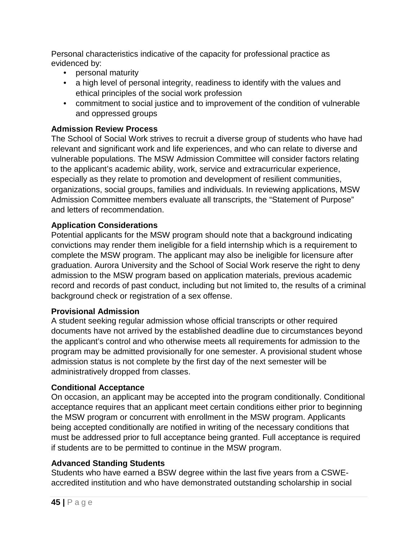Personal characteristics indicative of the capacity for professional practice as evidenced by:

- personal maturity
- a high level of personal integrity, readiness to identify with the values and ethical principles of the social work profession
- commitment to social justice and to improvement of the condition of vulnerable and oppressed groups

### **Admission Review Process**

The School of Social Work strives to recruit a diverse group of students who have had relevant and significant work and life experiences, and who can relate to diverse and vulnerable populations. The MSW Admission Committee will consider factors relating to the applicant's academic ability, work, service and extracurricular experience, especially as they relate to promotion and development of resilient communities, organizations, social groups, families and individuals. In reviewing applications, MSW Admission Committee members evaluate all transcripts, the "Statement of Purpose" and letters of recommendation.

### **Application Considerations**

Potential applicants for the MSW program should note that a background indicating convictions may render them ineligible for a field internship which is a requirement to complete the MSW program. The applicant may also be ineligible for licensure after graduation. Aurora University and the School of Social Work reserve the right to deny admission to the MSW program based on application materials, previous academic record and records of past conduct, including but not limited to, the results of a criminal background check or registration of a sex offense.

### **Provisional Admission**

A student seeking regular admission whose official transcripts or other required documents have not arrived by the established deadline due to circumstances beyond the applicant's control and who otherwise meets all requirements for admission to the program may be admitted provisionally for one semester. A provisional student whose admission status is not complete by the first day of the next semester will be administratively dropped from classes.

### **Conditional Acceptance**

On occasion, an applicant may be accepted into the program conditionally. Conditional acceptance requires that an applicant meet certain conditions either prior to beginning the MSW program or concurrent with enrollment in the MSW program. Applicants being accepted conditionally are notified in writing of the necessary conditions that must be addressed prior to full acceptance being granted. Full acceptance is required if students are to be permitted to continue in the MSW program.

### **Advanced Standing Students**

Students who have earned a BSW degree within the last five years from a CSWEaccredited institution and who have demonstrated outstanding scholarship in social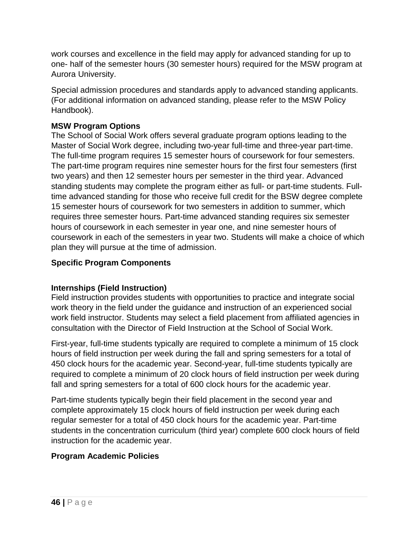work courses and excellence in the field may apply for advanced standing for up to one- half of the semester hours (30 semester hours) required for the MSW program at Aurora University.

Special admission procedures and standards apply to advanced standing applicants. (For additional information on advanced standing, please refer to the MSW Policy Handbook).

### **MSW Program Options**

The School of Social Work offers several graduate program options leading to the Master of Social Work degree, including two-year full-time and three-year part-time. The full-time program requires 15 semester hours of coursework for four semesters. The part-time program requires nine semester hours for the first four semesters (first two years) and then 12 semester hours per semester in the third year. Advanced standing students may complete the program either as full- or part-time students. Fulltime advanced standing for those who receive full credit for the BSW degree complete 15 semester hours of coursework for two semesters in addition to summer, which requires three semester hours. Part-time advanced standing requires six semester hours of coursework in each semester in year one, and nine semester hours of coursework in each of the semesters in year two. Students will make a choice of which plan they will pursue at the time of admission.

### **Specific Program Components**

### **Internships (Field Instruction)**

Field instruction provides students with opportunities to practice and integrate social work theory in the field under the guidance and instruction of an experienced social work field instructor. Students may select a field placement from affiliated agencies in consultation with the Director of Field Instruction at the School of Social Work.

First-year, full-time students typically are required to complete a minimum of 15 clock hours of field instruction per week during the fall and spring semesters for a total of 450 clock hours for the academic year. Second-year, full-time students typically are required to complete a minimum of 20 clock hours of field instruction per week during fall and spring semesters for a total of 600 clock hours for the academic year.

Part-time students typically begin their field placement in the second year and complete approximately 15 clock hours of field instruction per week during each regular semester for a total of 450 clock hours for the academic year. Part-time students in the concentration curriculum (third year) complete 600 clock hours of field instruction for the academic year.

### **Program Academic Policies**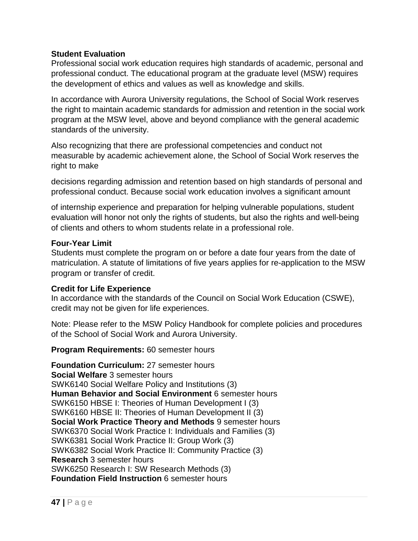#### **Student Evaluation**

Professional social work education requires high standards of academic, personal and professional conduct. The educational program at the graduate level (MSW) requires the development of ethics and values as well as knowledge and skills.

In accordance with Aurora University regulations, the School of Social Work reserves the right to maintain academic standards for admission and retention in the social work program at the MSW level, above and beyond compliance with the general academic standards of the university.

Also recognizing that there are professional competencies and conduct not measurable by academic achievement alone, the School of Social Work reserves the right to make

decisions regarding admission and retention based on high standards of personal and professional conduct. Because social work education involves a significant amount

of internship experience and preparation for helping vulnerable populations, student evaluation will honor not only the rights of students, but also the rights and well-being of clients and others to whom students relate in a professional role.

#### **Four-Year Limit**

Students must complete the program on or before a date four years from the date of matriculation. A statute of limitations of five years applies for re-application to the MSW program or transfer of credit.

### **Credit for Life Experience**

In accordance with the standards of the Council on Social Work Education (CSWE), credit may not be given for life experiences.

Note: Please refer to the MSW Policy Handbook for complete policies and procedures of the School of Social Work and Aurora University.

**Program Requirements:** 60 semester hours

**Foundation Curriculum:** 27 semester hours **Social Welfare** 3 semester hours SWK6140 Social Welfare Policy and Institutions (3) **Human Behavior and Social Environment** 6 semester hours SWK6150 HBSE I: Theories of Human Development I (3) SWK6160 HBSE II: Theories of Human Development II (3) **Social Work Practice Theory and Methods** 9 semester hours SWK6370 Social Work Practice I: Individuals and Families (3) SWK6381 Social Work Practice II: Group Work (3) SWK6382 Social Work Practice II: Community Practice (3) **Research** 3 semester hours SWK6250 Research I: SW Research Methods (3) **Foundation Field Instruction** 6 semester hours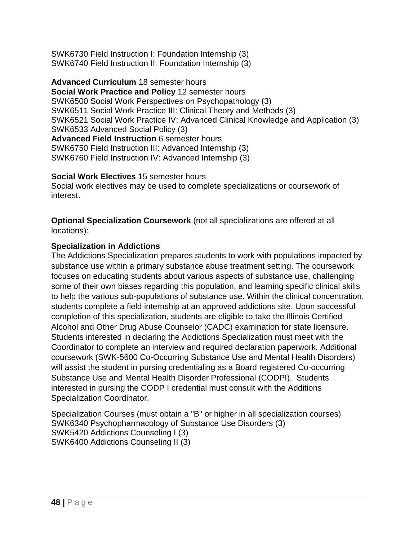SWK6730 Field Instruction I: Foundation Internship (3) SWK6740 Field Instruction II: Foundation Internship (3)

**Advanced Curriculum** 18 semester hours **Social Work Practice and Policy** 12 semester hours SWK6500 Social Work Perspectives on Psychopathology (3) SWK6511 Social Work Practice III: Clinical Theory and Methods (3) SWK6521 Social Work Practice IV: Advanced Clinical Knowledge and Application (3) SWK6533 Advanced Social Policy (3) **Advanced Field Instruction** 6 semester hours SWK6750 Field Instruction III: Advanced Internship (3) SWK6760 Field Instruction IV: Advanced Internship (3)

**Social Work Electives** 15 semester hours

Social work electives may be used to complete specializations or coursework of interest.

**Optional Specialization Coursework** (not all specializations are offered at all locations):

### **Specialization in Addictions**

The Addictions Specialization prepares students to work with populations impacted by substance use within a primary substance abuse treatment setting. The coursework focuses on educating students about various aspects of substance use, challenging some of their own biases regarding this population, and learning specific clinical skills to help the various sub-populations of substance use. Within the clinical concentration, students complete a field internship at an approved addictions site. Upon successful completion of this specialization, students are eligible to take the Illinois Certified Alcohol and Other Drug Abuse Counselor (CADC) examination for state licensure. Students interested in declaring the Addictions Specialization must meet with the Coordinator to complete an interview and required declaration paperwork. Additional coursework (SWK-5600 Co-Occurring Substance Use and Mental Health Disorders) will assist the student in pursing credentialing as a Board registered Co-occurring Substance Use and Mental Health Disorder Professional (CODPI). Students interested in pursing the CODP I credential must consult with the Additions Specialization Coordinator.

Specialization Courses (must obtain a "B" or higher in all specialization courses) SWK6340 Psychopharmacology of Substance Use Disorders (3) SWK5420 Addictions Counseling I (3) SWK6400 Addictions Counseling II (3)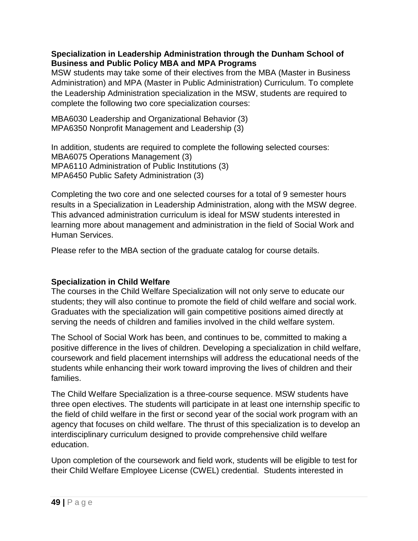#### **Specialization in Leadership Administration through the Dunham School of Business and Public Policy MBA and MPA Programs**

MSW students may take some of their electives from the MBA (Master in Business Administration) and MPA (Master in Public Administration) Curriculum. To complete the Leadership Administration specialization in the MSW, students are required to complete the following two core specialization courses:

MBA6030 Leadership and Organizational Behavior (3) MPA6350 Nonprofit Management and Leadership (3)

In addition, students are required to complete the following selected courses: MBA6075 Operations Management (3) MPA6110 Administration of Public Institutions (3) MPA6450 Public Safety Administration (3)

Completing the two core and one selected courses for a total of 9 semester hours results in a Specialization in Leadership Administration, along with the MSW degree. This advanced administration curriculum is ideal for MSW students interested in learning more about management and administration in the field of Social Work and Human Services.

Please refer to the MBA section of the graduate catalog for course details.

### **Specialization in Child Welfare**

The courses in the Child Welfare Specialization will not only serve to educate our students; they will also continue to promote the field of child welfare and social work. Graduates with the specialization will gain competitive positions aimed directly at serving the needs of children and families involved in the child welfare system.

The School of Social Work has been, and continues to be, committed to making a positive difference in the lives of children. Developing a specialization in child welfare, coursework and field placement internships will address the educational needs of the students while enhancing their work toward improving the lives of children and their families.

The Child Welfare Specialization is a three-course sequence. MSW students have three open electives. The students will participate in at least one internship specific to the field of child welfare in the first or second year of the social work program with an agency that focuses on child welfare. The thrust of this specialization is to develop an interdisciplinary curriculum designed to provide comprehensive child welfare education.

Upon completion of the coursework and field work, students will be eligible to test for their Child Welfare Employee License (CWEL) credential. Students interested in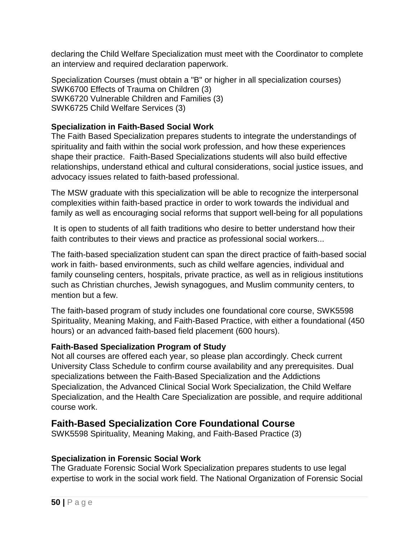declaring the Child Welfare Specialization must meet with the Coordinator to complete an interview and required declaration paperwork.

Specialization Courses (must obtain a "B" or higher in all specialization courses) SWK6700 Effects of Trauma on Children (3) SWK6720 Vulnerable Children and Families (3) SWK6725 Child Welfare Services (3)

### **Specialization in Faith-Based Social Work**

The Faith Based Specialization prepares students to integrate the understandings of spirituality and faith within the social work profession, and how these experiences shape their practice. Faith-Based Specializations students will also build effective relationships, understand ethical and cultural considerations, social justice issues, and advocacy issues related to faith-based professional.

The MSW graduate with this specialization will be able to recognize the interpersonal complexities within faith-based practice in order to work towards the individual and family as well as encouraging social reforms that support well-being for all populations

It is open to students of all faith traditions who desire to better understand how their faith contributes to their views and practice as professional social workers...

The faith-based specialization student can span the direct practice of faith-based social work in faith- based environments, such as child welfare agencies, individual and family counseling centers, hospitals, private practice, as well as in religious institutions such as Christian churches, Jewish synagogues, and Muslim community centers, to mention but a few.

The faith-based program of study includes one foundational core course, SWK5598 Spirituality, Meaning Making, and Faith-Based Practice, with either a foundational (450 hours) or an advanced faith-based field placement (600 hours).

### **Faith-Based Specialization Program of Study**

Not all courses are offered each year, so please plan accordingly. Check current University Class Schedule to confirm course availability and any prerequisites. Dual specializations between the Faith-Based Specialization and the Addictions Specialization, the Advanced Clinical Social Work Specialization, the Child Welfare Specialization, and the Health Care Specialization are possible, and require additional course work.

## **Faith-Based Specialization Core Foundational Course**

SWK5598 Spirituality, Meaning Making, and Faith-Based Practice (3)

### **Specialization in Forensic Social Work**

The Graduate Forensic Social Work Specialization prepares students to use legal expertise to work in the social work field. The National Organization of Forensic Social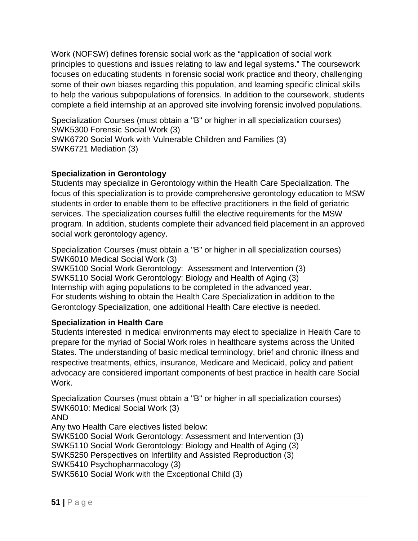Work (NOFSW) defines forensic social work as the "application of social work principles to questions and issues relating to law and legal systems." The coursework focuses on educating students in forensic social work practice and theory, challenging some of their own biases regarding this population, and learning specific clinical skills to help the various subpopulations of forensics. In addition to the coursework, students complete a field internship at an approved site involving forensic involved populations.

Specialization Courses (must obtain a "B" or higher in all specialization courses) SWK5300 Forensic Social Work (3) SWK6720 Social Work with Vulnerable Children and Families (3) SWK6721 Mediation (3)

### **Specialization in Gerontology**

Students may specialize in Gerontology within the Health Care Specialization. The focus of this specialization is to provide comprehensive gerontology education to MSW students in order to enable them to be effective practitioners in the field of geriatric services. The specialization courses fulfill the elective requirements for the MSW program. In addition, students complete their advanced field placement in an approved social work gerontology agency.

Specialization Courses (must obtain a "B" or higher in all specialization courses) SWK6010 Medical Social Work (3)

SWK5100 Social Work Gerontology: Assessment and Intervention (3) SWK5110 Social Work Gerontology: Biology and Health of Aging (3) Internship with aging populations to be completed in the advanced year. For students wishing to obtain the Health Care Specialization in addition to the Gerontology Specialization, one additional Health Care elective is needed.

### **Specialization in Health Care**

Students interested in medical environments may elect to specialize in Health Care to prepare for the myriad of Social Work roles in healthcare systems across the United States. The understanding of basic medical terminology, brief and chronic illness and respective treatments, ethics, insurance, Medicare and Medicaid, policy and patient advocacy are considered important components of best practice in health care Social Work.

Specialization Courses (must obtain a "B" or higher in all specialization courses) SWK6010: Medical Social Work (3) AND Any two Health Care electives listed below: SWK5100 Social Work Gerontology: Assessment and Intervention (3) SWK5110 Social Work Gerontology: Biology and Health of Aging (3) SWK5250 Perspectives on Infertility and Assisted Reproduction (3) SWK5410 Psychopharmacology (3) SWK5610 Social Work with the Exceptional Child (3)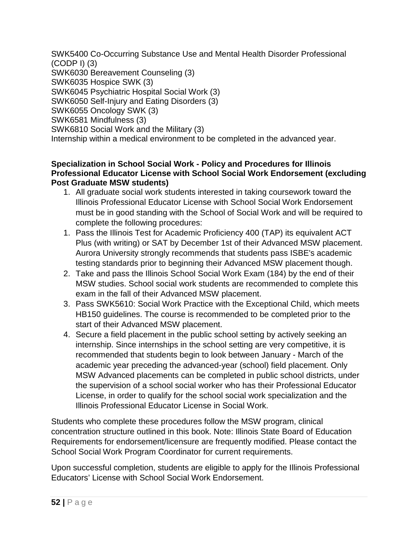SWK5400 Co-Occurring Substance Use and Mental Health Disorder Professional (CODP I) (3) SWK6030 Bereavement Counseling (3) SWK6035 Hospice SWK (3) SWK6045 Psychiatric Hospital Social Work (3) SWK6050 Self-Injury and Eating Disorders (3) SWK6055 Oncology SWK (3) SWK6581 Mindfulness (3) SWK6810 Social Work and the Military (3) Internship within a medical environment to be completed in the advanced year.

#### **Specialization in School Social Work - Policy and Procedures for Illinois Professional Educator License with School Social Work Endorsement (excluding Post Graduate MSW students)**

- 1. All graduate social work students interested in taking coursework toward the Illinois Professional Educator License with School Social Work Endorsement must be in good standing with the School of Social Work and will be required to complete the following procedures:
- 1. Pass the Illinois Test for Academic Proficiency 400 (TAP) its equivalent ACT Plus (with writing) or SAT by December 1st of their Advanced MSW placement. Aurora University strongly recommends that students pass ISBE's academic testing standards prior to beginning their Advanced MSW placement though.
- 2. Take and pass the Illinois School Social Work Exam (184) by the end of their MSW studies. School social work students are recommended to complete this exam in the fall of their Advanced MSW placement.
- 3. Pass SWK5610: Social Work Practice with the Exceptional Child, which meets HB150 guidelines. The course is recommended to be completed prior to the start of their Advanced MSW placement.
- 4. Secure a field placement in the public school setting by actively seeking an internship. Since internships in the school setting are very competitive, it is recommended that students begin to look between January - March of the academic year preceding the advanced-year (school) field placement. Only MSW Advanced placements can be completed in public school districts, under the supervision of a school social worker who has their Professional Educator License, in order to qualify for the school social work specialization and the Illinois Professional Educator License in Social Work.

Students who complete these procedures follow the MSW program, clinical concentration structure outlined in this book. Note: Illinois State Board of Education Requirements for endorsement/licensure are frequently modified. Please contact the School Social Work Program Coordinator for current requirements.

Upon successful completion, students are eligible to apply for the Illinois Professional Educators' License with School Social Work Endorsement.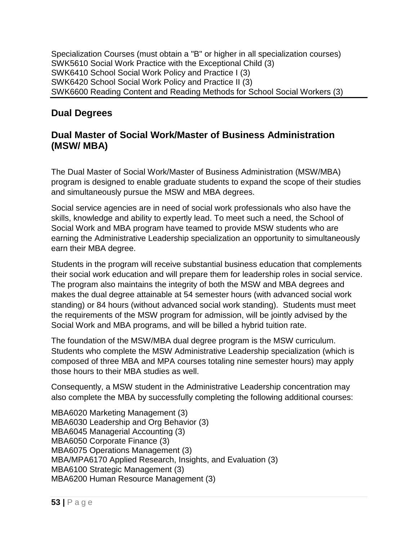Specialization Courses (must obtain a "B" or higher in all specialization courses) SWK5610 Social Work Practice with the Exceptional Child (3) SWK6410 School Social Work Policy and Practice I (3) SWK6420 School Social Work Policy and Practice II (3) SWK6600 Reading Content and Reading Methods for School Social Workers (3)

# **Dual Degrees**

## **Dual Master of Social Work/Master of Business Administration (MSW/ MBA)**

The Dual Master of Social Work/Master of Business Administration (MSW/MBA) program is designed to enable graduate students to expand the scope of their studies and simultaneously pursue the MSW and MBA degrees.

Social service agencies are in need of social work professionals who also have the skills, knowledge and ability to expertly lead. To meet such a need, the School of Social Work and MBA program have teamed to provide MSW students who are earning the Administrative Leadership specialization an opportunity to simultaneously earn their MBA degree.

Students in the program will receive substantial business education that complements their social work education and will prepare them for leadership roles in social service. The program also maintains the integrity of both the MSW and MBA degrees and makes the dual degree attainable at 54 semester hours (with advanced social work standing) or 84 hours (without advanced social work standing). Students must meet the requirements of the MSW program for admission, will be jointly advised by the Social Work and MBA programs, and will be billed a hybrid tuition rate.

The foundation of the MSW/MBA dual degree program is the MSW curriculum. Students who complete the MSW Administrative Leadership specialization (which is composed of three MBA and MPA courses totaling nine semester hours) may apply those hours to their MBA studies as well.

Consequently, a MSW student in the Administrative Leadership concentration may also complete the MBA by successfully completing the following additional courses:

MBA6020 Marketing Management (3) MBA6030 Leadership and Org Behavior (3) MBA6045 Managerial Accounting (3) MBA6050 Corporate Finance (3) MBA6075 Operations Management (3) MBA/MPA6170 Applied Research, Insights, and Evaluation (3) MBA6100 Strategic Management (3) MBA6200 Human Resource Management (3)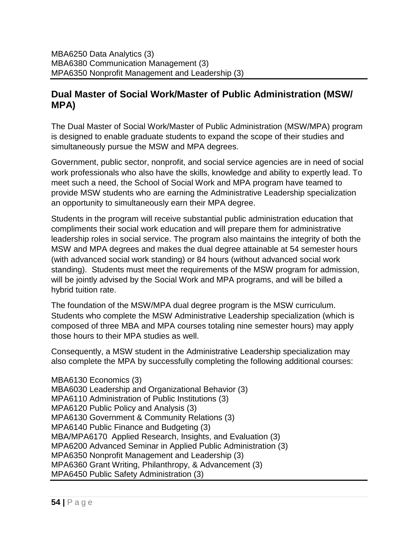## **Dual Master of Social Work/Master of Public Administration (MSW/ MPA)**

The Dual Master of Social Work/Master of Public Administration (MSW/MPA) program is designed to enable graduate students to expand the scope of their studies and simultaneously pursue the MSW and MPA degrees.

Government, public sector, nonprofit, and social service agencies are in need of social work professionals who also have the skills, knowledge and ability to expertly lead. To meet such a need, the School of Social Work and MPA program have teamed to provide MSW students who are earning the Administrative Leadership specialization an opportunity to simultaneously earn their MPA degree.

Students in the program will receive substantial public administration education that compliments their social work education and will prepare them for administrative leadership roles in social service. The program also maintains the integrity of both the MSW and MPA degrees and makes the dual degree attainable at 54 semester hours (with advanced social work standing) or 84 hours (without advanced social work standing). Students must meet the requirements of the MSW program for admission, will be jointly advised by the Social Work and MPA programs, and will be billed a hybrid tuition rate.

The foundation of the MSW/MPA dual degree program is the MSW curriculum. Students who complete the MSW Administrative Leadership specialization (which is composed of three MBA and MPA courses totaling nine semester hours) may apply those hours to their MPA studies as well.

Consequently, a MSW student in the Administrative Leadership specialization may also complete the MPA by successfully completing the following additional courses:

MBA6130 Economics (3) MBA6030 Leadership and Organizational Behavior (3) MPA6110 Administration of Public Institutions (3) MPA6120 Public Policy and Analysis (3) MPA6130 Government & Community Relations (3) MPA6140 Public Finance and Budgeting (3) MBA/MPA6170 Applied Research, Insights, and Evaluation (3) MPA6200 Advanced Seminar in Applied Public Administration (3) MPA6350 Nonprofit Management and Leadership (3) MPA6360 Grant Writing, Philanthropy, & Advancement (3) MPA6450 Public Safety Administration (3)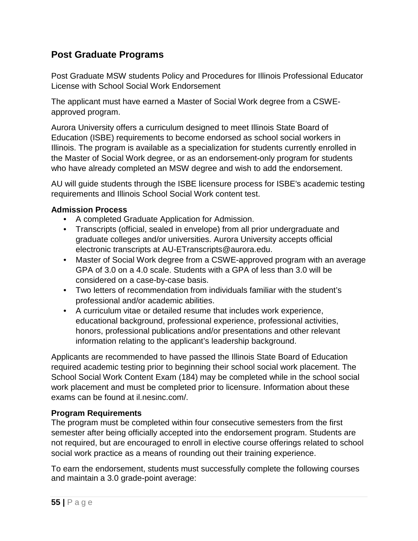## **Post Graduate Programs**

Post Graduate MSW students Policy and Procedures for Illinois Professional Educator License with School Social Work Endorsement

The applicant must have earned a Master of Social Work degree from a CSWEapproved program.

Aurora University offers a curriculum designed to meet Illinois State Board of Education (ISBE) requirements to become endorsed as school social workers in Illinois. The program is available as a specialization for students currently enrolled in the Master of Social Work degree, or as an endorsement-only program for students who have already completed an MSW degree and wish to add the endorsement.

AU will guide students through the ISBE licensure process for ISBE's academic testing requirements and Illinois School Social Work content test.

#### **Admission Process**

- A completed Graduate Application for Admission.
- Transcripts (official, sealed in envelope) from all prior undergraduate and graduate colleges and/or universities. Aurora University accepts official electronic transcripts at AU-ETranscripts@aurora.edu.
- Master of Social Work degree from a CSWE-approved program with an average GPA of 3.0 on a 4.0 scale. Students with a GPA of less than 3.0 will be considered on a case-by-case basis.
- Two letters of recommendation from individuals familiar with the student's professional and/or academic abilities.
- A curriculum vitae or detailed resume that includes work experience, educational background, professional experience, professional activities, honors, professional publications and/or presentations and other relevant information relating to the applicant's leadership background.

Applicants are recommended to have passed the Illinois State Board of Education required academic testing prior to beginning their school social work placement. The School Social Work Content Exam (184) may be completed while in the school social work placement and must be completed prior to licensure. Information about these exams can be found at il.nesinc.com/.

#### **Program Requirements**

The program must be completed within four consecutive semesters from the first semester after being officially accepted into the endorsement program. Students are not required, but are encouraged to enroll in elective course offerings related to school social work practice as a means of rounding out their training experience.

To earn the endorsement, students must successfully complete the following courses and maintain a 3.0 grade-point average: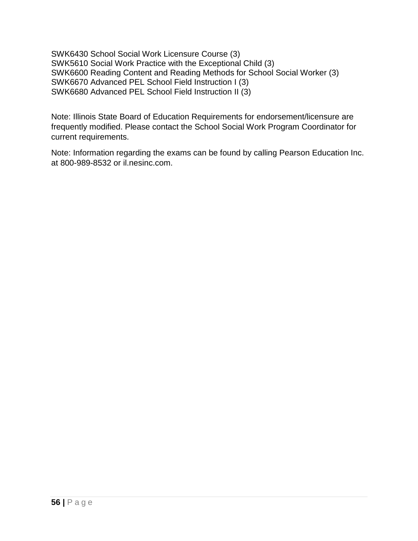SWK6430 School Social Work Licensure Course (3) SWK5610 Social Work Practice with the Exceptional Child (3) SWK6600 Reading Content and Reading Methods for School Social Worker (3) SWK6670 Advanced PEL School Field Instruction I (3) SWK6680 Advanced PEL School Field Instruction II (3)

Note: Illinois State Board of Education Requirements for endorsement/licensure are frequently modified. Please contact the School Social Work Program Coordinator for current requirements.

Note: Information regarding the exams can be found by calling Pearson Education Inc. at 800-989-8532 or il.nesinc.com.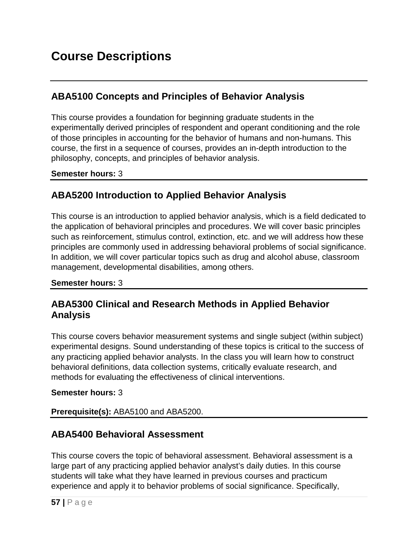# **ABA5100 Concepts and Principles of Behavior Analysis**

This course provides a foundation for beginning graduate students in the experimentally derived principles of respondent and operant conditioning and the role of those principles in accounting for the behavior of humans and non-humans. This course, the first in a sequence of courses, provides an in-depth introduction to the philosophy, concepts, and principles of behavior analysis.

### **Semester hours:** 3

# **ABA5200 Introduction to Applied Behavior Analysis**

This course is an introduction to applied behavior analysis, which is a field dedicated to the application of behavioral principles and procedures. We will cover basic principles such as reinforcement, stimulus control, extinction, etc. and we will address how these principles are commonly used in addressing behavioral problems of social significance. In addition, we will cover particular topics such as drug and alcohol abuse, classroom management, developmental disabilities, among others.

### **Semester hours:** 3

## **ABA5300 Clinical and Research Methods in Applied Behavior Analysis**

This course covers behavior measurement systems and single subject (within subject) experimental designs. Sound understanding of these topics is critical to the success of any practicing applied behavior analysts. In the class you will learn how to construct behavioral definitions, data collection systems, critically evaluate research, and methods for evaluating the effectiveness of clinical interventions.

### **Semester hours:** 3

**Prerequisite(s):** ABA5100 and ABA5200.

## **ABA5400 Behavioral Assessment**

This course covers the topic of behavioral assessment. Behavioral assessment is a large part of any practicing applied behavior analyst's daily duties. In this course students will take what they have learned in previous courses and practicum experience and apply it to behavior problems of social significance. Specifically,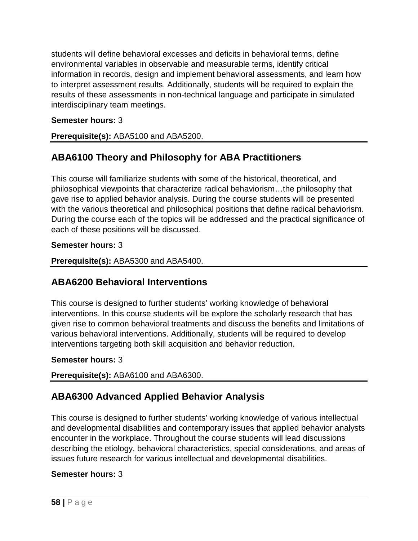students will define behavioral excesses and deficits in behavioral terms, define environmental variables in observable and measurable terms, identify critical information in records, design and implement behavioral assessments, and learn how to interpret assessment results. Additionally, students will be required to explain the results of these assessments in non-technical language and participate in simulated interdisciplinary team meetings.

### **Semester hours:** 3

**Prerequisite(s):** ABA5100 and ABA5200.

# **ABA6100 Theory and Philosophy for ABA Practitioners**

This course will familiarize students with some of the historical, theoretical, and philosophical viewpoints that characterize radical behaviorism…the philosophy that gave rise to applied behavior analysis. During the course students will be presented with the various theoretical and philosophical positions that define radical behaviorism. During the course each of the topics will be addressed and the practical significance of each of these positions will be discussed.

### **Semester hours:** 3

**Prerequisite(s):** ABA5300 and ABA5400.

## **ABA6200 Behavioral Interventions**

This course is designed to further students' working knowledge of behavioral interventions. In this course students will be explore the scholarly research that has given rise to common behavioral treatments and discuss the benefits and limitations of various behavioral interventions. Additionally, students will be required to develop interventions targeting both skill acquisition and behavior reduction.

### **Semester hours:** 3

**Prerequisite(s):** ABA6100 and ABA6300.

# **ABA6300 Advanced Applied Behavior Analysis**

This course is designed to further students' working knowledge of various intellectual and developmental disabilities and contemporary issues that applied behavior analysts encounter in the workplace. Throughout the course students will lead discussions describing the etiology, behavioral characteristics, special considerations, and areas of issues future research for various intellectual and developmental disabilities.

### **Semester hours:** 3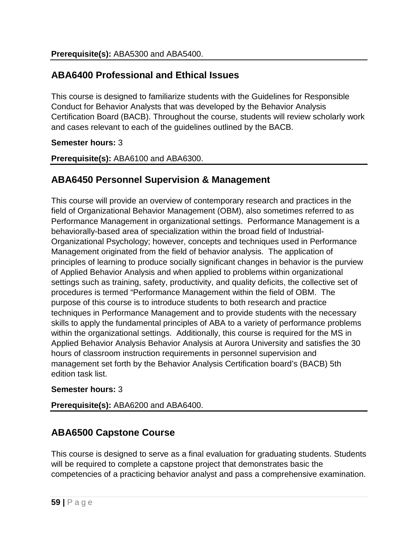# **ABA6400 Professional and Ethical Issues**

This course is designed to familiarize students with the Guidelines for Responsible Conduct for Behavior Analysts that was developed by the Behavior Analysis Certification Board (BACB). Throughout the course, students will review scholarly work and cases relevant to each of the guidelines outlined by the BACB.

### **Semester hours:** 3

**Prerequisite(s):** ABA6100 and ABA6300.

## **ABA6450 Personnel Supervision & Management**

This course will provide an overview of contemporary research and practices in the field of Organizational Behavior Management (OBM), also sometimes referred to as Performance Management in organizational settings. Performance Management is a behaviorally-based area of specialization within the broad field of Industrial-Organizational Psychology; however, concepts and techniques used in Performance Management originated from the field of behavior analysis. The application of principles of learning to produce socially significant changes in behavior is the purview of Applied Behavior Analysis and when applied to problems within organizational settings such as training, safety, productivity, and quality deficits, the collective set of procedures is termed "Performance Management within the field of OBM. The purpose of this course is to introduce students to both research and practice techniques in Performance Management and to provide students with the necessary skills to apply the fundamental principles of ABA to a variety of performance problems within the organizational settings. Additionally, this course is required for the MS in Applied Behavior Analysis Behavior Analysis at Aurora University and satisfies the 30 hours of classroom instruction requirements in personnel supervision and management set forth by the Behavior Analysis Certification board's (BACB) 5th edition task list.

### **Semester hours:** 3

**Prerequisite(s):** ABA6200 and ABA6400.

## **ABA6500 Capstone Course**

This course is designed to serve as a final evaluation for graduating students. Students will be required to complete a capstone project that demonstrates basic the competencies of a practicing behavior analyst and pass a comprehensive examination.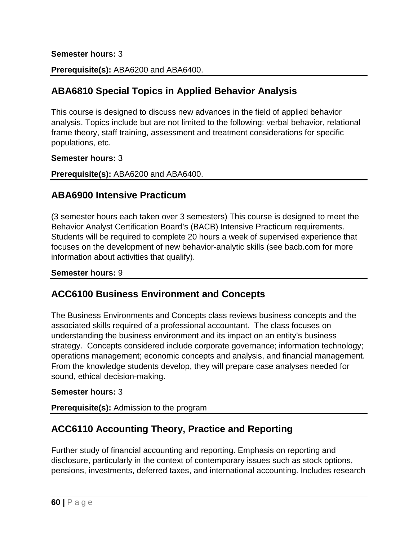#### **Semester hours:** 3

**Prerequisite(s):** ABA6200 and ABA6400.

# **ABA6810 Special Topics in Applied Behavior Analysis**

This course is designed to discuss new advances in the field of applied behavior analysis. Topics include but are not limited to the following: verbal behavior, relational frame theory, staff training, assessment and treatment considerations for specific populations, etc.

#### **Semester hours:** 3

**Prerequisite(s):** ABA6200 and ABA6400.

## **ABA6900 Intensive Practicum**

(3 semester hours each taken over 3 semesters) This course is designed to meet the Behavior Analyst Certification Board's (BACB) Intensive Practicum requirements. Students will be required to complete 20 hours a week of supervised experience that focuses on the development of new behavior-analytic skills (see bacb.com for more information about activities that qualify).

**Semester hours:** 9

## **ACC6100 Business Environment and Concepts**

The Business Environments and Concepts class reviews business concepts and the associated skills required of a professional accountant. The class focuses on understanding the business environment and its impact on an entity's business strategy. Concepts considered include corporate governance; information technology; operations management; economic concepts and analysis, and financial management. From the knowledge students develop, they will prepare case analyses needed for sound, ethical decision-making.

### **Semester hours:** 3

**Prerequisite(s):** Admission to the program

## **ACC6110 Accounting Theory, Practice and Reporting**

Further study of financial accounting and reporting. Emphasis on reporting and disclosure, particularly in the context of contemporary issues such as stock options, pensions, investments, deferred taxes, and international accounting. Includes research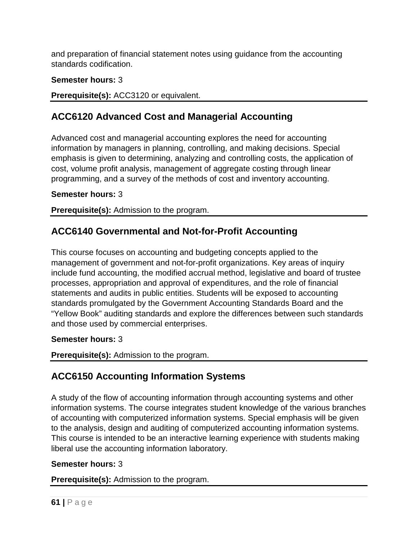and preparation of financial statement notes using guidance from the accounting standards codification.

### **Semester hours:** 3

**Prerequisite(s):** ACC3120 or equivalent.

# **ACC6120 Advanced Cost and Managerial Accounting**

Advanced cost and managerial accounting explores the need for accounting information by managers in planning, controlling, and making decisions. Special emphasis is given to determining, analyzing and controlling costs, the application of cost, volume profit analysis, management of aggregate costing through linear programming, and a survey of the methods of cost and inventory accounting.

### **Semester hours:** 3

**Prerequisite(s):** Admission to the program.

## **ACC6140 Governmental and Not-for-Profit Accounting**

This course focuses on accounting and budgeting concepts applied to the management of government and not-for-profit organizations. Key areas of inquiry include fund accounting, the modified accrual method, legislative and board of trustee processes, appropriation and approval of expenditures, and the role of financial statements and audits in public entities. Students will be exposed to accounting standards promulgated by the Government Accounting Standards Board and the "Yellow Book" auditing standards and explore the differences between such standards and those used by commercial enterprises.

### **Semester hours:** 3

### **Prerequisite(s):** Admission to the program.

## **ACC6150 Accounting Information Systems**

A study of the flow of accounting information through accounting systems and other information systems. The course integrates student knowledge of the various branches of accounting with computerized information systems. Special emphasis will be given to the analysis, design and auditing of computerized accounting information systems. This course is intended to be an interactive learning experience with students making liberal use the accounting information laboratory.

### **Semester hours:** 3

**Prerequisite(s):** Admission to the program.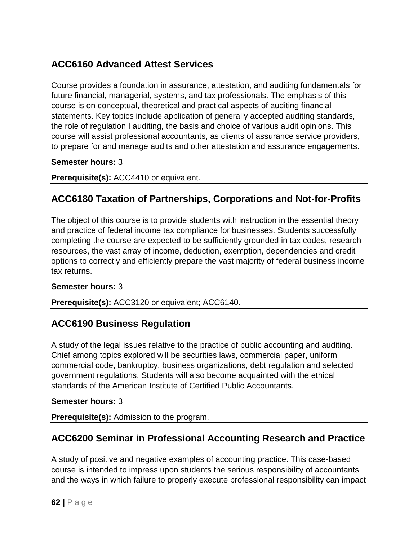# **ACC6160 Advanced Attest Services**

Course provides a foundation in assurance, attestation, and auditing fundamentals for future financial, managerial, systems, and tax professionals. The emphasis of this course is on conceptual, theoretical and practical aspects of auditing financial statements. Key topics include application of generally accepted auditing standards, the role of regulation I auditing, the basis and choice of various audit opinions. This course will assist professional accountants, as clients of assurance service providers, to prepare for and manage audits and other attestation and assurance engagements.

### **Semester hours:** 3

**Prerequisite(s):** ACC4410 or equivalent.

# **ACC6180 Taxation of Partnerships, Corporations and Not-for-Profits**

The object of this course is to provide students with instruction in the essential theory and practice of federal income tax compliance for businesses. Students successfully completing the course are expected to be sufficiently grounded in tax codes, research resources, the vast array of income, deduction, exemption, dependencies and credit options to correctly and efficiently prepare the vast majority of federal business income tax returns.

### **Semester hours:** 3

### **Prerequisite(s):** ACC3120 or equivalent; ACC6140.

## **ACC6190 Business Regulation**

A study of the legal issues relative to the practice of public accounting and auditing. Chief among topics explored will be securities laws, commercial paper, uniform commercial code, bankruptcy, business organizations, debt regulation and selected government regulations. Students will also become acquainted with the ethical standards of the American Institute of Certified Public Accountants.

### **Semester hours:** 3

**Prerequisite(s):** Admission to the program.

## **ACC6200 Seminar in Professional Accounting Research and Practice**

A study of positive and negative examples of accounting practice. This case-based course is intended to impress upon students the serious responsibility of accountants and the ways in which failure to properly execute professional responsibility can impact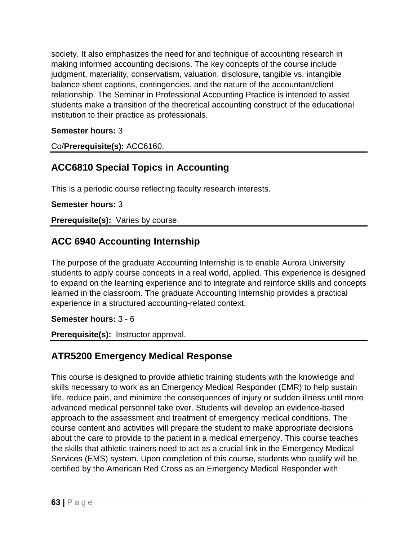society. It also emphasizes the need for and technique of accounting research in making informed accounting decisions. The key concepts of the course include judgment, materiality, conservatism, valuation, disclosure, tangible vs. intangible balance sheet captions, contingencies, and the nature of the accountant/client relationship. The Seminar in Professional Accounting Practice is intended to assist students make a transition of the theoretical accounting construct of the educational institution to their practice as professionals.

### **Semester hours:** 3

Co/**Prerequisite(s):** ACC6160.

## **ACC6810 Special Topics in Accounting**

This is a periodic course reflecting faculty research interests.

#### **Semester hours:** 3

**Prerequisite(s):** Varies by course.

## **ACC 6940 Accounting Internship**

The purpose of the graduate Accounting Internship is to enable Aurora University students to apply course concepts in a real world, applied. This experience is designed to expand on the learning experience and to integrate and reinforce skills and concepts learned in the classroom. The graduate Accounting Internship provides a practical experience in a structured accounting-related context.

#### **Semester hours:** 3 - 6

**Prerequisite(s):** Instructor approval.

## **ATR5200 Emergency Medical Response**

This course is designed to provide athletic training students with the knowledge and skills necessary to work as an Emergency Medical Responder (EMR) to help sustain life, reduce pain, and minimize the consequences of injury or sudden illness until more advanced medical personnel take over. Students will develop an evidence-based approach to the assessment and treatment of emergency medical conditions. The course content and activities will prepare the student to make appropriate decisions about the care to provide to the patient in a medical emergency. This course teaches the skills that athletic trainers need to act as a crucial link in the Emergency Medical Services (EMS) system. Upon completion of this course, students who qualify will be certified by the American Red Cross as an Emergency Medical Responder with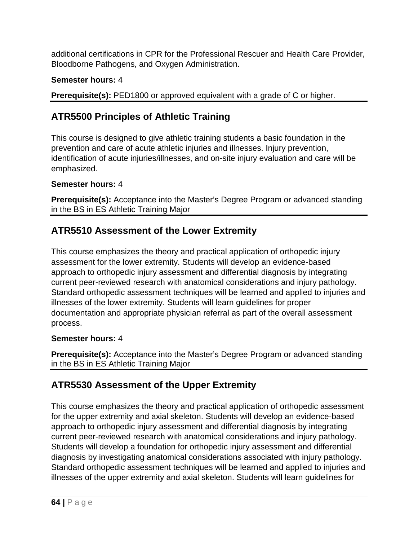additional certifications in CPR for the Professional Rescuer and Health Care Provider, Bloodborne Pathogens, and Oxygen Administration.

## **Semester hours:** 4

**Prerequisite(s):** PED1800 or approved equivalent with a grade of C or higher.

# **ATR5500 Principles of Athletic Training**

This course is designed to give athletic training students a basic foundation in the prevention and care of acute athletic injuries and illnesses. Injury prevention, identification of acute injuries/illnesses, and on-site injury evaluation and care will be emphasized.

### **Semester hours:** 4

**Prerequisite(s):** Acceptance into the Master's Degree Program or advanced standing in the BS in ES Athletic Training Major

# **ATR5510 Assessment of the Lower Extremity**

This course emphasizes the theory and practical application of orthopedic injury assessment for the lower extremity. Students will develop an evidence-based approach to orthopedic injury assessment and differential diagnosis by integrating current peer-reviewed research with anatomical considerations and injury pathology. Standard orthopedic assessment techniques will be learned and applied to injuries and illnesses of the lower extremity. Students will learn guidelines for proper documentation and appropriate physician referral as part of the overall assessment process.

### **Semester hours:** 4

**Prerequisite(s):** Acceptance into the Master's Degree Program or advanced standing in the BS in ES Athletic Training Major

# **ATR5530 Assessment of the Upper Extremity**

This course emphasizes the theory and practical application of orthopedic assessment for the upper extremity and axial skeleton. Students will develop an evidence-based approach to orthopedic injury assessment and differential diagnosis by integrating current peer-reviewed research with anatomical considerations and injury pathology. Students will develop a foundation for orthopedic injury assessment and differential diagnosis by investigating anatomical considerations associated with injury pathology. Standard orthopedic assessment techniques will be learned and applied to injuries and illnesses of the upper extremity and axial skeleton. Students will learn guidelines for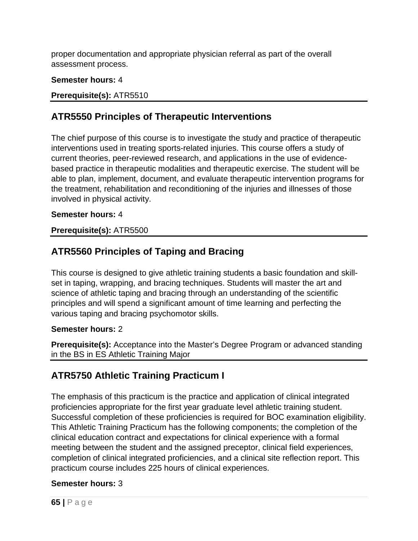proper documentation and appropriate physician referral as part of the overall assessment process.

### **Semester hours:** 4

### **Prerequisite(s):** ATR5510

## **ATR5550 Principles of Therapeutic Interventions**

The chief purpose of this course is to investigate the study and practice of therapeutic interventions used in treating sports-related injuries. This course offers a study of current theories, peer-reviewed research, and applications in the use of evidencebased practice in therapeutic modalities and therapeutic exercise. The student will be able to plan, implement, document, and evaluate therapeutic intervention programs for the treatment, rehabilitation and reconditioning of the injuries and illnesses of those involved in physical activity.

### **Semester hours:** 4

### **Prerequisite(s):** ATR5500

## **ATR5560 Principles of Taping and Bracing**

This course is designed to give athletic training students a basic foundation and skillset in taping, wrapping, and bracing techniques. Students will master the art and science of athletic taping and bracing through an understanding of the scientific principles and will spend a significant amount of time learning and perfecting the various taping and bracing psychomotor skills.

### **Semester hours:** 2

**Prerequisite(s):** Acceptance into the Master's Degree Program or advanced standing in the BS in ES Athletic Training Major

## **ATR5750 Athletic Training Practicum I**

The emphasis of this practicum is the practice and application of clinical integrated proficiencies appropriate for the first year graduate level athletic training student. Successful completion of these proficiencies is required for BOC examination eligibility. This Athletic Training Practicum has the following components; the completion of the clinical education contract and expectations for clinical experience with a formal meeting between the student and the assigned preceptor, clinical field experiences, completion of clinical integrated proficiencies, and a clinical site reflection report. This practicum course includes 225 hours of clinical experiences.

### **Semester hours:** 3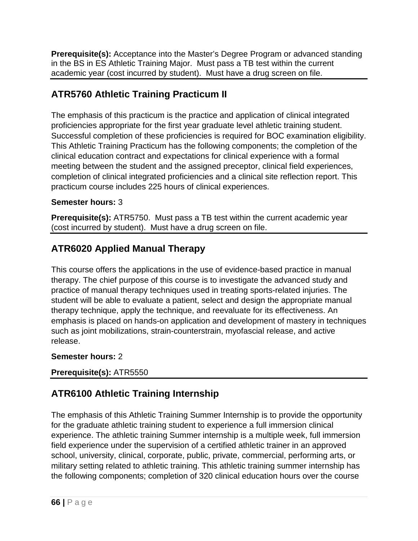**Prerequisite(s):** Acceptance into the Master's Degree Program or advanced standing in the BS in ES Athletic Training Major. Must pass a TB test within the current academic year (cost incurred by student). Must have a drug screen on file.

# **ATR5760 Athletic Training Practicum II**

The emphasis of this practicum is the practice and application of clinical integrated proficiencies appropriate for the first year graduate level athletic training student. Successful completion of these proficiencies is required for BOC examination eligibility. This Athletic Training Practicum has the following components; the completion of the clinical education contract and expectations for clinical experience with a formal meeting between the student and the assigned preceptor, clinical field experiences, completion of clinical integrated proficiencies and a clinical site reflection report. This practicum course includes 225 hours of clinical experiences.

## **Semester hours:** 3

**Prerequisite(s):** ATR5750. Must pass a TB test within the current academic year (cost incurred by student). Must have a drug screen on file.

# **ATR6020 Applied Manual Therapy**

This course offers the applications in the use of evidence-based practice in manual therapy. The chief purpose of this course is to investigate the advanced study and practice of manual therapy techniques used in treating sports-related injuries. The student will be able to evaluate a patient, select and design the appropriate manual therapy technique, apply the technique, and reevaluate for its effectiveness. An emphasis is placed on hands-on application and development of mastery in techniques such as joint mobilizations, strain-counterstrain, myofascial release, and active release.

### **Semester hours:** 2

**Prerequisite(s):** ATR5550

# **ATR6100 Athletic Training Internship**

The emphasis of this Athletic Training Summer Internship is to provide the opportunity for the graduate athletic training student to experience a full immersion clinical experience. The athletic training Summer internship is a multiple week, full immersion field experience under the supervision of a certified athletic trainer in an approved school, university, clinical, corporate, public, private, commercial, performing arts, or military setting related to athletic training. This athletic training summer internship has the following components; completion of 320 clinical education hours over the course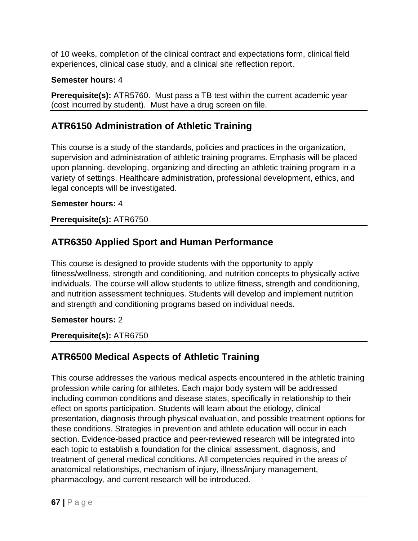of 10 weeks, completion of the clinical contract and expectations form, clinical field experiences, clinical case study, and a clinical site reflection report.

### **Semester hours:** 4

**Prerequisite(s):** ATR5760. Must pass a TB test within the current academic year (cost incurred by student). Must have a drug screen on file.

# **ATR6150 Administration of Athletic Training**

This course is a study of the standards, policies and practices in the organization, supervision and administration of athletic training programs. Emphasis will be placed upon planning, developing, organizing and directing an athletic training program in a variety of settings. Healthcare administration, professional development, ethics, and legal concepts will be investigated.

## **Semester hours:** 4

## **Prerequisite(s):** ATR6750

# **ATR6350 Applied Sport and Human Performance**

This course is designed to provide students with the opportunity to apply fitness/wellness, strength and conditioning, and nutrition concepts to physically active individuals. The course will allow students to utilize fitness, strength and conditioning, and nutrition assessment techniques. Students will develop and implement nutrition and strength and conditioning programs based on individual needs.

### **Semester hours:** 2

### **Prerequisite(s):** ATR6750

# **ATR6500 Medical Aspects of Athletic Training**

This course addresses the various medical aspects encountered in the athletic training profession while caring for athletes. Each major body system will be addressed including common conditions and disease states, specifically in relationship to their effect on sports participation. Students will learn about the etiology, clinical presentation, diagnosis through physical evaluation, and possible treatment options for these conditions. Strategies in prevention and athlete education will occur in each section. Evidence-based practice and peer-reviewed research will be integrated into each topic to establish a foundation for the clinical assessment, diagnosis, and treatment of general medical conditions. All competencies required in the areas of anatomical relationships, mechanism of injury, illness/injury management, pharmacology, and current research will be introduced.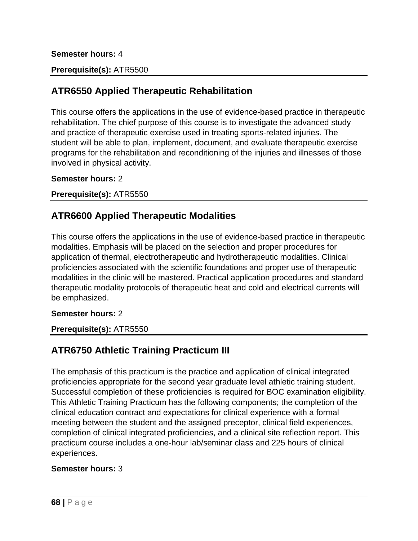#### **Semester hours:** 4

### **Prerequisite(s):** ATR5500

## **ATR6550 Applied Therapeutic Rehabilitation**

This course offers the applications in the use of evidence-based practice in therapeutic rehabilitation. The chief purpose of this course is to investigate the advanced study and practice of therapeutic exercise used in treating sports-related injuries. The student will be able to plan, implement, document, and evaluate therapeutic exercise programs for the rehabilitation and reconditioning of the injuries and illnesses of those involved in physical activity.

#### **Semester hours:** 2

**Prerequisite(s):** ATR5550

## **ATR6600 Applied Therapeutic Modalities**

This course offers the applications in the use of evidence-based practice in therapeutic modalities. Emphasis will be placed on the selection and proper procedures for application of thermal, electrotherapeutic and hydrotherapeutic modalities. Clinical proficiencies associated with the scientific foundations and proper use of therapeutic modalities in the clinic will be mastered. Practical application procedures and standard therapeutic modality protocols of therapeutic heat and cold and electrical currents will be emphasized.

#### **Semester hours:** 2

#### **Prerequisite(s):** ATR5550

## **ATR6750 Athletic Training Practicum III**

The emphasis of this practicum is the practice and application of clinical integrated proficiencies appropriate for the second year graduate level athletic training student. Successful completion of these proficiencies is required for BOC examination eligibility. This Athletic Training Practicum has the following components; the completion of the clinical education contract and expectations for clinical experience with a formal meeting between the student and the assigned preceptor, clinical field experiences, completion of clinical integrated proficiencies, and a clinical site reflection report. This practicum course includes a one-hour lab/seminar class and 225 hours of clinical experiences.

#### **Semester hours:** 3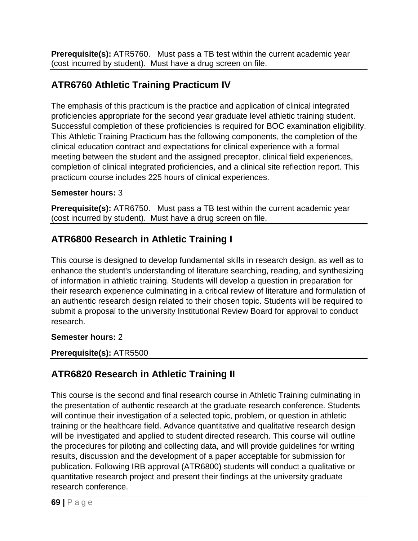**Prerequisite(s):** ATR5760. Must pass a TB test within the current academic year (cost incurred by student). Must have a drug screen on file.

# **ATR6760 Athletic Training Practicum IV**

The emphasis of this practicum is the practice and application of clinical integrated proficiencies appropriate for the second year graduate level athletic training student. Successful completion of these proficiencies is required for BOC examination eligibility. This Athletic Training Practicum has the following components, the completion of the clinical education contract and expectations for clinical experience with a formal meeting between the student and the assigned preceptor, clinical field experiences, completion of clinical integrated proficiencies, and a clinical site reflection report. This practicum course includes 225 hours of clinical experiences.

### **Semester hours:** 3

**Prerequisite(s):** ATR6750. Must pass a TB test within the current academic year (cost incurred by student). Must have a drug screen on file.

# **ATR6800 Research in Athletic Training I**

This course is designed to develop fundamental skills in research design, as well as to enhance the student's understanding of literature searching, reading, and synthesizing of information in athletic training. Students will develop a question in preparation for their research experience culminating in a critical review of literature and formulation of an authentic research design related to their chosen topic. Students will be required to submit a proposal to the university Institutional Review Board for approval to conduct research.

### **Semester hours:** 2

### **Prerequisite(s):** ATR5500

# **ATR6820 Research in Athletic Training II**

This course is the second and final research course in Athletic Training culminating in the presentation of authentic research at the graduate research conference. Students will continue their investigation of a selected topic, problem, or question in athletic training or the healthcare field. Advance quantitative and qualitative research design will be investigated and applied to student directed research. This course will outline the procedures for piloting and collecting data, and will provide guidelines for writing results, discussion and the development of a paper acceptable for submission for publication. Following IRB approval (ATR6800) students will conduct a qualitative or quantitative research project and present their findings at the university graduate research conference.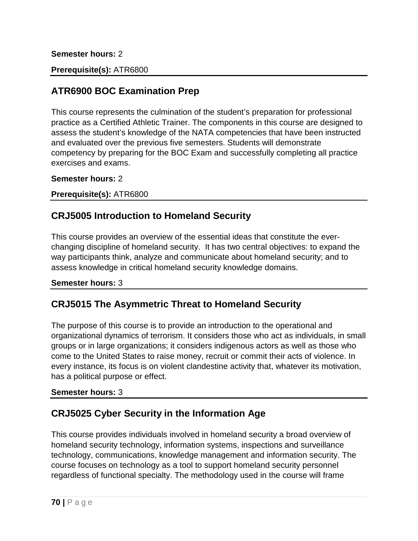#### **Semester hours:** 2

### **Prerequisite(s):** ATR6800

## **ATR6900 BOC Examination Prep**

This course represents the culmination of the student's preparation for professional practice as a Certified Athletic Trainer. The components in this course are designed to assess the student's knowledge of the NATA competencies that have been instructed and evaluated over the previous five semesters. Students will demonstrate competency by preparing for the BOC Exam and successfully completing all practice exercises and exams.

**Semester hours:** 2

**Prerequisite(s):** ATR6800

## **CRJ5005 Introduction to Homeland Security**

This course provides an overview of the essential ideas that constitute the everchanging discipline of homeland security. It has two central objectives: to expand the way participants think, analyze and communicate about homeland security; and to assess knowledge in critical homeland security knowledge domains.

#### **Semester hours:** 3

### **CRJ5015 The Asymmetric Threat to Homeland Security**

The purpose of this course is to provide an introduction to the operational and organizational dynamics of terrorism. It considers those who act as individuals, in small groups or in large organizations; it considers indigenous actors as well as those who come to the United States to raise money, recruit or commit their acts of violence. In every instance, its focus is on violent clandestine activity that, whatever its motivation, has a political purpose or effect.

#### **Semester hours:** 3

## **CRJ5025 Cyber Security in the Information Age**

This course provides individuals involved in homeland security a broad overview of homeland security technology, information systems, inspections and surveillance technology, communications, knowledge management and information security. The course focuses on technology as a tool to support homeland security personnel regardless of functional specialty. The methodology used in the course will frame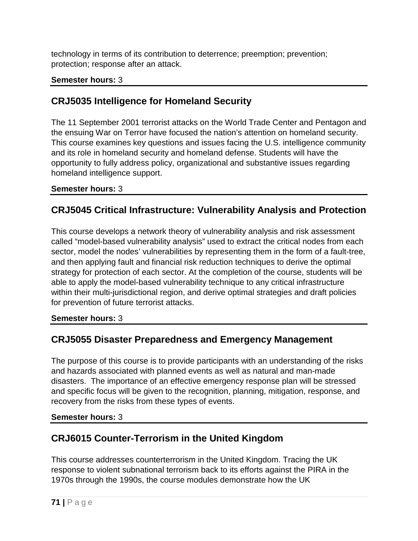technology in terms of its contribution to deterrence; preemption; prevention; protection; response after an attack.

### **Semester hours:** 3

# **CRJ5035 Intelligence for Homeland Security**

The 11 September 2001 terrorist attacks on the World Trade Center and Pentagon and the ensuing War on Terror have focused the nation's attention on homeland security. This course examines key questions and issues facing the U.S. intelligence community and its role in homeland security and homeland defense. Students will have the opportunity to fully address policy, organizational and substantive issues regarding homeland intelligence support.

### **Semester hours:** 3

# **CRJ5045 Critical Infrastructure: Vulnerability Analysis and Protection**

This course develops a network theory of vulnerability analysis and risk assessment called "model-based vulnerability analysis" used to extract the critical nodes from each sector, model the nodes' vulnerabilities by representing them in the form of a fault-tree, and then applying fault and financial risk reduction techniques to derive the optimal strategy for protection of each sector. At the completion of the course, students will be able to apply the model-based vulnerability technique to any critical infrastructure within their multi-jurisdictional region, and derive optimal strategies and draft policies for prevention of future terrorist attacks.

### **Semester hours:** 3

## **CRJ5055 Disaster Preparedness and Emergency Management**

The purpose of this course is to provide participants with an understanding of the risks and hazards associated with planned events as well as natural and man-made disasters. The importance of an effective emergency response plan will be stressed and specific focus will be given to the recognition, planning, mitigation, response, and recovery from the risks from these types of events.

### **Semester hours:** 3

# **CRJ6015 Counter-Terrorism in the United Kingdom**

This course addresses counterterrorism in the United Kingdom. Tracing the UK response to violent subnational terrorism back to its efforts against the PIRA in the 1970s through the 1990s, the course modules demonstrate how the UK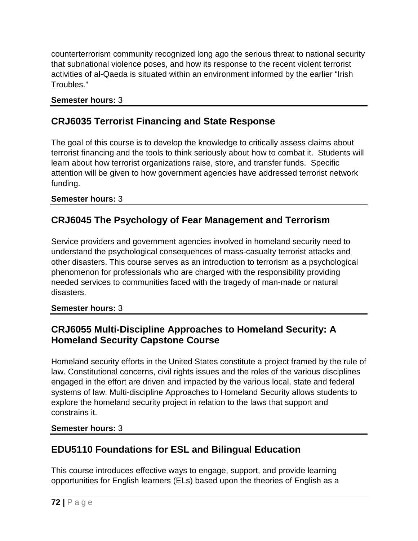counterterrorism community recognized long ago the serious threat to national security that subnational violence poses, and how its response to the recent violent terrorist activities of al-Qaeda is situated within an environment informed by the earlier "Irish Troubles."

### **Semester hours:** 3

## **CRJ6035 Terrorist Financing and State Response**

The goal of this course is to develop the knowledge to critically assess claims about terrorist financing and the tools to think seriously about how to combat it. Students will learn about how terrorist organizations raise, store, and transfer funds. Specific attention will be given to how government agencies have addressed terrorist network funding.

### **Semester hours:** 3

## **CRJ6045 The Psychology of Fear Management and Terrorism**

Service providers and government agencies involved in homeland security need to understand the psychological consequences of mass-casualty terrorist attacks and other disasters. This course serves as an introduction to terrorism as a psychological phenomenon for professionals who are charged with the responsibility providing needed services to communities faced with the tragedy of man-made or natural disasters.

### **Semester hours:** 3

## **CRJ6055 Multi-Discipline Approaches to Homeland Security: A Homeland Security Capstone Course**

Homeland security efforts in the United States constitute a project framed by the rule of law. Constitutional concerns, civil rights issues and the roles of the various disciplines engaged in the effort are driven and impacted by the various local, state and federal systems of law. Multi-discipline Approaches to Homeland Security allows students to explore the homeland security project in relation to the laws that support and constrains it.

### **Semester hours:** 3

## **EDU5110 Foundations for ESL and Bilingual Education**

This course introduces effective ways to engage, support, and provide learning opportunities for English learners (ELs) based upon the theories of English as a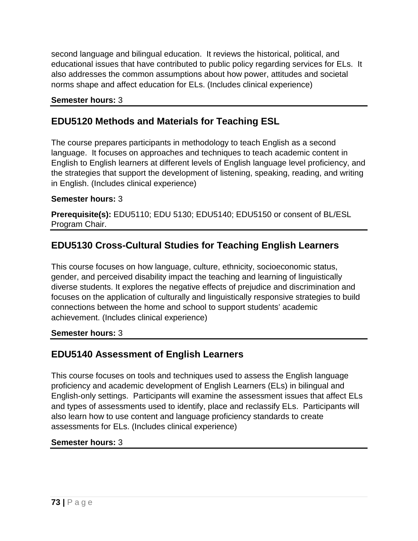second language and bilingual education. It reviews the historical, political, and educational issues that have contributed to public policy regarding services for ELs. It also addresses the common assumptions about how power, attitudes and societal norms shape and affect education for ELs. (Includes clinical experience)

#### **Semester hours:** 3

## **EDU5120 Methods and Materials for Teaching ESL**

The course prepares participants in methodology to teach English as a second language. It focuses on approaches and techniques to teach academic content in English to English learners at different levels of English language level proficiency, and the strategies that support the development of listening, speaking, reading, and writing in English. (Includes clinical experience)

#### **Semester hours:** 3

**Prerequisite(s):** EDU5110; EDU 5130; EDU5140; EDU5150 or consent of BL/ESL Program Chair.

# **EDU5130 Cross-Cultural Studies for Teaching English Learners**

This course focuses on how language, culture, ethnicity, socioeconomic status, gender, and perceived disability impact the teaching and learning of linguistically diverse students. It explores the negative effects of prejudice and discrimination and focuses on the application of culturally and linguistically responsive strategies to build connections between the home and school to support students' academic achievement. (Includes clinical experience)

#### **Semester hours:** 3

### **EDU5140 Assessment of English Learners**

This course focuses on tools and techniques used to assess the English language proficiency and academic development of English Learners (ELs) in bilingual and English-only settings. Participants will examine the assessment issues that affect ELs and types of assessments used to identify, place and reclassify ELs. Participants will also learn how to use content and language proficiency standards to create assessments for ELs. (Includes clinical experience)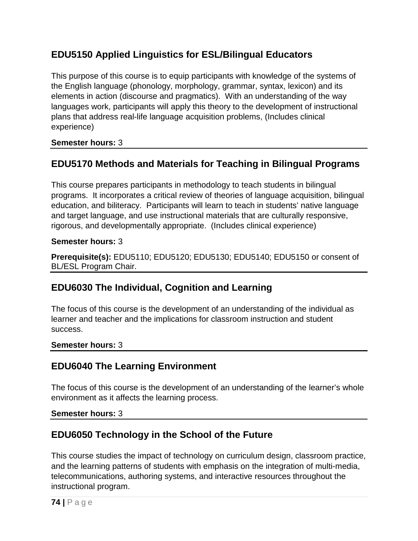# **EDU5150 Applied Linguistics for ESL/Bilingual Educators**

This purpose of this course is to equip participants with knowledge of the systems of the English language (phonology, morphology, grammar, syntax, lexicon) and its elements in action (discourse and pragmatics). With an understanding of the way languages work, participants will apply this theory to the development of instructional plans that address real-life language acquisition problems, (Includes clinical experience)

**Semester hours:** 3

# **EDU5170 Methods and Materials for Teaching in Bilingual Programs**

This course prepares participants in methodology to teach students in bilingual programs. It incorporates a critical review of theories of language acquisition, bilingual education, and biliteracy. Participants will learn to teach in students' native language and target language, and use instructional materials that are culturally responsive, rigorous, and developmentally appropriate. (Includes clinical experience)

#### **Semester hours:** 3

**Prerequisite(s):** EDU5110; EDU5120; EDU5130; EDU5140; EDU5150 or consent of BL/ESL Program Chair.

# **EDU6030 The Individual, Cognition and Learning**

The focus of this course is the development of an understanding of the individual as learner and teacher and the implications for classroom instruction and student success.

#### **Semester hours:** 3

### **EDU6040 The Learning Environment**

The focus of this course is the development of an understanding of the learner's whole environment as it affects the learning process.

**Semester hours:** 3

# **EDU6050 Technology in the School of the Future**

This course studies the impact of technology on curriculum design, classroom practice, and the learning patterns of students with emphasis on the integration of multi-media, telecommunications, authoring systems, and interactive resources throughout the instructional program.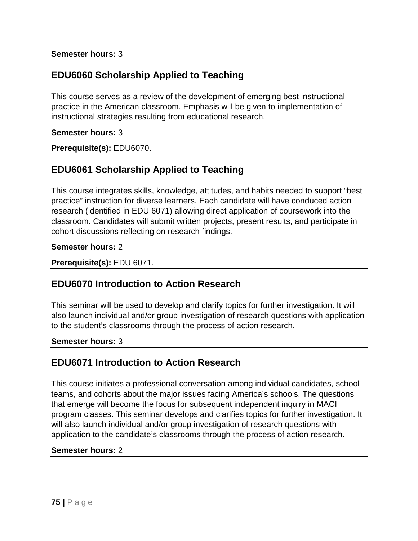# **EDU6060 Scholarship Applied to Teaching**

This course serves as a review of the development of emerging best instructional practice in the American classroom. Emphasis will be given to implementation of instructional strategies resulting from educational research.

#### **Semester hours:** 3

**Prerequisite(s):** EDU6070.

## **EDU6061 Scholarship Applied to Teaching**

This course integrates skills, knowledge, attitudes, and habits needed to support "best practice" instruction for diverse learners. Each candidate will have conduced action research (identified in EDU 6071) allowing direct application of coursework into the classroom. Candidates will submit written projects, present results, and participate in cohort discussions reflecting on research findings.

#### **Semester hours:** 2

**Prerequisite(s):** EDU 6071.

### **EDU6070 Introduction to Action Research**

This seminar will be used to develop and clarify topics for further investigation. It will also launch individual and/or group investigation of research questions with application to the student's classrooms through the process of action research.

#### **Semester hours:** 3

### **EDU6071 Introduction to Action Research**

This course initiates a professional conversation among individual candidates, school teams, and cohorts about the major issues facing America's schools. The questions that emerge will become the focus for subsequent independent inquiry in MACI program classes. This seminar develops and clarifies topics for further investigation. It will also launch individual and/or group investigation of research questions with application to the candidate's classrooms through the process of action research.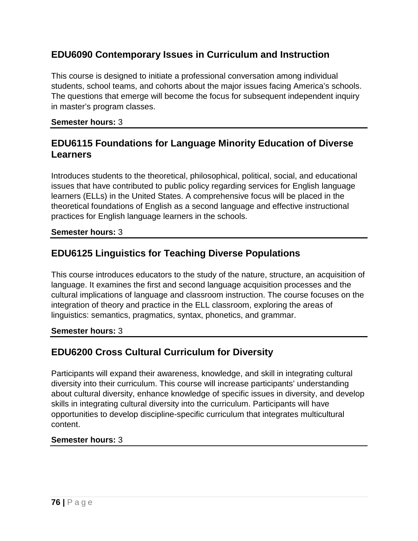# **EDU6090 Contemporary Issues in Curriculum and Instruction**

This course is designed to initiate a professional conversation among individual students, school teams, and cohorts about the major issues facing America's schools. The questions that emerge will become the focus for subsequent independent inquiry in master's program classes.

#### **Semester hours:** 3

## **EDU6115 Foundations for Language Minority Education of Diverse Learners**

Introduces students to the theoretical, philosophical, political, social, and educational issues that have contributed to public policy regarding services for English language learners (ELLs) in the United States. A comprehensive focus will be placed in the theoretical foundations of English as a second language and effective instructional practices for English language learners in the schools.

#### **Semester hours:** 3

# **EDU6125 Linguistics for Teaching Diverse Populations**

This course introduces educators to the study of the nature, structure, an acquisition of language. It examines the first and second language acquisition processes and the cultural implications of language and classroom instruction. The course focuses on the integration of theory and practice in the ELL classroom, exploring the areas of linguistics: semantics, pragmatics, syntax, phonetics, and grammar.

#### **Semester hours:** 3

# **EDU6200 Cross Cultural Curriculum for Diversity**

Participants will expand their awareness, knowledge, and skill in integrating cultural diversity into their curriculum. This course will increase participants' understanding about cultural diversity, enhance knowledge of specific issues in diversity, and develop skills in integrating cultural diversity into the curriculum. Participants will have opportunities to develop discipline-specific curriculum that integrates multicultural content.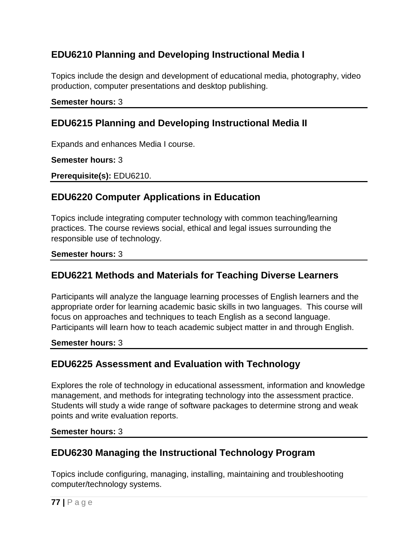# **EDU6210 Planning and Developing Instructional Media I**

Topics include the design and development of educational media, photography, video production, computer presentations and desktop publishing.

#### **Semester hours:** 3

## **EDU6215 Planning and Developing Instructional Media II**

Expands and enhances Media I course.

**Semester hours:** 3

**Prerequisite(s):** EDU6210.

### **EDU6220 Computer Applications in Education**

Topics include integrating computer technology with common teaching/learning practices. The course reviews social, ethical and legal issues surrounding the responsible use of technology.

#### **Semester hours:** 3

### **EDU6221 Methods and Materials for Teaching Diverse Learners**

Participants will analyze the language learning processes of English learners and the appropriate order for learning academic basic skills in two languages. This course will focus on approaches and techniques to teach English as a second language. Participants will learn how to teach academic subject matter in and through English.

#### **Semester hours:** 3

# **EDU6225 Assessment and Evaluation with Technology**

Explores the role of technology in educational assessment, information and knowledge management, and methods for integrating technology into the assessment practice. Students will study a wide range of software packages to determine strong and weak points and write evaluation reports.

#### **Semester hours:** 3

### **EDU6230 Managing the Instructional Technology Program**

Topics include configuring, managing, installing, maintaining and troubleshooting computer/technology systems.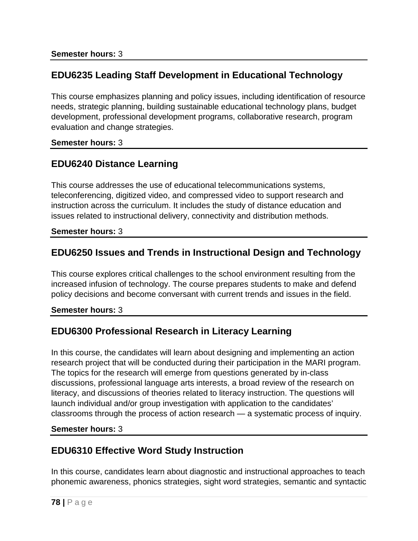# **EDU6235 Leading Staff Development in Educational Technology**

This course emphasizes planning and policy issues, including identification of resource needs, strategic planning, building sustainable educational technology plans, budget development, professional development programs, collaborative research, program evaluation and change strategies.

#### **Semester hours:** 3

# **EDU6240 Distance Learning**

This course addresses the use of educational telecommunications systems, teleconferencing, digitized video, and compressed video to support research and instruction across the curriculum. It includes the study of distance education and issues related to instructional delivery, connectivity and distribution methods.

#### **Semester hours:** 3

## **EDU6250 Issues and Trends in Instructional Design and Technology**

This course explores critical challenges to the school environment resulting from the increased infusion of technology. The course prepares students to make and defend policy decisions and become conversant with current trends and issues in the field.

**Semester hours:** 3

# **EDU6300 Professional Research in Literacy Learning**

In this course, the candidates will learn about designing and implementing an action research project that will be conducted during their participation in the MARI program. The topics for the research will emerge from questions generated by in-class discussions, professional language arts interests, a broad review of the research on literacy, and discussions of theories related to literacy instruction. The questions will launch individual and/or group investigation with application to the candidates' classrooms through the process of action research — a systematic process of inquiry.

#### **Semester hours:** 3

# **EDU6310 Effective Word Study Instruction**

In this course, candidates learn about diagnostic and instructional approaches to teach phonemic awareness, phonics strategies, sight word strategies, semantic and syntactic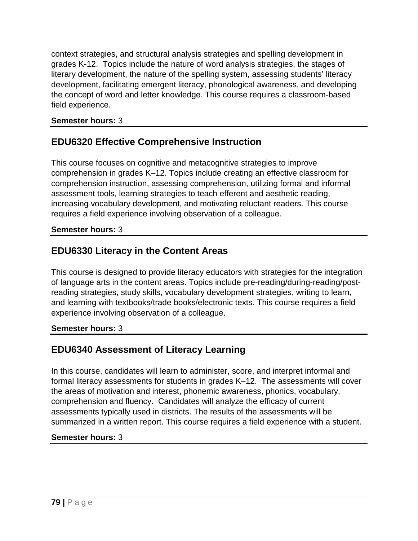context strategies, and structural analysis strategies and spelling development in grades K-12. Topics include the nature of word analysis strategies, the stages of literary development, the nature of the spelling system, assessing students' literacy development, facilitating emergent literacy, phonological awareness, and developing the concept of word and letter knowledge. This course requires a classroom-based field experience.

#### **Semester hours:** 3

# **EDU6320 Effective Comprehensive Instruction**

This course focuses on cognitive and metacognitive strategies to improve comprehension in grades K–12. Topics include creating an effective classroom for comprehension instruction, assessing comprehension, utilizing formal and informal assessment tools, learning strategies to teach efferent and aesthetic reading, increasing vocabulary development, and motivating reluctant readers. This course requires a field experience involving observation of a colleague.

#### **Semester hours:** 3

# **EDU6330 Literacy in the Content Areas**

This course is designed to provide literacy educators with strategies for the integration of language arts in the content areas. Topics include pre-reading/during-reading/postreading strategies, study skills, vocabulary development strategies, writing to learn, and learning with textbooks/trade books/electronic texts. This course requires a field experience involving observation of a colleague.

#### **Semester hours:** 3

# **EDU6340 Assessment of Literacy Learning**

In this course, candidates will learn to administer, score, and interpret informal and formal literacy assessments for students in grades K–12. The assessments will cover the areas of motivation and interest, phonemic awareness, phonics, vocabulary, comprehension and fluency. Candidates will analyze the efficacy of current assessments typically used in districts. The results of the assessments will be summarized in a written report. This course requires a field experience with a student.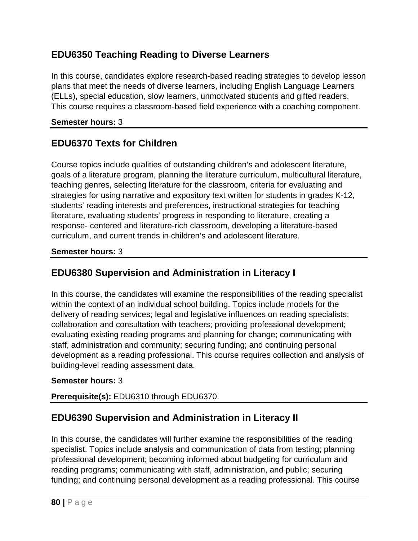# **EDU6350 Teaching Reading to Diverse Learners**

In this course, candidates explore research-based reading strategies to develop lesson plans that meet the needs of diverse learners, including English Language Learners (ELLs), special education, slow learners, unmotivated students and gifted readers. This course requires a classroom-based field experience with a coaching component.

### **Semester hours:** 3

# **EDU6370 Texts for Children**

Course topics include qualities of outstanding children's and adolescent literature, goals of a literature program, planning the literature curriculum, multicultural literature, teaching genres, selecting literature for the classroom, criteria for evaluating and strategies for using narrative and expository text written for students in grades K-12, students' reading interests and preferences, instructional strategies for teaching literature, evaluating students' progress in responding to literature, creating a response- centered and literature-rich classroom, developing a literature-based curriculum, and current trends in children's and adolescent literature.

### **Semester hours:** 3

# **EDU6380 Supervision and Administration in Literacy I**

In this course, the candidates will examine the responsibilities of the reading specialist within the context of an individual school building. Topics include models for the delivery of reading services; legal and legislative influences on reading specialists; collaboration and consultation with teachers; providing professional development; evaluating existing reading programs and planning for change; communicating with staff, administration and community; securing funding; and continuing personal development as a reading professional. This course requires collection and analysis of building-level reading assessment data.

### **Semester hours:** 3

### **Prerequisite(s):** EDU6310 through EDU6370.

# **EDU6390 Supervision and Administration in Literacy II**

In this course, the candidates will further examine the responsibilities of the reading specialist. Topics include analysis and communication of data from testing; planning professional development; becoming informed about budgeting for curriculum and reading programs; communicating with staff, administration, and public; securing funding; and continuing personal development as a reading professional. This course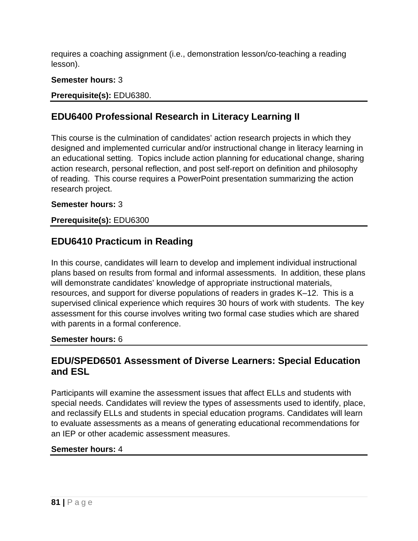requires a coaching assignment (i.e., demonstration lesson/co-teaching a reading lesson).

### **Semester hours:** 3

### **Prerequisite(s):** EDU6380.

## **EDU6400 Professional Research in Literacy Learning II**

This course is the culmination of candidates' action research projects in which they designed and implemented curricular and/or instructional change in literacy learning in an educational setting. Topics include action planning for educational change, sharing action research, personal reflection, and post self-report on definition and philosophy of reading. This course requires a PowerPoint presentation summarizing the action research project.

#### **Semester hours:** 3

#### **Prerequisite(s):** EDU6300

## **EDU6410 Practicum in Reading**

In this course, candidates will learn to develop and implement individual instructional plans based on results from formal and informal assessments. In addition, these plans will demonstrate candidates' knowledge of appropriate instructional materials, resources, and support for diverse populations of readers in grades K–12. This is a supervised clinical experience which requires 30 hours of work with students. The key assessment for this course involves writing two formal case studies which are shared with parents in a formal conference.

#### **Semester hours:** 6

### **EDU/SPED6501 Assessment of Diverse Learners: Special Education and ESL**

Participants will examine the assessment issues that affect ELLs and students with special needs. Candidates will review the types of assessments used to identify, place, and reclassify ELLs and students in special education programs. Candidates will learn to evaluate assessments as a means of generating educational recommendations for an IEP or other academic assessment measures.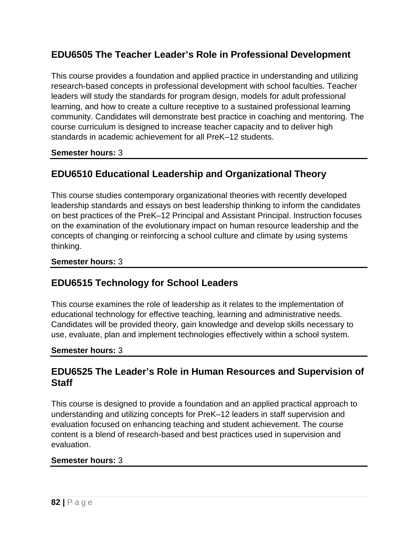# **EDU6505 The Teacher Leader's Role in Professional Development**

This course provides a foundation and applied practice in understanding and utilizing research-based concepts in professional development with school faculties. Teacher leaders will study the standards for program design, models for adult professional learning, and how to create a culture receptive to a sustained professional learning community. Candidates will demonstrate best practice in coaching and mentoring. The course curriculum is designed to increase teacher capacity and to deliver high standards in academic achievement for all PreK–12 students.

### **Semester hours:** 3

# **EDU6510 Educational Leadership and Organizational Theory**

This course studies contemporary organizational theories with recently developed leadership standards and essays on best leadership thinking to inform the candidates on best practices of the PreK–12 Principal and Assistant Principal. Instruction focuses on the examination of the evolutionary impact on human resource leadership and the concepts of changing or reinforcing a school culture and climate by using systems thinking.

#### **Semester hours:** 3

# **EDU6515 Technology for School Leaders**

This course examines the role of leadership as it relates to the implementation of educational technology for effective teaching, learning and administrative needs. Candidates will be provided theory, gain knowledge and develop skills necessary to use, evaluate, plan and implement technologies effectively within a school system.

#### **Semester hours:** 3

## **EDU6525 The Leader's Role in Human Resources and Supervision of Staff**

This course is designed to provide a foundation and an applied practical approach to understanding and utilizing concepts for PreK–12 leaders in staff supervision and evaluation focused on enhancing teaching and student achievement. The course content is a blend of research-based and best practices used in supervision and evaluation.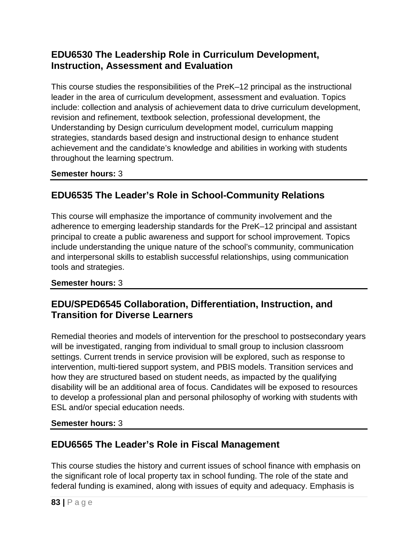# **EDU6530 The Leadership Role in Curriculum Development, Instruction, Assessment and Evaluation**

This course studies the responsibilities of the PreK–12 principal as the instructional leader in the area of curriculum development, assessment and evaluation. Topics include: collection and analysis of achievement data to drive curriculum development, revision and refinement, textbook selection, professional development, the Understanding by Design curriculum development model, curriculum mapping strategies, standards based design and instructional design to enhance student achievement and the candidate's knowledge and abilities in working with students throughout the learning spectrum.

### **Semester hours:** 3

# **EDU6535 The Leader's Role in School-Community Relations**

This course will emphasize the importance of community involvement and the adherence to emerging leadership standards for the PreK–12 principal and assistant principal to create a public awareness and support for school improvement. Topics include understanding the unique nature of the school's community, communication and interpersonal skills to establish successful relationships, using communication tools and strategies.

### **Semester hours:** 3

# **EDU/SPED6545 Collaboration, Differentiation, Instruction, and Transition for Diverse Learners**

Remedial theories and models of intervention for the preschool to postsecondary years will be investigated, ranging from individual to small group to inclusion classroom settings. Current trends in service provision will be explored, such as response to intervention, multi-tiered support system, and PBIS models. Transition services and how they are structured based on student needs, as impacted by the qualifying disability will be an additional area of focus. Candidates will be exposed to resources to develop a professional plan and personal philosophy of working with students with ESL and/or special education needs.

#### **Semester hours:** 3

# **EDU6565 The Leader's Role in Fiscal Management**

This course studies the history and current issues of school finance with emphasis on the significant role of local property tax in school funding. The role of the state and federal funding is examined, along with issues of equity and adequacy. Emphasis is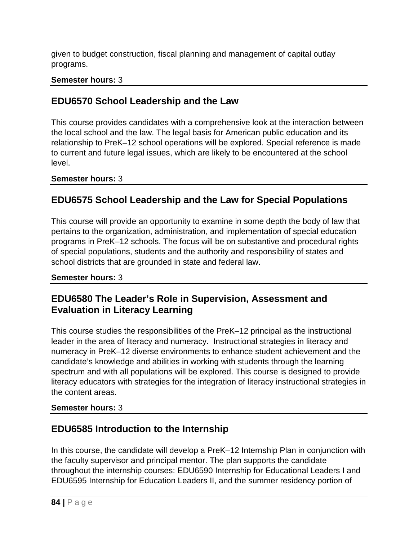given to budget construction, fiscal planning and management of capital outlay programs.

### **Semester hours:** 3

# **EDU6570 School Leadership and the Law**

This course provides candidates with a comprehensive look at the interaction between the local school and the law. The legal basis for American public education and its relationship to PreK–12 school operations will be explored. Special reference is made to current and future legal issues, which are likely to be encountered at the school level.

### **Semester hours:** 3

# **EDU6575 School Leadership and the Law for Special Populations**

This course will provide an opportunity to examine in some depth the body of law that pertains to the organization, administration, and implementation of special education programs in PreK–12 schools. The focus will be on substantive and procedural rights of special populations, students and the authority and responsibility of states and school districts that are grounded in state and federal law.

#### **Semester hours:** 3

# **EDU6580 The Leader's Role in Supervision, Assessment and Evaluation in Literacy Learning**

This course studies the responsibilities of the PreK–12 principal as the instructional leader in the area of literacy and numeracy. Instructional strategies in literacy and numeracy in PreK–12 diverse environments to enhance student achievement and the candidate's knowledge and abilities in working with students through the learning spectrum and with all populations will be explored. This course is designed to provide literacy educators with strategies for the integration of literacy instructional strategies in the content areas.

### **Semester hours:** 3

# **EDU6585 Introduction to the Internship**

In this course, the candidate will develop a PreK–12 Internship Plan in conjunction with the faculty supervisor and principal mentor. The plan supports the candidate throughout the internship courses: EDU6590 Internship for Educational Leaders I and EDU6595 Internship for Education Leaders II, and the summer residency portion of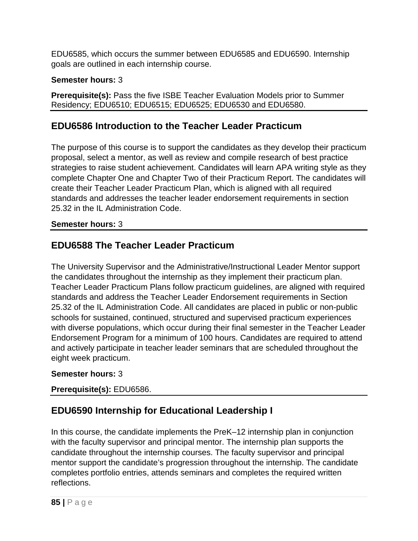EDU6585, which occurs the summer between EDU6585 and EDU6590. Internship goals are outlined in each internship course.

### **Semester hours:** 3

**Prerequisite(s):** Pass the five ISBE Teacher Evaluation Models prior to Summer Residency; EDU6510; EDU6515; EDU6525; EDU6530 and EDU6580.

# **EDU6586 Introduction to the Teacher Leader Practicum**

The purpose of this course is to support the candidates as they develop their practicum proposal, select a mentor, as well as review and compile research of best practice strategies to raise student achievement. Candidates will learn APA writing style as they complete Chapter One and Chapter Two of their Practicum Report. The candidates will create their Teacher Leader Practicum Plan, which is aligned with all required standards and addresses the teacher leader endorsement requirements in section 25.32 in the IL Administration Code.

### **Semester hours:** 3

# **EDU6588 The Teacher Leader Practicum**

The University Supervisor and the Administrative/Instructional Leader Mentor support the candidates throughout the internship as they implement their practicum plan. Teacher Leader Practicum Plans follow practicum guidelines, are aligned with required standards and address the Teacher Leader Endorsement requirements in Section 25.32 of the IL Administration Code. All candidates are placed in public or non-public schools for sustained, continued, structured and supervised practicum experiences with diverse populations, which occur during their final semester in the Teacher Leader Endorsement Program for a minimum of 100 hours. Candidates are required to attend and actively participate in teacher leader seminars that are scheduled throughout the eight week practicum.

### **Semester hours:** 3

### **Prerequisite(s):** EDU6586.

# **EDU6590 Internship for Educational Leadership I**

In this course, the candidate implements the PreK–12 internship plan in conjunction with the faculty supervisor and principal mentor. The internship plan supports the candidate throughout the internship courses. The faculty supervisor and principal mentor support the candidate's progression throughout the internship. The candidate completes portfolio entries, attends seminars and completes the required written reflections.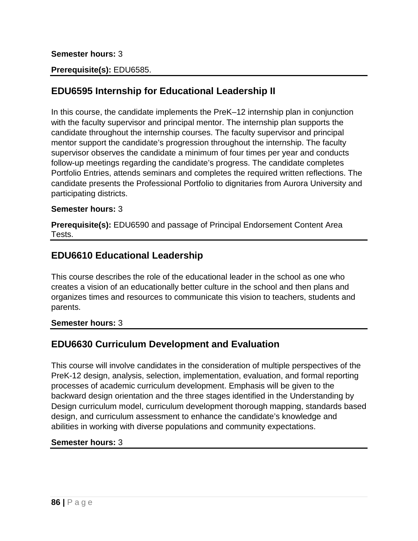#### **Semester hours:** 3

#### **Prerequisite(s):** EDU6585.

### **EDU6595 Internship for Educational Leadership II**

In this course, the candidate implements the PreK–12 internship plan in conjunction with the faculty supervisor and principal mentor. The internship plan supports the candidate throughout the internship courses. The faculty supervisor and principal mentor support the candidate's progression throughout the internship. The faculty supervisor observes the candidate a minimum of four times per year and conducts follow-up meetings regarding the candidate's progress. The candidate completes Portfolio Entries, attends seminars and completes the required written reflections. The candidate presents the Professional Portfolio to dignitaries from Aurora University and participating districts.

#### **Semester hours:** 3

**Prerequisite(s):** EDU6590 and passage of Principal Endorsement Content Area Tests.

### **EDU6610 Educational Leadership**

This course describes the role of the educational leader in the school as one who creates a vision of an educationally better culture in the school and then plans and organizes times and resources to communicate this vision to teachers, students and parents.

#### **Semester hours:** 3

### **EDU6630 Curriculum Development and Evaluation**

This course will involve candidates in the consideration of multiple perspectives of the PreK-12 design, analysis, selection, implementation, evaluation, and formal reporting processes of academic curriculum development. Emphasis will be given to the backward design orientation and the three stages identified in the Understanding by Design curriculum model, curriculum development thorough mapping, standards based design, and curriculum assessment to enhance the candidate's knowledge and abilities in working with diverse populations and community expectations.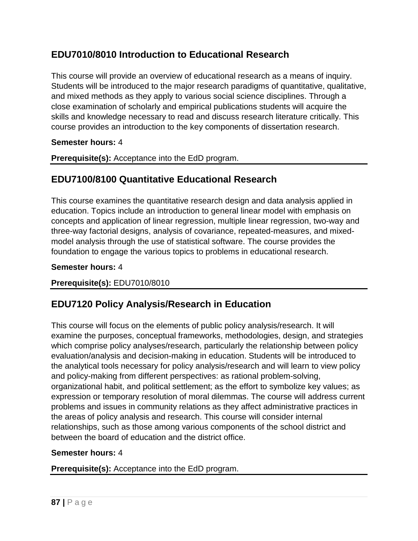# **EDU7010/8010 Introduction to Educational Research**

This course will provide an overview of educational research as a means of inquiry. Students will be introduced to the major research paradigms of quantitative, qualitative, and mixed methods as they apply to various social science disciplines. Through a close examination of scholarly and empirical publications students will acquire the skills and knowledge necessary to read and discuss research literature critically. This course provides an introduction to the key components of dissertation research.

#### **Semester hours:** 4

**Prerequisite(s):** Acceptance into the EdD program.

## **EDU7100/8100 Quantitative Educational Research**

This course examines the quantitative research design and data analysis applied in education. Topics include an introduction to general linear model with emphasis on concepts and application of linear regression, multiple linear regression, two-way and three-way factorial designs, analysis of covariance, repeated-measures, and mixedmodel analysis through the use of statistical software. The course provides the foundation to engage the various topics to problems in educational research.

#### **Semester hours:** 4

#### **Prerequisite(s):** EDU7010/8010

# **EDU7120 Policy Analysis/Research in Education**

This course will focus on the elements of public policy analysis/research. It will examine the purposes, conceptual frameworks, methodologies, design, and strategies which comprise policy analyses/research, particularly the relationship between policy evaluation/analysis and decision-making in education. Students will be introduced to the analytical tools necessary for policy analysis/research and will learn to view policy and policy-making from different perspectives: as rational problem-solving, organizational habit, and political settlement; as the effort to symbolize key values; as expression or temporary resolution of moral dilemmas. The course will address current problems and issues in community relations as they affect administrative practices in the areas of policy analysis and research. This course will consider internal relationships, such as those among various components of the school district and between the board of education and the district office.

#### **Semester hours:** 4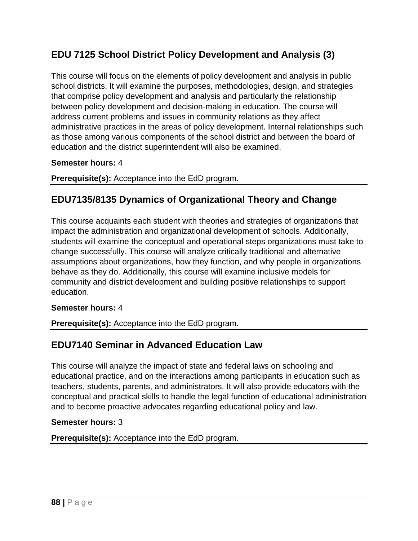# **EDU 7125 School District Policy Development and Analysis (3)**

This course will focus on the elements of policy development and analysis in public school districts. It will examine the purposes, methodologies, design, and strategies that comprise policy development and analysis and particularly the relationship between policy development and decision-making in education. The course will address current problems and issues in community relations as they affect administrative practices in the areas of policy development. Internal relationships such as those among various components of the school district and between the board of education and the district superintendent will also be examined.

#### **Semester hours:** 4

**Prerequisite(s):** Acceptance into the EdD program.

## **EDU7135/8135 Dynamics of Organizational Theory and Change**

This course acquaints each student with theories and strategies of organizations that impact the administration and organizational development of schools. Additionally, students will examine the conceptual and operational steps organizations must take to change successfully. This course will analyze critically traditional and alternative assumptions about organizations, how they function, and why people in organizations behave as they do. Additionally, this course will examine inclusive models for community and district development and building positive relationships to support education.

#### **Semester hours:** 4

**Prerequisite(s):** Acceptance into the EdD program.

### **EDU7140 Seminar in Advanced Education Law**

This course will analyze the impact of state and federal laws on schooling and educational practice, and on the interactions among participants in education such as teachers, students, parents, and administrators. It will also provide educators with the conceptual and practical skills to handle the legal function of educational administration and to become proactive advocates regarding educational policy and law.

#### **Semester hours:** 3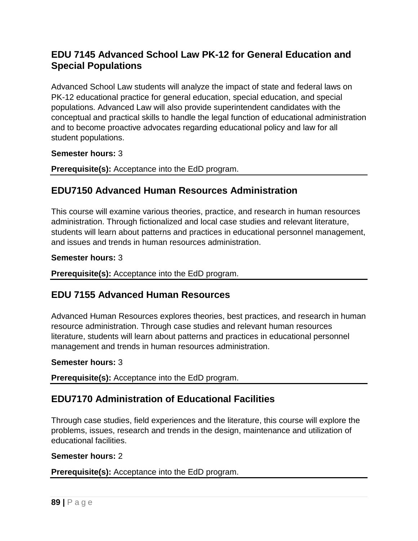# **EDU 7145 Advanced School Law PK-12 for General Education and Special Populations**

Advanced School Law students will analyze the impact of state and federal laws on PK-12 educational practice for general education, special education, and special populations. Advanced Law will also provide superintendent candidates with the conceptual and practical skills to handle the legal function of educational administration and to become proactive advocates regarding educational policy and law for all student populations.

#### **Semester hours:** 3

**Prerequisite(s):** Acceptance into the EdD program.

### **EDU7150 Advanced Human Resources Administration**

This course will examine various theories, practice, and research in human resources administration. Through fictionalized and local case studies and relevant literature, students will learn about patterns and practices in educational personnel management, and issues and trends in human resources administration.

#### **Semester hours:** 3

**Prerequisite(s):** Acceptance into the EdD program.

### **EDU 7155 Advanced Human Resources**

Advanced Human Resources explores theories, best practices, and research in human resource administration. Through case studies and relevant human resources literature, students will learn about patterns and practices in educational personnel management and trends in human resources administration.

#### **Semester hours:** 3

**Prerequisite(s):** Acceptance into the EdD program.

# **EDU7170 Administration of Educational Facilities**

Through case studies, field experiences and the literature, this course will explore the problems, issues, research and trends in the design, maintenance and utilization of educational facilities.

#### **Semester hours:** 2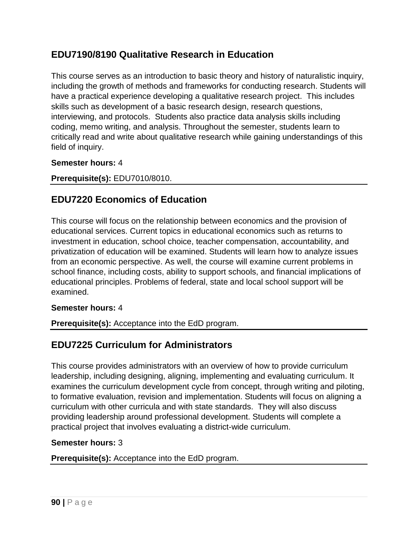## **EDU7190/8190 Qualitative Research in Education**

This course serves as an introduction to basic theory and history of naturalistic inquiry, including the growth of methods and frameworks for conducting research. Students will have a practical experience developing a qualitative research project. This includes skills such as development of a basic research design, research questions, interviewing, and protocols. Students also practice data analysis skills including coding, memo writing, and analysis. Throughout the semester, students learn to critically read and write about qualitative research while gaining understandings of this field of inquiry.

#### **Semester hours:** 4

### **Prerequisite(s):** EDU7010/8010.

# **EDU7220 Economics of Education**

This course will focus on the relationship between economics and the provision of educational services. Current topics in educational economics such as returns to investment in education, school choice, teacher compensation, accountability, and privatization of education will be examined. Students will learn how to analyze issues from an economic perspective. As well, the course will examine current problems in school finance, including costs, ability to support schools, and financial implications of educational principles. Problems of federal, state and local school support will be examined.

#### **Semester hours:** 4

**Prerequisite(s):** Acceptance into the EdD program.

# **EDU7225 Curriculum for Administrators**

This course provides administrators with an overview of how to provide curriculum leadership, including designing, aligning, implementing and evaluating curriculum. It examines the curriculum development cycle from concept, through writing and piloting, to formative evaluation, revision and implementation. Students will focus on aligning a curriculum with other curricula and with state standards. They will also discuss providing leadership around professional development. Students will complete a practical project that involves evaluating a district-wide curriculum.

#### **Semester hours:** 3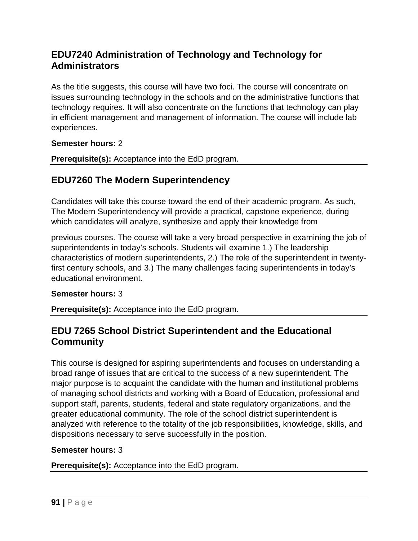# **EDU7240 Administration of Technology and Technology for Administrators**

As the title suggests, this course will have two foci. The course will concentrate on issues surrounding technology in the schools and on the administrative functions that technology requires. It will also concentrate on the functions that technology can play in efficient management and management of information. The course will include lab experiences.

**Semester hours:** 2

**Prerequisite(s):** Acceptance into the EdD program.

# **EDU7260 The Modern Superintendency**

Candidates will take this course toward the end of their academic program. As such, The Modern Superintendency will provide a practical, capstone experience, during which candidates will analyze, synthesize and apply their knowledge from

previous courses. The course will take a very broad perspective in examining the job of superintendents in today's schools. Students will examine 1.) The leadership characteristics of modern superintendents, 2.) The role of the superintendent in twentyfirst century schools, and 3.) The many challenges facing superintendents in today's educational environment.

#### **Semester hours:** 3

**Prerequisite(s):** Acceptance into the EdD program.

### **EDU 7265 School District Superintendent and the Educational Community**

This course is designed for aspiring superintendents and focuses on understanding a broad range of issues that are critical to the success of a new superintendent. The major purpose is to acquaint the candidate with the human and institutional problems of managing school districts and working with a Board of Education, professional and support staff, parents, students, federal and state regulatory organizations, and the greater educational community. The role of the school district superintendent is analyzed with reference to the totality of the job responsibilities, knowledge, skills, and dispositions necessary to serve successfully in the position.

#### **Semester hours:** 3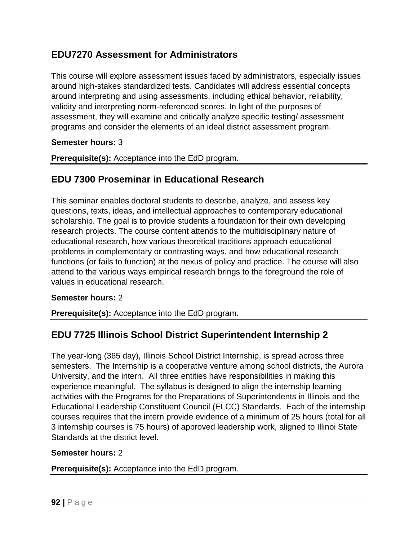# **EDU7270 Assessment for Administrators**

This course will explore assessment issues faced by administrators, especially issues around high-stakes standardized tests. Candidates will address essential concepts around interpreting and using assessments, including ethical behavior, reliability, validity and interpreting norm-referenced scores. In light of the purposes of assessment, they will examine and critically analyze specific testing/ assessment programs and consider the elements of an ideal district assessment program.

#### **Semester hours:** 3

**Prerequisite(s):** Acceptance into the EdD program.

### **EDU 7300 Proseminar in Educational Research**

This seminar enables doctoral students to describe, analyze, and assess key questions, texts, ideas, and intellectual approaches to contemporary educational scholarship. The goal is to provide students a foundation for their own developing research projects. The course content attends to the multidisciplinary nature of educational research, how various theoretical traditions approach educational problems in complementary or contrasting ways, and how educational research functions (or fails to function) at the nexus of policy and practice. The course will also attend to the various ways empirical research brings to the foreground the role of values in educational research.

#### **Semester hours:** 2

**Prerequisite(s):** Acceptance into the EdD program.

### **EDU 7725 Illinois School District Superintendent Internship 2**

The year-long (365 day), Illinois School District Internship, is spread across three semesters. The Internship is a cooperative venture among school districts, the Aurora University, and the intern. All three entities have responsibilities in making this experience meaningful. The syllabus is designed to align the internship learning activities with the Programs for the Preparations of Superintendents in Illinois and the Educational Leadership Constituent Council (ELCC) Standards. Each of the internship courses requires that the intern provide evidence of a minimum of 25 hours (total for all 3 internship courses is 75 hours) of approved leadership work, aligned to Illinoi State Standards at the district level.

#### **Semester hours:** 2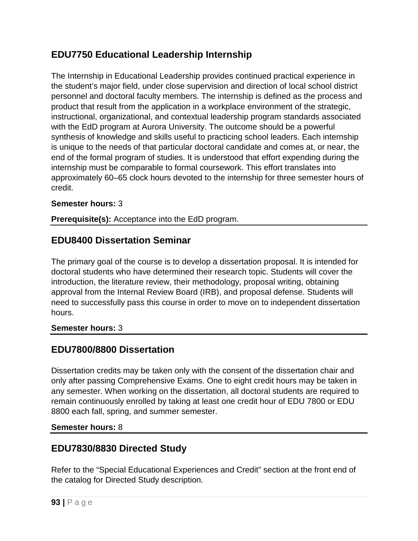# **EDU7750 Educational Leadership Internship**

The Internship in Educational Leadership provides continued practical experience in the student's major field, under close supervision and direction of local school district personnel and doctoral faculty members. The internship is defined as the process and product that result from the application in a workplace environment of the strategic, instructional, organizational, and contextual leadership program standards associated with the EdD program at Aurora University. The outcome should be a powerful synthesis of knowledge and skills useful to practicing school leaders. Each internship is unique to the needs of that particular doctoral candidate and comes at, or near, the end of the formal program of studies. It is understood that effort expending during the internship must be comparable to formal coursework. This effort translates into approximately 60–65 clock hours devoted to the internship for three semester hours of credit.

### **Semester hours:** 3

**Prerequisite(s):** Acceptance into the EdD program.

## **EDU8400 Dissertation Seminar**

The primary goal of the course is to develop a dissertation proposal. It is intended for doctoral students who have determined their research topic. Students will cover the introduction, the literature review, their methodology, proposal writing, obtaining approval from the Internal Review Board (IRB), and proposal defense. Students will need to successfully pass this course in order to move on to independent dissertation hours.

### **Semester hours:** 3

# **EDU7800/8800 Dissertation**

Dissertation credits may be taken only with the consent of the dissertation chair and only after passing Comprehensive Exams. One to eight credit hours may be taken in any semester. When working on the dissertation, all doctoral students are required to remain continuously enrolled by taking at least one credit hour of EDU 7800 or EDU 8800 each fall, spring, and summer semester.

### **Semester hours:** 8

# **EDU7830/8830 Directed Study**

Refer to the "Special Educational Experiences and Credit" section at the front end of the catalog for Directed Study description.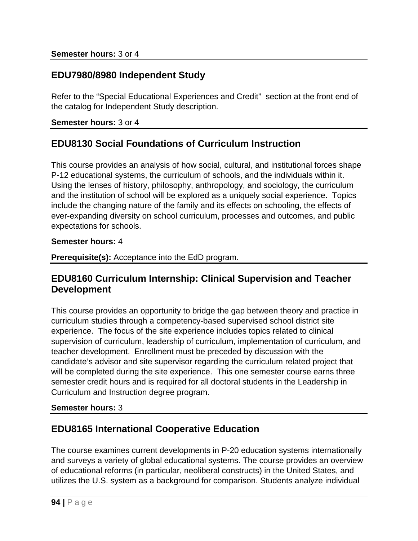## **EDU7980/8980 Independent Study**

Refer to the "Special Educational Experiences and Credit" section at the front end of the catalog for Independent Study description.

#### **Semester hours:** 3 or 4

## **EDU8130 Social Foundations of Curriculum Instruction**

This course provides an analysis of how social, cultural, and institutional forces shape P-12 educational systems, the curriculum of schools, and the individuals within it. Using the lenses of history, philosophy, anthropology, and sociology, the curriculum and the institution of school will be explored as a uniquely social experience. Topics include the changing nature of the family and its effects on schooling, the effects of ever-expanding diversity on school curriculum, processes and outcomes, and public expectations for schools.

#### **Semester hours:** 4

**Prerequisite(s):** Acceptance into the EdD program.

### **EDU8160 Curriculum Internship: Clinical Supervision and Teacher Development**

This course provides an opportunity to bridge the gap between theory and practice in curriculum studies through a competency-based supervised school district site experience. The focus of the site experience includes topics related to clinical supervision of curriculum, leadership of curriculum, implementation of curriculum, and teacher development. Enrollment must be preceded by discussion with the candidate's advisor and site supervisor regarding the curriculum related project that will be completed during the site experience. This one semester course earns three semester credit hours and is required for all doctoral students in the Leadership in Curriculum and Instruction degree program.

#### **Semester hours:** 3

### **EDU8165 International Cooperative Education**

The course examines current developments in P-20 education systems internationally and surveys a variety of global educational systems. The course provides an overview of educational reforms (in particular, neoliberal constructs) in the United States, and utilizes the U.S. system as a background for comparison. Students analyze individual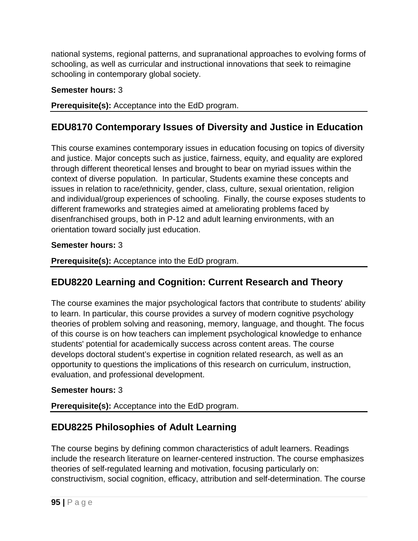national systems, regional patterns, and supranational approaches to evolving forms of schooling, as well as curricular and instructional innovations that seek to reimagine schooling in contemporary global society.

### **Semester hours:** 3

**Prerequisite(s):** Acceptance into the EdD program.

# **EDU8170 Contemporary Issues of Diversity and Justice in Education**

This course examines contemporary issues in education focusing on topics of diversity and justice. Major concepts such as justice, fairness, equity, and equality are explored through different theoretical lenses and brought to bear on myriad issues within the context of diverse population. In particular, Students examine these concepts and issues in relation to race/ethnicity, gender, class, culture, sexual orientation, religion and individual/group experiences of schooling. Finally, the course exposes students to different frameworks and strategies aimed at ameliorating problems faced by disenfranchised groups, both in P-12 and adult learning environments, with an orientation toward socially just education.

### **Semester hours:** 3

**Prerequisite(s):** Acceptance into the EdD program.

# **EDU8220 Learning and Cognition: Current Research and Theory**

The course examines the major psychological factors that contribute to students' ability to learn. In particular, this course provides a survey of modern cognitive psychology theories of problem solving and reasoning, memory, language, and thought. The focus of this course is on how teachers can implement psychological knowledge to enhance students' potential for academically success across content areas. The course develops doctoral student's expertise in cognition related research, as well as an opportunity to questions the implications of this research on curriculum, instruction, evaluation, and professional development.

### **Semester hours:** 3

**Prerequisite(s):** Acceptance into the EdD program.

# **EDU8225 Philosophies of Adult Learning**

The course begins by defining common characteristics of adult learners. Readings include the research literature on learner-centered instruction. The course emphasizes theories of self-regulated learning and motivation, focusing particularly on: constructivism, social cognition, efficacy, attribution and self-determination. The course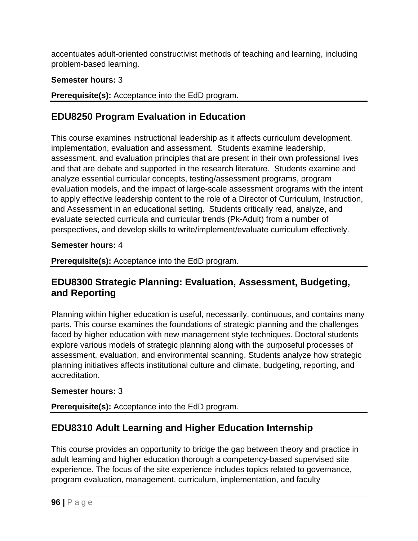accentuates adult-oriented constructivist methods of teaching and learning, including problem-based learning.

### **Semester hours:** 3

**Prerequisite(s):** Acceptance into the EdD program.

# **EDU8250 Program Evaluation in Education**

This course examines instructional leadership as it affects curriculum development, implementation, evaluation and assessment. Students examine leadership, assessment, and evaluation principles that are present in their own professional lives and that are debate and supported in the research literature. Students examine and analyze essential curricular concepts, testing/assessment programs, program evaluation models, and the impact of large-scale assessment programs with the intent to apply effective leadership content to the role of a Director of Curriculum, Instruction, and Assessment in an educational setting. Students critically read, analyze, and evaluate selected curricula and curricular trends (Pk-Adult) from a number of perspectives, and develop skills to write/implement/evaluate curriculum effectively.

### **Semester hours:** 4

**Prerequisite(s):** Acceptance into the EdD program.

# **EDU8300 Strategic Planning: Evaluation, Assessment, Budgeting, and Reporting**

Planning within higher education is useful, necessarily, continuous, and contains many parts. This course examines the foundations of strategic planning and the challenges faced by higher education with new management style techniques. Doctoral students explore various models of strategic planning along with the purposeful processes of assessment, evaluation, and environmental scanning. Students analyze how strategic planning initiatives affects institutional culture and climate, budgeting, reporting, and accreditation.

### **Semester hours:** 3

**Prerequisite(s):** Acceptance into the EdD program.

# **EDU8310 Adult Learning and Higher Education Internship**

This course provides an opportunity to bridge the gap between theory and practice in adult learning and higher education thorough a competency-based supervised site experience. The focus of the site experience includes topics related to governance, program evaluation, management, curriculum, implementation, and faculty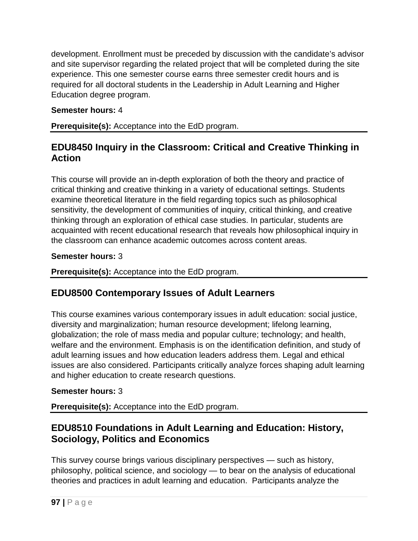development. Enrollment must be preceded by discussion with the candidate's advisor and site supervisor regarding the related project that will be completed during the site experience. This one semester course earns three semester credit hours and is required for all doctoral students in the Leadership in Adult Learning and Higher Education degree program.

### **Semester hours:** 4

**Prerequisite(s):** Acceptance into the EdD program.

## **EDU8450 Inquiry in the Classroom: Critical and Creative Thinking in Action**

This course will provide an in-depth exploration of both the theory and practice of critical thinking and creative thinking in a variety of educational settings. Students examine theoretical literature in the field regarding topics such as philosophical sensitivity, the development of communities of inquiry, critical thinking, and creative thinking through an exploration of ethical case studies. In particular, students are acquainted with recent educational research that reveals how philosophical inquiry in the classroom can enhance academic outcomes across content areas.

### **Semester hours:** 3

**Prerequisite(s):** Acceptance into the EdD program.

# **EDU8500 Contemporary Issues of Adult Learners**

This course examines various contemporary issues in adult education: social justice, diversity and marginalization; human resource development; lifelong learning, globalization; the role of mass media and popular culture; technology; and health, welfare and the environment. Emphasis is on the identification definition, and study of adult learning issues and how education leaders address them. Legal and ethical issues are also considered. Participants critically analyze forces shaping adult learning and higher education to create research questions.

### **Semester hours:** 3

**Prerequisite(s):** Acceptance into the EdD program.

# **EDU8510 Foundations in Adult Learning and Education: History, Sociology, Politics and Economics**

This survey course brings various disciplinary perspectives — such as history, philosophy, political science, and sociology — to bear on the analysis of educational theories and practices in adult learning and education. Participants analyze the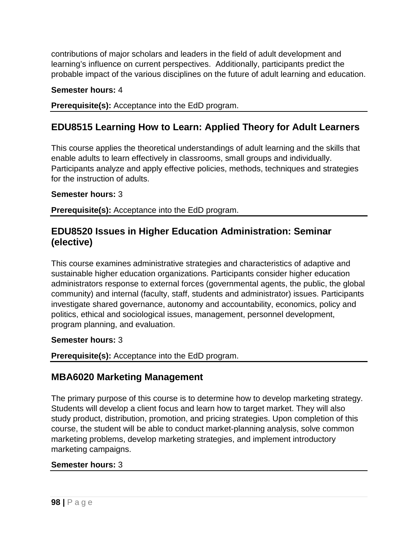contributions of major scholars and leaders in the field of adult development and learning's influence on current perspectives. Additionally, participants predict the probable impact of the various disciplines on the future of adult learning and education.

### **Semester hours:** 4

**Prerequisite(s):** Acceptance into the EdD program.

# **EDU8515 Learning How to Learn: Applied Theory for Adult Learners**

This course applies the theoretical understandings of adult learning and the skills that enable adults to learn effectively in classrooms, small groups and individually. Participants analyze and apply effective policies, methods, techniques and strategies for the instruction of adults.

#### **Semester hours:** 3

**Prerequisite(s):** Acceptance into the EdD program.

### **EDU8520 Issues in Higher Education Administration: Seminar (elective)**

This course examines administrative strategies and characteristics of adaptive and sustainable higher education organizations. Participants consider higher education administrators response to external forces (governmental agents, the public, the global community) and internal (faculty, staff, students and administrator) issues. Participants investigate shared governance, autonomy and accountability, economics, policy and politics, ethical and sociological issues, management, personnel development, program planning, and evaluation.

#### **Semester hours:** 3

**Prerequisite(s):** Acceptance into the EdD program.

### **MBA6020 Marketing Management**

The primary purpose of this course is to determine how to develop marketing strategy. Students will develop a client focus and learn how to target market. They will also study product, distribution, promotion, and pricing strategies. Upon completion of this course, the student will be able to conduct market-planning analysis, solve common marketing problems, develop marketing strategies, and implement introductory marketing campaigns.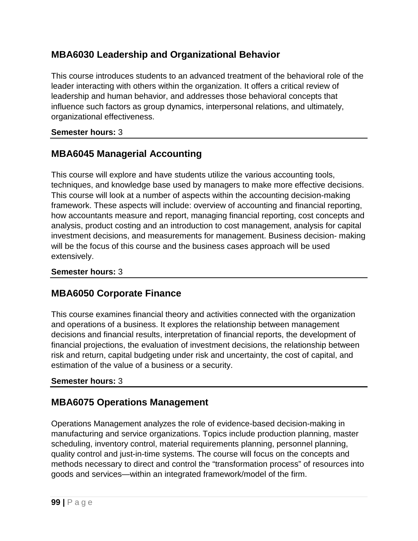# **MBA6030 Leadership and Organizational Behavior**

This course introduces students to an advanced treatment of the behavioral role of the leader interacting with others within the organization. It offers a critical review of leadership and human behavior, and addresses those behavioral concepts that influence such factors as group dynamics, interpersonal relations, and ultimately, organizational effectiveness.

### **Semester hours:** 3

# **MBA6045 Managerial Accounting**

This course will explore and have students utilize the various accounting tools, techniques, and knowledge base used by managers to make more effective decisions. This course will look at a number of aspects within the accounting decision-making framework. These aspects will include: overview of accounting and financial reporting, how accountants measure and report, managing financial reporting, cost concepts and analysis, product costing and an introduction to cost management, analysis for capital investment decisions, and measurements for management. Business decision- making will be the focus of this course and the business cases approach will be used extensively.

#### **Semester hours:** 3

### **MBA6050 Corporate Finance**

This course examines financial theory and activities connected with the organization and operations of a business. It explores the relationship between management decisions and financial results, interpretation of financial reports, the development of financial projections, the evaluation of investment decisions, the relationship between risk and return, capital budgeting under risk and uncertainty, the cost of capital, and estimation of the value of a business or a security.

#### **Semester hours:** 3

# **MBA6075 Operations Management**

Operations Management analyzes the role of evidence-based decision-making in manufacturing and service organizations. Topics include production planning, master scheduling, inventory control, material requirements planning, personnel planning, quality control and just-in-time systems. The course will focus on the concepts and methods necessary to direct and control the "transformation process" of resources into goods and services—within an integrated framework/model of the firm.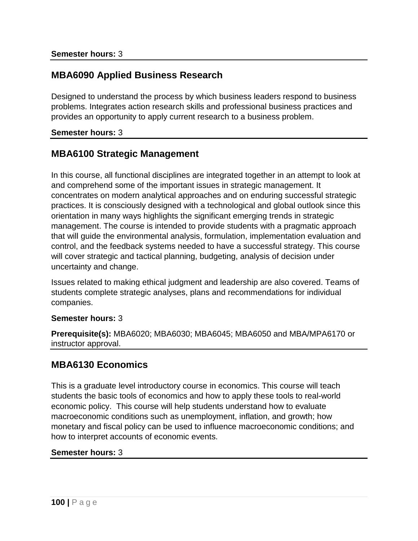## **MBA6090 Applied Business Research**

Designed to understand the process by which business leaders respond to business problems. Integrates action research skills and professional business practices and provides an opportunity to apply current research to a business problem.

#### **Semester hours:** 3

### **MBA6100 Strategic Management**

In this course, all functional disciplines are integrated together in an attempt to look at and comprehend some of the important issues in strategic management. It concentrates on modern analytical approaches and on enduring successful strategic practices. It is consciously designed with a technological and global outlook since this orientation in many ways highlights the significant emerging trends in strategic management. The course is intended to provide students with a pragmatic approach that will guide the environmental analysis, formulation, implementation evaluation and control, and the feedback systems needed to have a successful strategy. This course will cover strategic and tactical planning, budgeting, analysis of decision under uncertainty and change.

Issues related to making ethical judgment and leadership are also covered. Teams of students complete strategic analyses, plans and recommendations for individual companies.

#### **Semester hours:** 3

**Prerequisite(s):** MBA6020; MBA6030; MBA6045; MBA6050 and MBA/MPA6170 or instructor approval.

### **MBA6130 Economics**

This is a graduate level introductory course in economics. This course will teach students the basic tools of economics and how to apply these tools to real-world economic policy. This course will help students understand how to evaluate macroeconomic conditions such as unemployment, inflation, and growth; how monetary and fiscal policy can be used to influence macroeconomic conditions; and how to interpret accounts of economic events.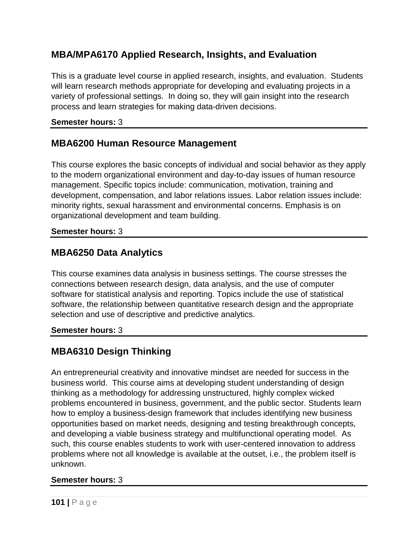# **MBA/MPA6170 Applied Research, Insights, and Evaluation**

This is a graduate level course in applied research, insights, and evaluation. Students will learn research methods appropriate for developing and evaluating projects in a variety of professional settings. In doing so, they will gain insight into the research process and learn strategies for making data-driven decisions.

#### **Semester hours:** 3

## **MBA6200 Human Resource Management**

This course explores the basic concepts of individual and social behavior as they apply to the modern organizational environment and day-to-day issues of human resource management. Specific topics include: communication, motivation, training and development, compensation, and labor relations issues. Labor relation issues include: minority rights, sexual harassment and environmental concerns. Emphasis is on organizational development and team building.

#### **Semester hours:** 3

### **MBA6250 Data Analytics**

This course examines data analysis in business settings. The course stresses the connections between research design, data analysis, and the use of computer software for statistical analysis and reporting. Topics include the use of statistical software, the relationship between quantitative research design and the appropriate selection and use of descriptive and predictive analytics.

#### **Semester hours:** 3

# **MBA6310 Design Thinking**

An entrepreneurial creativity and innovative mindset are needed for success in the business world. This course aims at developing student understanding of design thinking as a methodology for addressing unstructured, highly complex wicked problems encountered in business, government, and the public sector. Students learn how to employ a business-design framework that includes identifying new business opportunities based on market needs, designing and testing breakthrough concepts, and developing a viable business strategy and multifunctional operating model. As such, this course enables students to work with user-centered innovation to address problems where not all knowledge is available at the outset, i.e., the problem itself is unknown.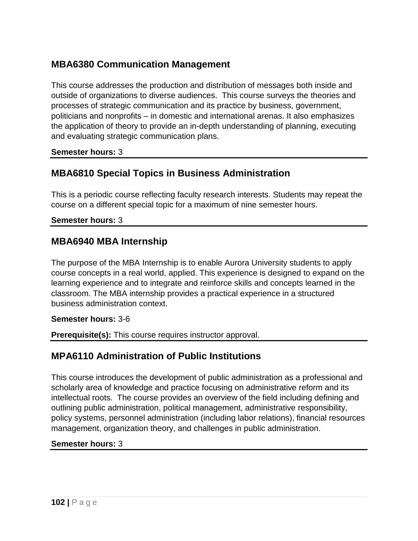# **MBA6380 Communication Management**

This course addresses the production and distribution of messages both inside and outside of organizations to diverse audiences. This course surveys the theories and processes of strategic communication and its practice by business, government, politicians and nonprofits – in domestic and international arenas. It also emphasizes the application of theory to provide an in-depth understanding of planning, executing and evaluating strategic communication plans.

#### **Semester hours:** 3

### **MBA6810 Special Topics in Business Administration**

This is a periodic course reflecting faculty research interests. Students may repeat the course on a different special topic for a maximum of nine semester hours.

#### **Semester hours:** 3

### **MBA6940 MBA Internship**

The purpose of the MBA Internship is to enable Aurora University students to apply course concepts in a real world, applied. This experience is designed to expand on the learning experience and to integrate and reinforce skills and concepts learned in the classroom. The MBA internship provides a practical experience in a structured business administration context.

#### **Semester hours:** 3-6

**Prerequisite(s):** This course requires instructor approval.

### **MPA6110 Administration of Public Institutions**

This course introduces the development of public administration as a professional and scholarly area of knowledge and practice focusing on administrative reform and its intellectual roots. The course provides an overview of the field including defining and outlining public administration, political management, administrative responsibility, policy systems, personnel administration (including labor relations), financial resources management, organization theory, and challenges in public administration.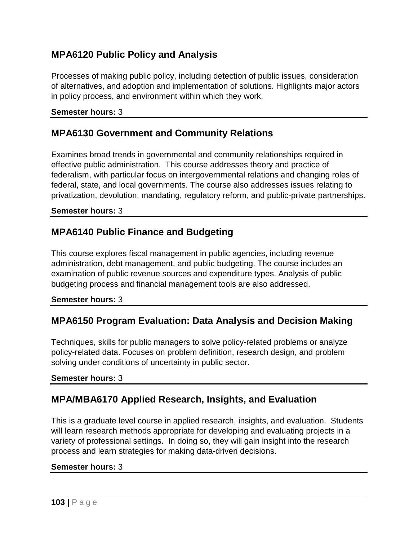# **MPA6120 Public Policy and Analysis**

Processes of making public policy, including detection of public issues, consideration of alternatives, and adoption and implementation of solutions. Highlights major actors in policy process, and environment within which they work.

#### **Semester hours:** 3

### **MPA6130 Government and Community Relations**

Examines broad trends in governmental and community relationships required in effective public administration. This course addresses theory and practice of federalism, with particular focus on intergovernmental relations and changing roles of federal, state, and local governments. The course also addresses issues relating to privatization, devolution, mandating, regulatory reform, and public-private partnerships.

#### **Semester hours:** 3

### **MPA6140 Public Finance and Budgeting**

This course explores fiscal management in public agencies, including revenue administration, debt management, and public budgeting. The course includes an examination of public revenue sources and expenditure types. Analysis of public budgeting process and financial management tools are also addressed.

#### **Semester hours:** 3

### **MPA6150 Program Evaluation: Data Analysis and Decision Making**

Techniques, skills for public managers to solve policy-related problems or analyze policy-related data. Focuses on problem definition, research design, and problem solving under conditions of uncertainty in public sector.

#### **Semester hours:** 3

# **MPA/MBA6170 Applied Research, Insights, and Evaluation**

This is a graduate level course in applied research, insights, and evaluation. Students will learn research methods appropriate for developing and evaluating projects in a variety of professional settings. In doing so, they will gain insight into the research process and learn strategies for making data-driven decisions.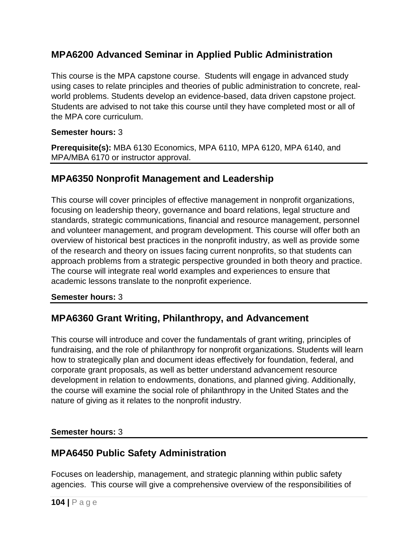# **MPA6200 Advanced Seminar in Applied Public Administration**

This course is the MPA capstone course. Students will engage in advanced study using cases to relate principles and theories of public administration to concrete, realworld problems. Students develop an evidence-based, data driven capstone project. Students are advised to not take this course until they have completed most or all of the MPA core curriculum.

### **Semester hours:** 3

**Prerequisite(s):** MBA 6130 Economics, MPA 6110, MPA 6120, MPA 6140, and MPA/MBA 6170 or instructor approval.

### **MPA6350 Nonprofit Management and Leadership**

This course will cover principles of effective management in nonprofit organizations, focusing on leadership theory, governance and board relations, legal structure and standards, strategic communications, financial and resource management, personnel and volunteer management, and program development. This course will offer both an overview of historical best practices in the nonprofit industry, as well as provide some of the research and theory on issues facing current nonprofits, so that students can approach problems from a strategic perspective grounded in both theory and practice. The course will integrate real world examples and experiences to ensure that academic lessons translate to the nonprofit experience.

#### **Semester hours:** 3

# **MPA6360 Grant Writing, Philanthropy, and Advancement**

This course will introduce and cover the fundamentals of grant writing, principles of fundraising, and the role of philanthropy for nonprofit organizations. Students will learn how to strategically plan and document ideas effectively for foundation, federal, and corporate grant proposals, as well as better understand advancement resource development in relation to endowments, donations, and planned giving. Additionally, the course will examine the social role of philanthropy in the United States and the nature of giving as it relates to the nonprofit industry.

### **Semester hours:** 3

# **MPA6450 Public Safety Administration**

Focuses on leadership, management, and strategic planning within public safety agencies. This course will give a comprehensive overview of the responsibilities of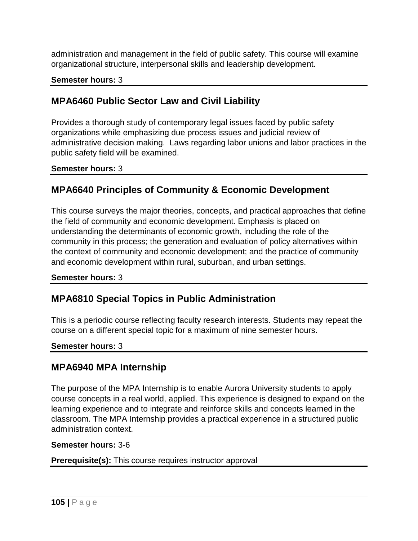administration and management in the field of public safety. This course will examine organizational structure, interpersonal skills and leadership development.

### **Semester hours:** 3

# **MPA6460 Public Sector Law and Civil Liability**

Provides a thorough study of contemporary legal issues faced by public safety organizations while emphasizing due process issues and judicial review of administrative decision making. Laws regarding labor unions and labor practices in the public safety field will be examined.

**Semester hours:** 3

# **MPA6640 Principles of Community & Economic Development**

This course surveys the major theories, concepts, and practical approaches that define the field of community and economic development. Emphasis is placed on understanding the determinants of economic growth, including the role of the community in this process; the generation and evaluation of policy alternatives within the context of community and economic development; and the practice of community and economic development within rural, suburban, and urban settings.

#### **Semester hours:** 3

# **MPA6810 Special Topics in Public Administration**

This is a periodic course reflecting faculty research interests. Students may repeat the course on a different special topic for a maximum of nine semester hours.

#### **Semester hours:** 3

### **MPA6940 MPA Internship**

The purpose of the MPA Internship is to enable Aurora University students to apply course concepts in a real world, applied. This experience is designed to expand on the learning experience and to integrate and reinforce skills and concepts learned in the classroom. The MPA Internship provides a practical experience in a structured public administration context.

#### **Semester hours:** 3-6

#### **Prerequisite(s):** This course requires instructor approval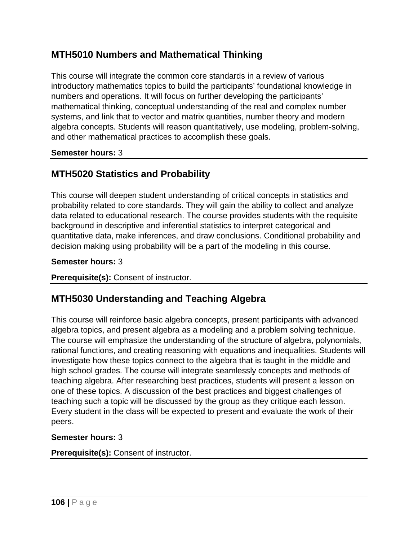## **MTH5010 Numbers and Mathematical Thinking**

This course will integrate the common core standards in a review of various introductory mathematics topics to build the participants' foundational knowledge in numbers and operations. It will focus on further developing the participants' mathematical thinking, conceptual understanding of the real and complex number systems, and link that to vector and matrix quantities, number theory and modern algebra concepts. Students will reason quantitatively, use modeling, problem-solving, and other mathematical practices to accomplish these goals.

#### **Semester hours:** 3

# **MTH5020 Statistics and Probability**

This course will deepen student understanding of critical concepts in statistics and probability related to core standards. They will gain the ability to collect and analyze data related to educational research. The course provides students with the requisite background in descriptive and inferential statistics to interpret categorical and quantitative data, make inferences, and draw conclusions. Conditional probability and decision making using probability will be a part of the modeling in this course.

#### **Semester hours:** 3

#### **Prerequisite(s):** Consent of instructor.

# **MTH5030 Understanding and Teaching Algebra**

This course will reinforce basic algebra concepts, present participants with advanced algebra topics, and present algebra as a modeling and a problem solving technique. The course will emphasize the understanding of the structure of algebra, polynomials, rational functions, and creating reasoning with equations and inequalities. Students will investigate how these topics connect to the algebra that is taught in the middle and high school grades. The course will integrate seamlessly concepts and methods of teaching algebra. After researching best practices, students will present a lesson on one of these topics. A discussion of the best practices and biggest challenges of teaching such a topic will be discussed by the group as they critique each lesson. Every student in the class will be expected to present and evaluate the work of their peers.

#### **Semester hours:** 3

#### **Prerequisite(s):** Consent of instructor.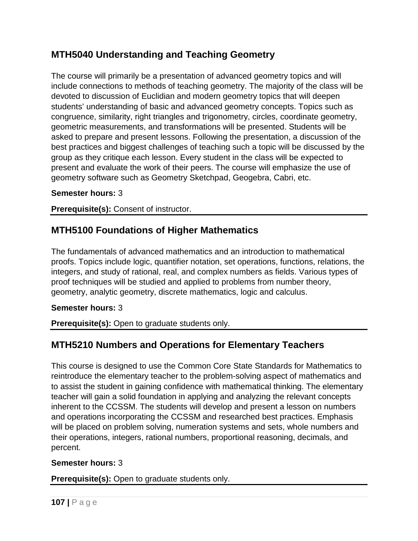# **MTH5040 Understanding and Teaching Geometry**

The course will primarily be a presentation of advanced geometry topics and will include connections to methods of teaching geometry. The majority of the class will be devoted to discussion of Euclidian and modern geometry topics that will deepen students' understanding of basic and advanced geometry concepts. Topics such as congruence, similarity, right triangles and trigonometry, circles, coordinate geometry, geometric measurements, and transformations will be presented. Students will be asked to prepare and present lessons. Following the presentation, a discussion of the best practices and biggest challenges of teaching such a topic will be discussed by the group as they critique each lesson. Every student in the class will be expected to present and evaluate the work of their peers. The course will emphasize the use of geometry software such as Geometry Sketchpad, Geogebra, Cabri, etc.

### **Semester hours:** 3

**Prerequisite(s):** Consent of instructor.

# **MTH5100 Foundations of Higher Mathematics**

The fundamentals of advanced mathematics and an introduction to mathematical proofs. Topics include logic, quantifier notation, set operations, functions, relations, the integers, and study of rational, real, and complex numbers as fields. Various types of proof techniques will be studied and applied to problems from number theory, geometry, analytic geometry, discrete mathematics, logic and calculus.

### **Semester hours:** 3

**Prerequisite(s):** Open to graduate students only.

# **MTH5210 Numbers and Operations for Elementary Teachers**

This course is designed to use the Common Core State Standards for Mathematics to reintroduce the elementary teacher to the problem-solving aspect of mathematics and to assist the student in gaining confidence with mathematical thinking. The elementary teacher will gain a solid foundation in applying and analyzing the relevant concepts inherent to the CCSSM. The students will develop and present a lesson on numbers and operations incorporating the CCSSM and researched best practices. Emphasis will be placed on problem solving, numeration systems and sets, whole numbers and their operations, integers, rational numbers, proportional reasoning, decimals, and percent.

#### **Semester hours:** 3

**Prerequisite(s):** Open to graduate students only.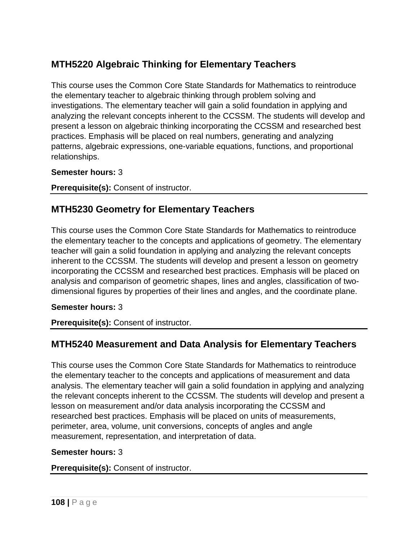# **MTH5220 Algebraic Thinking for Elementary Teachers**

This course uses the Common Core State Standards for Mathematics to reintroduce the elementary teacher to algebraic thinking through problem solving and investigations. The elementary teacher will gain a solid foundation in applying and analyzing the relevant concepts inherent to the CCSSM. The students will develop and present a lesson on algebraic thinking incorporating the CCSSM and researched best practices. Emphasis will be placed on real numbers, generating and analyzing patterns, algebraic expressions, one-variable equations, functions, and proportional relationships.

#### **Semester hours:** 3

**Prerequisite(s):** Consent of instructor.

# **MTH5230 Geometry for Elementary Teachers**

This course uses the Common Core State Standards for Mathematics to reintroduce the elementary teacher to the concepts and applications of geometry. The elementary teacher will gain a solid foundation in applying and analyzing the relevant concepts inherent to the CCSSM. The students will develop and present a lesson on geometry incorporating the CCSSM and researched best practices. Emphasis will be placed on analysis and comparison of geometric shapes, lines and angles, classification of twodimensional figures by properties of their lines and angles, and the coordinate plane.

### **Semester hours:** 3

**Prerequisite(s):** Consent of instructor.

# **MTH5240 Measurement and Data Analysis for Elementary Teachers**

This course uses the Common Core State Standards for Mathematics to reintroduce the elementary teacher to the concepts and applications of measurement and data analysis. The elementary teacher will gain a solid foundation in applying and analyzing the relevant concepts inherent to the CCSSM. The students will develop and present a lesson on measurement and/or data analysis incorporating the CCSSM and researched best practices. Emphasis will be placed on units of measurements, perimeter, area, volume, unit conversions, concepts of angles and angle measurement, representation, and interpretation of data.

#### **Semester hours:** 3

**Prerequisite(s):** Consent of instructor.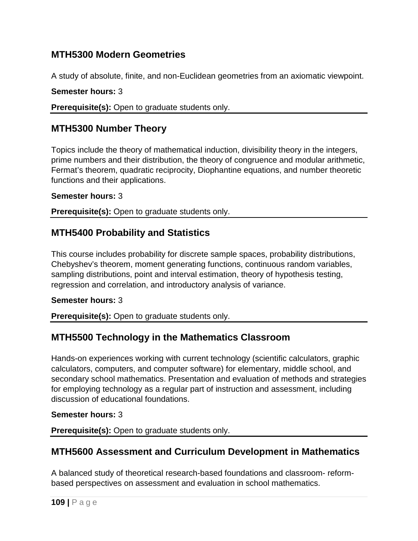## **MTH5300 Modern Geometries**

A study of absolute, finite, and non-Euclidean geometries from an axiomatic viewpoint.

**Semester hours:** 3

**Prerequisite(s):** Open to graduate students only.

# **MTH5300 Number Theory**

Topics include the theory of mathematical induction, divisibility theory in the integers, prime numbers and their distribution, the theory of congruence and modular arithmetic, Fermat's theorem, quadratic reciprocity, Diophantine equations, and number theoretic functions and their applications.

### **Semester hours:** 3

**Prerequisite(s):** Open to graduate students only.

# **MTH5400 Probability and Statistics**

This course includes probability for discrete sample spaces, probability distributions, Chebyshev's theorem, moment generating functions, continuous random variables, sampling distributions, point and interval estimation, theory of hypothesis testing, regression and correlation, and introductory analysis of variance.

### **Semester hours:** 3

**Prerequisite(s):** Open to graduate students only.

# **MTH5500 Technology in the Mathematics Classroom**

Hands-on experiences working with current technology (scientific calculators, graphic calculators, computers, and computer software) for elementary, middle school, and secondary school mathematics. Presentation and evaluation of methods and strategies for employing technology as a regular part of instruction and assessment, including discussion of educational foundations.

### **Semester hours:** 3

**Prerequisite(s):** Open to graduate students only.

# **MTH5600 Assessment and Curriculum Development in Mathematics**

A balanced study of theoretical research-based foundations and classroom- reformbased perspectives on assessment and evaluation in school mathematics.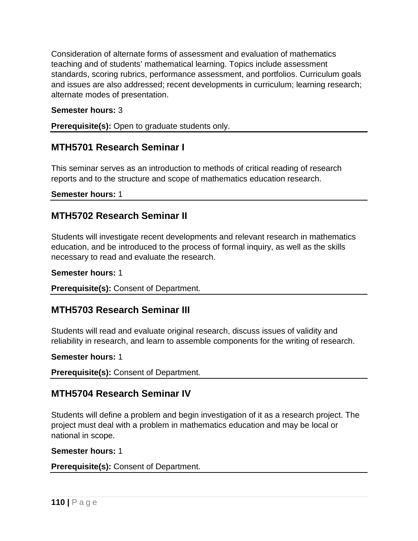Consideration of alternate forms of assessment and evaluation of mathematics teaching and of students' mathematical learning. Topics include assessment standards, scoring rubrics, performance assessment, and portfolios. Curriculum goals and issues are also addressed; recent developments in curriculum; learning research; alternate modes of presentation.

### **Semester hours:** 3

**Prerequisite(s):** Open to graduate students only.

## **MTH5701 Research Seminar I**

This seminar serves as an introduction to methods of critical reading of research reports and to the structure and scope of mathematics education research.

**Semester hours:** 1

## **MTH5702 Research Seminar II**

Students will investigate recent developments and relevant research in mathematics education, and be introduced to the process of formal inquiry, as well as the skills necessary to read and evaluate the research.

**Semester hours:** 1

**Prerequisite(s):** Consent of Department.

# **MTH5703 Research Seminar III**

Students will read and evaluate original research, discuss issues of validity and reliability in research, and learn to assemble components for the writing of research.

### **Semester hours:** 1

**Prerequisite(s):** Consent of Department.

## **MTH5704 Research Seminar IV**

Students will define a problem and begin investigation of it as a research project. The project must deal with a problem in mathematics education and may be local or national in scope.

### **Semester hours:** 1

**Prerequisite(s):** Consent of Department.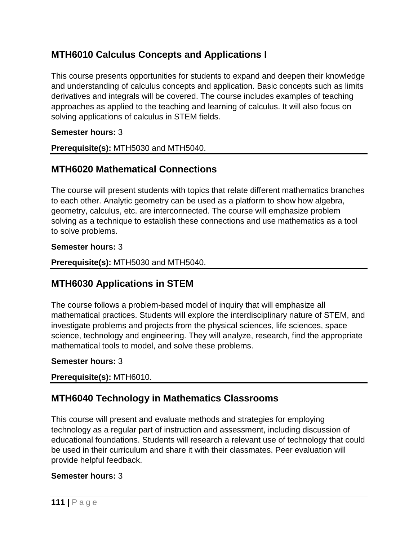# **MTH6010 Calculus Concepts and Applications I**

This course presents opportunities for students to expand and deepen their knowledge and understanding of calculus concepts and application. Basic concepts such as limits derivatives and integrals will be covered. The course includes examples of teaching approaches as applied to the teaching and learning of calculus. It will also focus on solving applications of calculus in STEM fields.

### **Semester hours:** 3

**Prerequisite(s):** MTH5030 and MTH5040.

## **MTH6020 Mathematical Connections**

The course will present students with topics that relate different mathematics branches to each other. Analytic geometry can be used as a platform to show how algebra, geometry, calculus, etc. are interconnected. The course will emphasize problem solving as a technique to establish these connections and use mathematics as a tool to solve problems.

#### **Semester hours:** 3

**Prerequisite(s):** MTH5030 and MTH5040.

## **MTH6030 Applications in STEM**

The course follows a problem-based model of inquiry that will emphasize all mathematical practices. Students will explore the interdisciplinary nature of STEM, and investigate problems and projects from the physical sciences, life sciences, space science, technology and engineering. They will analyze, research, find the appropriate mathematical tools to model, and solve these problems.

### **Semester hours:** 3

**Prerequisite(s):** MTH6010.

## **MTH6040 Technology in Mathematics Classrooms**

This course will present and evaluate methods and strategies for employing technology as a regular part of instruction and assessment, including discussion of educational foundations. Students will research a relevant use of technology that could be used in their curriculum and share it with their classmates. Peer evaluation will provide helpful feedback.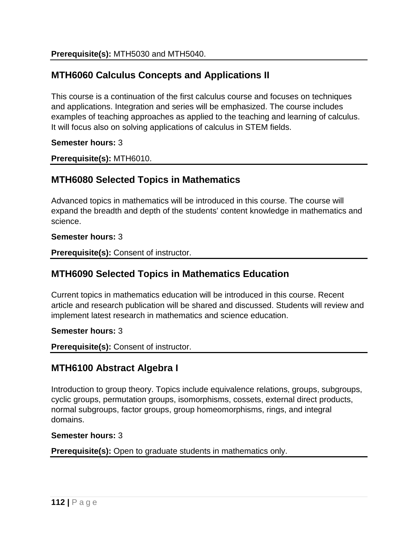# **MTH6060 Calculus Concepts and Applications II**

This course is a continuation of the first calculus course and focuses on techniques and applications. Integration and series will be emphasized. The course includes examples of teaching approaches as applied to the teaching and learning of calculus. It will focus also on solving applications of calculus in STEM fields.

**Semester hours:** 3

**Prerequisite(s):** MTH6010.

## **MTH6080 Selected Topics in Mathematics**

Advanced topics in mathematics will be introduced in this course. The course will expand the breadth and depth of the students' content knowledge in mathematics and science.

**Semester hours:** 3

**Prerequisite(s):** Consent of instructor.

## **MTH6090 Selected Topics in Mathematics Education**

Current topics in mathematics education will be introduced in this course. Recent article and research publication will be shared and discussed. Students will review and implement latest research in mathematics and science education.

**Semester hours:** 3

**Prerequisite(s):** Consent of instructor.

## **MTH6100 Abstract Algebra I**

Introduction to group theory. Topics include equivalence relations, groups, subgroups, cyclic groups, permutation groups, isomorphisms, cossets, external direct products, normal subgroups, factor groups, group homeomorphisms, rings, and integral domains.

### **Semester hours:** 3

**Prerequisite(s):** Open to graduate students in mathematics only.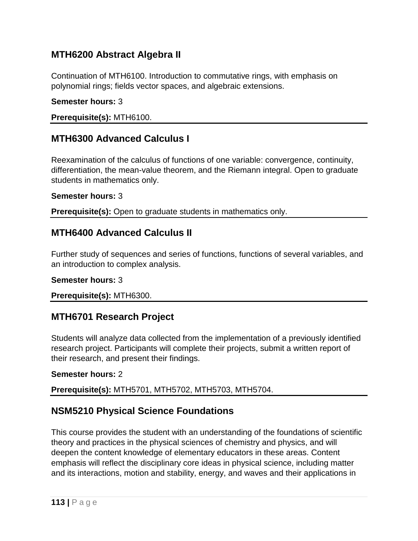# **MTH6200 Abstract Algebra II**

Continuation of MTH6100. Introduction to commutative rings, with emphasis on polynomial rings; fields vector spaces, and algebraic extensions.

### **Semester hours:** 3

**Prerequisite(s):** MTH6100.

# **MTH6300 Advanced Calculus I**

Reexamination of the calculus of functions of one variable: convergence, continuity, differentiation, the mean-value theorem, and the Riemann integral. Open to graduate students in mathematics only.

#### **Semester hours:** 3

**Prerequisite(s):** Open to graduate students in mathematics only.

## **MTH6400 Advanced Calculus II**

Further study of sequences and series of functions, functions of several variables, and an introduction to complex analysis.

### **Semester hours:** 3

**Prerequisite(s):** MTH6300.

## **MTH6701 Research Project**

Students will analyze data collected from the implementation of a previously identified research project. Participants will complete their projects, submit a written report of their research, and present their findings.

### **Semester hours:** 2

**Prerequisite(s):** MTH5701, MTH5702, MTH5703, MTH5704.

# **NSM5210 Physical Science Foundations**

This course provides the student with an understanding of the foundations of scientific theory and practices in the physical sciences of chemistry and physics, and will deepen the content knowledge of elementary educators in these areas. Content emphasis will reflect the disciplinary core ideas in physical science, including matter and its interactions, motion and stability, energy, and waves and their applications in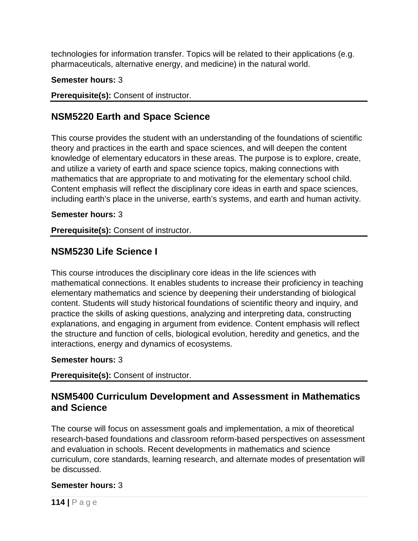technologies for information transfer. Topics will be related to their applications (e.g. pharmaceuticals, alternative energy, and medicine) in the natural world.

### **Semester hours:** 3

**Prerequisite(s):** Consent of instructor.

## **NSM5220 Earth and Space Science**

This course provides the student with an understanding of the foundations of scientific theory and practices in the earth and space sciences, and will deepen the content knowledge of elementary educators in these areas. The purpose is to explore, create, and utilize a variety of earth and space science topics, making connections with mathematics that are appropriate to and motivating for the elementary school child. Content emphasis will reflect the disciplinary core ideas in earth and space sciences, including earth's place in the universe, earth's systems, and earth and human activity.

### **Semester hours:** 3

**Prerequisite(s):** Consent of instructor.

## **NSM5230 Life Science I**

This course introduces the disciplinary core ideas in the life sciences with mathematical connections. It enables students to increase their proficiency in teaching elementary mathematics and science by deepening their understanding of biological content. Students will study historical foundations of scientific theory and inquiry, and practice the skills of asking questions, analyzing and interpreting data, constructing explanations, and engaging in argument from evidence. Content emphasis will reflect the structure and function of cells, biological evolution, heredity and genetics, and the interactions, energy and dynamics of ecosystems.

### **Semester hours:** 3

**Prerequisite(s):** Consent of instructor.

## **NSM5400 Curriculum Development and Assessment in Mathematics and Science**

The course will focus on assessment goals and implementation, a mix of theoretical research-based foundations and classroom reform-based perspectives on assessment and evaluation in schools. Recent developments in mathematics and science curriculum, core standards, learning research, and alternate modes of presentation will be discussed.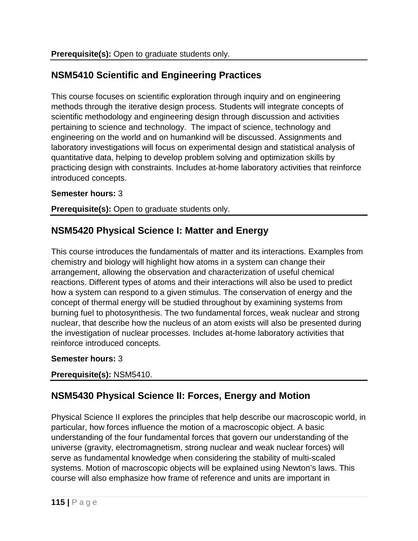# **NSM5410 Scientific and Engineering Practices**

This course focuses on scientific exploration through inquiry and on engineering methods through the iterative design process. Students will integrate concepts of scientific methodology and engineering design through discussion and activities pertaining to science and technology. The impact of science, technology and engineering on the world and on humankind will be discussed. Assignments and laboratory investigations will focus on experimental design and statistical analysis of quantitative data, helping to develop problem solving and optimization skills by practicing design with constraints. Includes at-home laboratory activities that reinforce introduced concepts.

### **Semester hours:** 3

**Prerequisite(s):** Open to graduate students only.

# **NSM5420 Physical Science I: Matter and Energy**

This course introduces the fundamentals of matter and its interactions. Examples from chemistry and biology will highlight how atoms in a system can change their arrangement, allowing the observation and characterization of useful chemical reactions. Different types of atoms and their interactions will also be used to predict how a system can respond to a given stimulus. The conservation of energy and the concept of thermal energy will be studied throughout by examining systems from burning fuel to photosynthesis. The two fundamental forces, weak nuclear and strong nuclear, that describe how the nucleus of an atom exists will also be presented during the investigation of nuclear processes. Includes at-home laboratory activities that reinforce introduced concepts.

### **Semester hours:** 3

### **Prerequisite(s):** NSM5410.

# **NSM5430 Physical Science II: Forces, Energy and Motion**

Physical Science II explores the principles that help describe our macroscopic world, in particular, how forces influence the motion of a macroscopic object. A basic understanding of the four fundamental forces that govern our understanding of the universe (gravity, electromagnetism, strong nuclear and weak nuclear forces) will serve as fundamental knowledge when considering the stability of multi-scaled systems. Motion of macroscopic objects will be explained using Newton's laws. This course will also emphasize how frame of reference and units are important in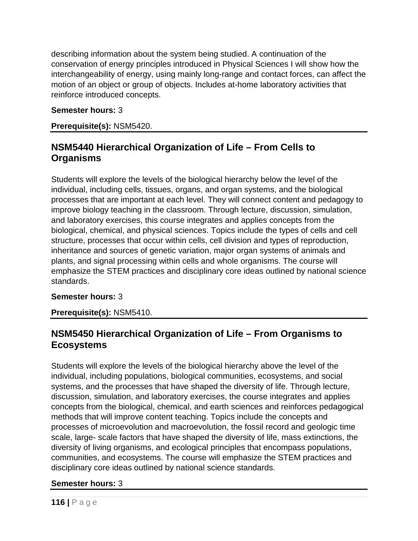describing information about the system being studied. A continuation of the conservation of energy principles introduced in Physical Sciences I will show how the interchangeability of energy, using mainly long-range and contact forces, can affect the motion of an object or group of objects. Includes at-home laboratory activities that reinforce introduced concepts.

### **Semester hours:** 3

**Prerequisite(s):** NSM5420.

## **NSM5440 Hierarchical Organization of Life – From Cells to Organisms**

Students will explore the levels of the biological hierarchy below the level of the individual, including cells, tissues, organs, and organ systems, and the biological processes that are important at each level. They will connect content and pedagogy to improve biology teaching in the classroom. Through lecture, discussion, simulation, and laboratory exercises, this course integrates and applies concepts from the biological, chemical, and physical sciences. Topics include the types of cells and cell structure, processes that occur within cells, cell division and types of reproduction, inheritance and sources of genetic variation, major organ systems of animals and plants, and signal processing within cells and whole organisms. The course will emphasize the STEM practices and disciplinary core ideas outlined by national science standards.

### **Semester hours:** 3

**Prerequisite(s):** NSM5410.

# **NSM5450 Hierarchical Organization of Life – From Organisms to Ecosystems**

Students will explore the levels of the biological hierarchy above the level of the individual, including populations, biological communities, ecosystems, and social systems, and the processes that have shaped the diversity of life. Through lecture, discussion, simulation, and laboratory exercises, the course integrates and applies concepts from the biological, chemical, and earth sciences and reinforces pedagogical methods that will improve content teaching. Topics include the concepts and processes of microevolution and macroevolution, the fossil record and geologic time scale, large- scale factors that have shaped the diversity of life, mass extinctions, the diversity of living organisms, and ecological principles that encompass populations, communities, and ecosystems. The course will emphasize the STEM practices and disciplinary core ideas outlined by national science standards.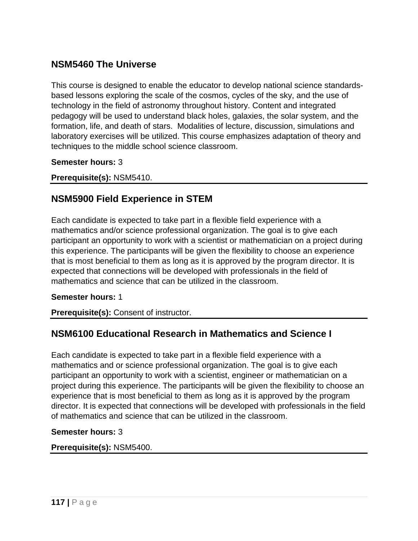# **NSM5460 The Universe**

This course is designed to enable the educator to develop national science standardsbased lessons exploring the scale of the cosmos, cycles of the sky, and the use of technology in the field of astronomy throughout history. Content and integrated pedagogy will be used to understand black holes, galaxies, the solar system, and the formation, life, and death of stars. Modalities of lecture, discussion, simulations and laboratory exercises will be utilized. This course emphasizes adaptation of theory and techniques to the middle school science classroom.

**Semester hours:** 3

**Prerequisite(s):** NSM5410.

## **NSM5900 Field Experience in STEM**

Each candidate is expected to take part in a flexible field experience with a mathematics and/or science professional organization. The goal is to give each participant an opportunity to work with a scientist or mathematician on a project during this experience. The participants will be given the flexibility to choose an experience that is most beneficial to them as long as it is approved by the program director. It is expected that connections will be developed with professionals in the field of mathematics and science that can be utilized in the classroom.

#### **Semester hours:** 1

**Prerequisite(s):** Consent of instructor.

## **NSM6100 Educational Research in Mathematics and Science I**

Each candidate is expected to take part in a flexible field experience with a mathematics and or science professional organization. The goal is to give each participant an opportunity to work with a scientist, engineer or mathematician on a project during this experience. The participants will be given the flexibility to choose an experience that is most beneficial to them as long as it is approved by the program director. It is expected that connections will be developed with professionals in the field of mathematics and science that can be utilized in the classroom.

#### **Semester hours:** 3

#### **Prerequisite(s):** NSM5400.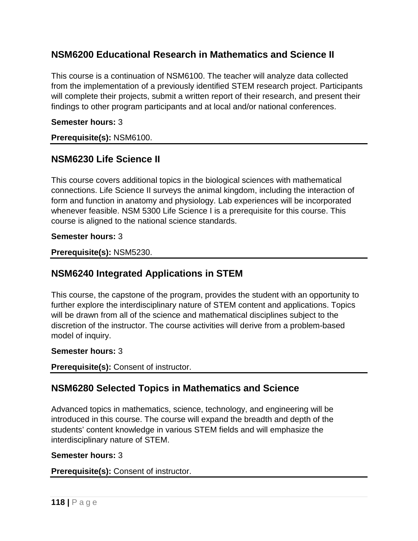## **NSM6200 Educational Research in Mathematics and Science II**

This course is a continuation of NSM6100. The teacher will analyze data collected from the implementation of a previously identified STEM research project. Participants will complete their projects, submit a written report of their research, and present their findings to other program participants and at local and/or national conferences.

### **Semester hours:** 3

### **Prerequisite(s):** NSM6100.

## **NSM6230 Life Science II**

This course covers additional topics in the biological sciences with mathematical connections. Life Science II surveys the animal kingdom, including the interaction of form and function in anatomy and physiology. Lab experiences will be incorporated whenever feasible. NSM 5300 Life Science I is a prerequisite for this course. This course is aligned to the national science standards.

### **Semester hours:** 3

**Prerequisite(s):** NSM5230.

# **NSM6240 Integrated Applications in STEM**

This course, the capstone of the program, provides the student with an opportunity to further explore the interdisciplinary nature of STEM content and applications. Topics will be drawn from all of the science and mathematical disciplines subject to the discretion of the instructor. The course activities will derive from a problem-based model of inquiry.

### **Semester hours:** 3

**Prerequisite(s):** Consent of instructor.

## **NSM6280 Selected Topics in Mathematics and Science**

Advanced topics in mathematics, science, technology, and engineering will be introduced in this course. The course will expand the breadth and depth of the students' content knowledge in various STEM fields and will emphasize the interdisciplinary nature of STEM.

### **Semester hours:** 3

**Prerequisite(s):** Consent of instructor.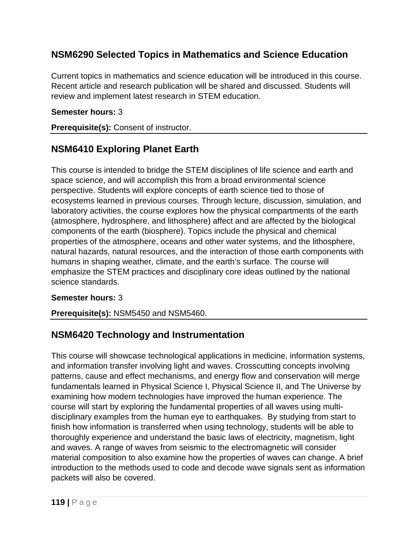# **NSM6290 Selected Topics in Mathematics and Science Education**

Current topics in mathematics and science education will be introduced in this course. Recent article and research publication will be shared and discussed. Students will review and implement latest research in STEM education.

### **Semester hours:** 3

**Prerequisite(s):** Consent of instructor.

# **NSM6410 Exploring Planet Earth**

This course is intended to bridge the STEM disciplines of life science and earth and space science, and will accomplish this from a broad environmental science perspective. Students will explore concepts of earth science tied to those of ecosystems learned in previous courses. Through lecture, discussion, simulation, and laboratory activities, the course explores how the physical compartments of the earth (atmosphere, hydrosphere, and lithosphere) affect and are affected by the biological components of the earth (biosphere). Topics include the physical and chemical properties of the atmosphere, oceans and other water systems, and the lithosphere, natural hazards, natural resources, and the interaction of those earth components with humans in shaping weather, climate, and the earth's surface. The course will emphasize the STEM practices and disciplinary core ideas outlined by the national science standards.

### **Semester hours:** 3

**Prerequisite(s):** NSM5450 and NSM5460.

# **NSM6420 Technology and Instrumentation**

This course will showcase technological applications in medicine, information systems, and information transfer involving light and waves. Crosscutting concepts involving patterns, cause and effect mechanisms, and energy flow and conservation will merge fundamentals learned in Physical Science I, Physical Science II, and The Universe by examining how modern technologies have improved the human experience. The course will start by exploring the fundamental properties of all waves using multidisciplinary examples from the human eye to earthquakes. By studying from start to finish how information is transferred when using technology, students will be able to thoroughly experience and understand the basic laws of electricity, magnetism, light and waves. A range of waves from seismic to the electromagnetic will consider material composition to also examine how the properties of waves can change. A brief introduction to the methods used to code and decode wave signals sent as information packets will also be covered.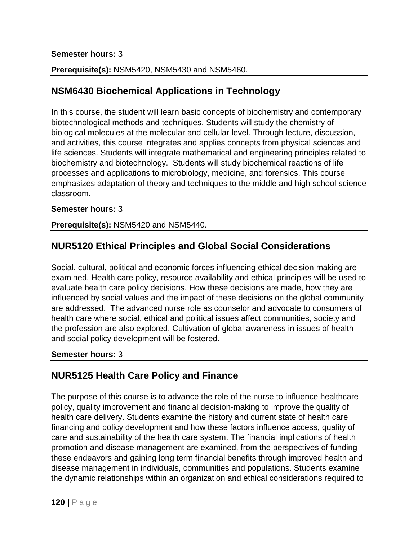### **Semester hours:** 3

### **Prerequisite(s):** NSM5420, NSM5430 and NSM5460.

## **NSM6430 Biochemical Applications in Technology**

In this course, the student will learn basic concepts of biochemistry and contemporary biotechnological methods and techniques. Students will study the chemistry of biological molecules at the molecular and cellular level. Through lecture, discussion, and activities, this course integrates and applies concepts from physical sciences and life sciences. Students will integrate mathematical and engineering principles related to biochemistry and biotechnology. Students will study biochemical reactions of life processes and applications to microbiology, medicine, and forensics. This course emphasizes adaptation of theory and techniques to the middle and high school science classroom.

### **Semester hours:** 3

**Prerequisite(s):** NSM5420 and NSM5440.

## **NUR5120 Ethical Principles and Global Social Considerations**

Social, cultural, political and economic forces influencing ethical decision making are examined. Health care policy, resource availability and ethical principles will be used to evaluate health care policy decisions. How these decisions are made, how they are influenced by social values and the impact of these decisions on the global community are addressed. The advanced nurse role as counselor and advocate to consumers of health care where social, ethical and political issues affect communities, society and the profession are also explored. Cultivation of global awareness in issues of health and social policy development will be fostered.

### **Semester hours:** 3

# **NUR5125 Health Care Policy and Finance**

The purpose of this course is to advance the role of the nurse to influence healthcare policy, quality improvement and financial decision-making to improve the quality of health care delivery. Students examine the history and current state of health care financing and policy development and how these factors influence access, quality of care and sustainability of the health care system. The financial implications of health promotion and disease management are examined, from the perspectives of funding these endeavors and gaining long term financial benefits through improved health and disease management in individuals, communities and populations. Students examine the dynamic relationships within an organization and ethical considerations required to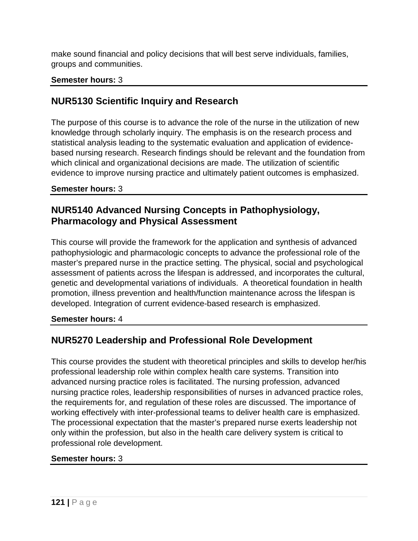make sound financial and policy decisions that will best serve individuals, families, groups and communities.

### **Semester hours:** 3

# **NUR5130 Scientific Inquiry and Research**

The purpose of this course is to advance the role of the nurse in the utilization of new knowledge through scholarly inquiry. The emphasis is on the research process and statistical analysis leading to the systematic evaluation and application of evidencebased nursing research. Research findings should be relevant and the foundation from which clinical and organizational decisions are made. The utilization of scientific evidence to improve nursing practice and ultimately patient outcomes is emphasized.

### **Semester hours:** 3

# **NUR5140 Advanced Nursing Concepts in Pathophysiology, Pharmacology and Physical Assessment**

This course will provide the framework for the application and synthesis of advanced pathophysiologic and pharmacologic concepts to advance the professional role of the master's prepared nurse in the practice setting. The physical, social and psychological assessment of patients across the lifespan is addressed, and incorporates the cultural, genetic and developmental variations of individuals. A theoretical foundation in health promotion, illness prevention and health/function maintenance across the lifespan is developed. Integration of current evidence-based research is emphasized.

### **Semester hours:** 4

# **NUR5270 Leadership and Professional Role Development**

This course provides the student with theoretical principles and skills to develop her/his professional leadership role within complex health care systems. Transition into advanced nursing practice roles is facilitated. The nursing profession, advanced nursing practice roles, leadership responsibilities of nurses in advanced practice roles, the requirements for, and regulation of these roles are discussed. The importance of working effectively with inter-professional teams to deliver health care is emphasized. The processional expectation that the master's prepared nurse exerts leadership not only within the profession, but also in the health care delivery system is critical to professional role development.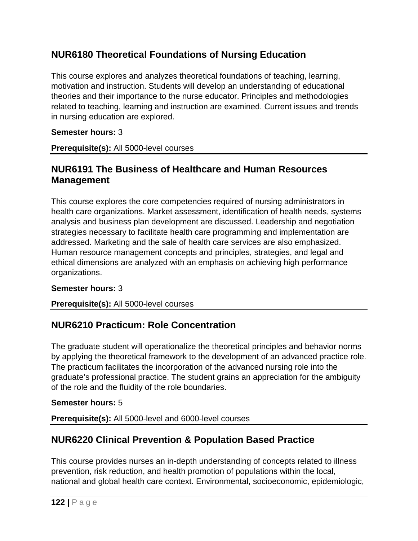# **NUR6180 Theoretical Foundations of Nursing Education**

This course explores and analyzes theoretical foundations of teaching, learning, motivation and instruction. Students will develop an understanding of educational theories and their importance to the nurse educator. Principles and methodologies related to teaching, learning and instruction are examined. Current issues and trends in nursing education are explored.

### **Semester hours:** 3

**Prerequisite(s):** All 5000-level courses

## **NUR6191 The Business of Healthcare and Human Resources Management**

This course explores the core competencies required of nursing administrators in health care organizations. Market assessment, identification of health needs, systems analysis and business plan development are discussed. Leadership and negotiation strategies necessary to facilitate health care programming and implementation are addressed. Marketing and the sale of health care services are also emphasized. Human resource management concepts and principles, strategies, and legal and ethical dimensions are analyzed with an emphasis on achieving high performance organizations.

### **Semester hours:** 3

### **Prerequisite(s):** All 5000-level courses

# **NUR6210 Practicum: Role Concentration**

The graduate student will operationalize the theoretical principles and behavior norms by applying the theoretical framework to the development of an advanced practice role. The practicum facilitates the incorporation of the advanced nursing role into the graduate's professional practice. The student grains an appreciation for the ambiguity of the role and the fluidity of the role boundaries.

### **Semester hours:** 5

**Prerequisite(s):** All 5000-level and 6000-level courses

# **NUR6220 Clinical Prevention & Population Based Practice**

This course provides nurses an in-depth understanding of concepts related to illness prevention, risk reduction, and health promotion of populations within the local, national and global health care context. Environmental, socioeconomic, epidemiologic,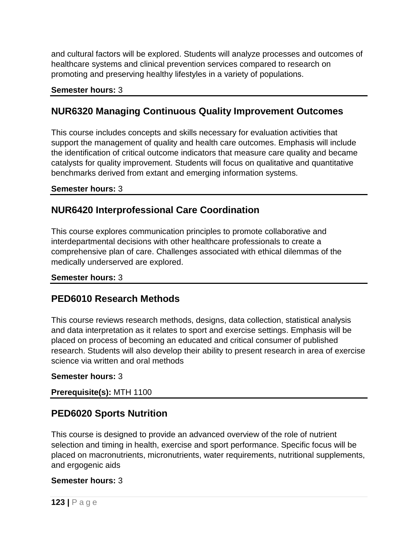and cultural factors will be explored. Students will analyze processes and outcomes of healthcare systems and clinical prevention services compared to research on promoting and preserving healthy lifestyles in a variety of populations.

#### **Semester hours:** 3

### **NUR6320 Managing Continuous Quality Improvement Outcomes**

This course includes concepts and skills necessary for evaluation activities that support the management of quality and health care outcomes. Emphasis will include the identification of critical outcome indicators that measure care quality and became catalysts for quality improvement. Students will focus on qualitative and quantitative benchmarks derived from extant and emerging information systems.

#### **Semester hours:** 3

## **NUR6420 Interprofessional Care Coordination**

This course explores communication principles to promote collaborative and interdepartmental decisions with other healthcare professionals to create a comprehensive plan of care. Challenges associated with ethical dilemmas of the medically underserved are explored.

#### **Semester hours:** 3

## **PED6010 Research Methods**

This course reviews research methods, designs, data collection, statistical analysis and data interpretation as it relates to sport and exercise settings. Emphasis will be placed on process of becoming an educated and critical consumer of published research. Students will also develop their ability to present research in area of exercise science via written and oral methods

#### **Semester hours:** 3

### **Prerequisite(s):** MTH 1100

## **PED6020 Sports Nutrition**

This course is designed to provide an advanced overview of the role of nutrient selection and timing in health, exercise and sport performance. Specific focus will be placed on macronutrients, micronutrients, water requirements, nutritional supplements, and ergogenic aids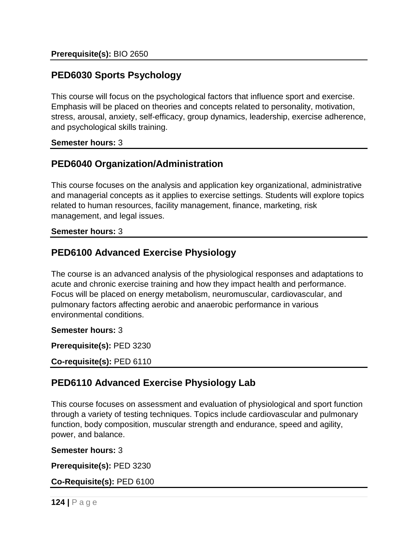## **PED6030 Sports Psychology**

This course will focus on the psychological factors that influence sport and exercise. Emphasis will be placed on theories and concepts related to personality, motivation, stress, arousal, anxiety, self-efficacy, group dynamics, leadership, exercise adherence, and psychological skills training.

**Semester hours:** 3

## **PED6040 Organization/Administration**

This course focuses on the analysis and application key organizational, administrative and managerial concepts as it applies to exercise settings. Students will explore topics related to human resources, facility management, finance, marketing, risk management, and legal issues.

#### **Semester hours:** 3

## **PED6100 Advanced Exercise Physiology**

The course is an advanced analysis of the physiological responses and adaptations to acute and chronic exercise training and how they impact health and performance. Focus will be placed on energy metabolism, neuromuscular, cardiovascular, and pulmonary factors affecting aerobic and anaerobic performance in various environmental conditions.

**Semester hours:** 3

**Prerequisite(s):** PED 3230

**Co-requisite(s):** PED 6110

## **PED6110 Advanced Exercise Physiology Lab**

This course focuses on assessment and evaluation of physiological and sport function through a variety of testing techniques. Topics include cardiovascular and pulmonary function, body composition, muscular strength and endurance, speed and agility, power, and balance.

**Semester hours:** 3

**Prerequisite(s):** PED 3230

**Co-Requisite(s):** PED 6100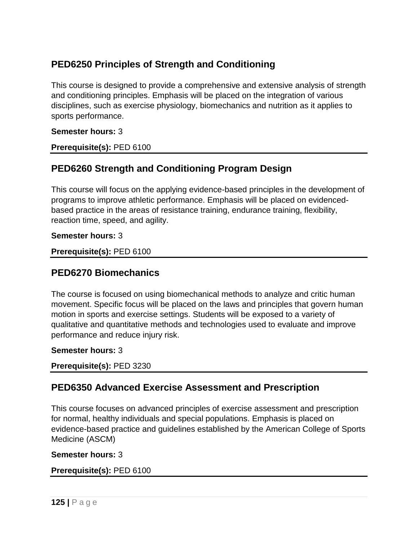# **PED6250 Principles of Strength and Conditioning**

This course is designed to provide a comprehensive and extensive analysis of strength and conditioning principles. Emphasis will be placed on the integration of various disciplines, such as exercise physiology, biomechanics and nutrition as it applies to sports performance.

### **Semester hours:** 3

**Prerequisite(s):** PED 6100

## **PED6260 Strength and Conditioning Program Design**

This course will focus on the applying evidence-based principles in the development of programs to improve athletic performance. Emphasis will be placed on evidencedbased practice in the areas of resistance training, endurance training, flexibility, reaction time, speed, and agility.

#### **Semester hours:** 3

**Prerequisite(s):** PED 6100

### **PED6270 Biomechanics**

The course is focused on using biomechanical methods to analyze and critic human movement. Specific focus will be placed on the laws and principles that govern human motion in sports and exercise settings. Students will be exposed to a variety of qualitative and quantitative methods and technologies used to evaluate and improve performance and reduce injury risk.

### **Semester hours:** 3

**Prerequisite(s):** PED 3230

## **PED6350 Advanced Exercise Assessment and Prescription**

This course focuses on advanced principles of exercise assessment and prescription for normal, healthy individuals and special populations. Emphasis is placed on evidence-based practice and guidelines established by the American College of Sports Medicine (ASCM)

**Semester hours:** 3

### **Prerequisite(s):** PED 6100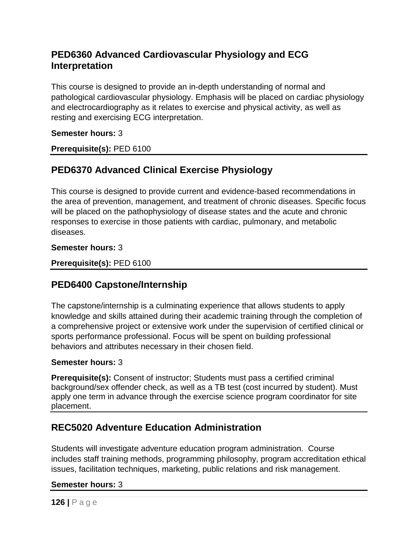# **PED6360 Advanced Cardiovascular Physiology and ECG Interpretation**

This course is designed to provide an in-depth understanding of normal and pathological cardiovascular physiology. Emphasis will be placed on cardiac physiology and electrocardiography as it relates to exercise and physical activity, as well as resting and exercising ECG interpretation.

### **Semester hours:** 3

**Prerequisite(s):** PED 6100

# **PED6370 Advanced Clinical Exercise Physiology**

This course is designed to provide current and evidence-based recommendations in the area of prevention, management, and treatment of chronic diseases. Specific focus will be placed on the pathophysiology of disease states and the acute and chronic responses to exercise in those patients with cardiac, pulmonary, and metabolic diseases.

### **Semester hours:** 3

**Prerequisite(s):** PED 6100

# **PED6400 Capstone/Internship**

The capstone/internship is a culminating experience that allows students to apply knowledge and skills attained during their academic training through the completion of a comprehensive project or extensive work under the supervision of certified clinical or sports performance professional. Focus will be spent on building professional behaviors and attributes necessary in their chosen field.

### **Semester hours:** 3

**Prerequisite(s):** Consent of instructor; Students must pass a certified criminal background/sex offender check, as well as a TB test (cost incurred by student). Must apply one term in advance through the exercise science program coordinator for site placement.

# **REC5020 Adventure Education Administration**

Students will investigate adventure education program administration. Course includes staff training methods, programming philosophy, program accreditation ethical issues, facilitation techniques, marketing, public relations and risk management.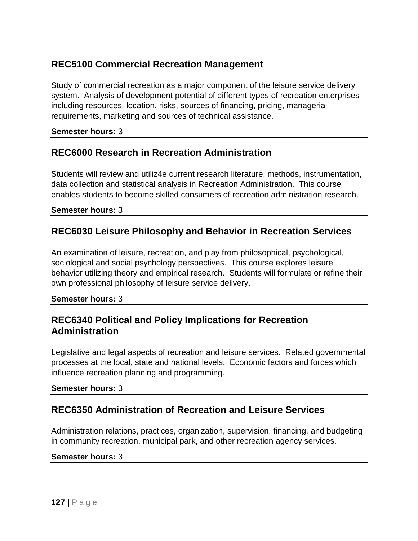# **REC5100 Commercial Recreation Management**

Study of commercial recreation as a major component of the leisure service delivery system. Analysis of development potential of different types of recreation enterprises including resources, location, risks, sources of financing, pricing, managerial requirements, marketing and sources of technical assistance.

**Semester hours:** 3

## **REC6000 Research in Recreation Administration**

Students will review and utiliz4e current research literature, methods, instrumentation, data collection and statistical analysis in Recreation Administration. This course enables students to become skilled consumers of recreation administration research.

#### **Semester hours:** 3

## **REC6030 Leisure Philosophy and Behavior in Recreation Services**

An examination of leisure, recreation, and play from philosophical, psychological, sociological and social psychology perspectives. This course explores leisure behavior utilizing theory and empirical research. Students will formulate or refine their own professional philosophy of leisure service delivery.

#### **Semester hours:** 3

## **REC6340 Political and Policy Implications for Recreation Administration**

Legislative and legal aspects of recreation and leisure services. Related governmental processes at the local, state and national levels. Economic factors and forces which influence recreation planning and programming.

### **Semester hours:** 3

# **REC6350 Administration of Recreation and Leisure Services**

Administration relations, practices, organization, supervision, financing, and budgeting in community recreation, municipal park, and other recreation agency services.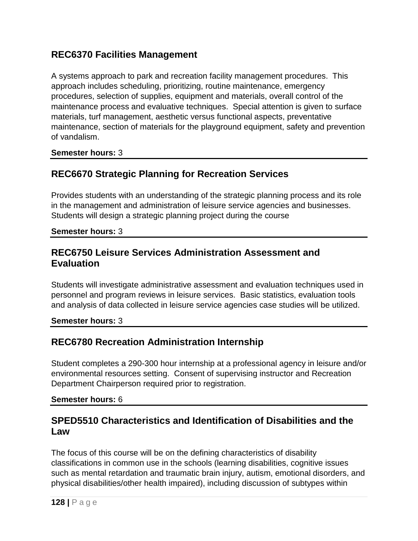## **REC6370 Facilities Management**

A systems approach to park and recreation facility management procedures. This approach includes scheduling, prioritizing, routine maintenance, emergency procedures, selection of supplies, equipment and materials, overall control of the maintenance process and evaluative techniques. Special attention is given to surface materials, turf management, aesthetic versus functional aspects, preventative maintenance, section of materials for the playground equipment, safety and prevention of vandalism.

**Semester hours:** 3

## **REC6670 Strategic Planning for Recreation Services**

Provides students with an understanding of the strategic planning process and its role in the management and administration of leisure service agencies and businesses. Students will design a strategic planning project during the course

**Semester hours:** 3

## **REC6750 Leisure Services Administration Assessment and Evaluation**

Students will investigate administrative assessment and evaluation techniques used in personnel and program reviews in leisure services. Basic statistics, evaluation tools and analysis of data collected in leisure service agencies case studies will be utilized.

**Semester hours:** 3

## **REC6780 Recreation Administration Internship**

Student completes a 290-300 hour internship at a professional agency in leisure and/or environmental resources setting. Consent of supervising instructor and Recreation Department Chairperson required prior to registration.

#### **Semester hours:** 6

## **SPED5510 Characteristics and Identification of Disabilities and the Law**

The focus of this course will be on the defining characteristics of disability classifications in common use in the schools (learning disabilities, cognitive issues such as mental retardation and traumatic brain injury, autism, emotional disorders, and physical disabilities/other health impaired), including discussion of subtypes within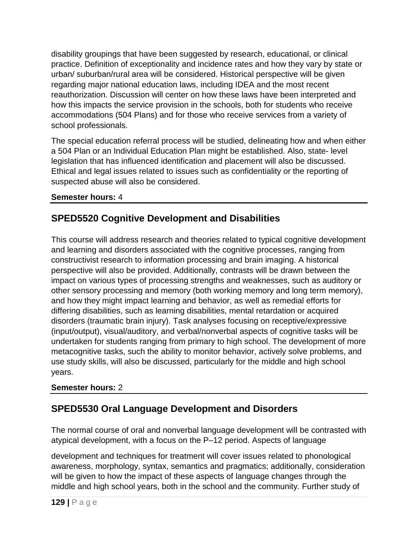disability groupings that have been suggested by research, educational, or clinical practice. Definition of exceptionality and incidence rates and how they vary by state or urban/ suburban/rural area will be considered. Historical perspective will be given regarding major national education laws, including IDEA and the most recent reauthorization. Discussion will center on how these laws have been interpreted and how this impacts the service provision in the schools, both for students who receive accommodations (504 Plans) and for those who receive services from a variety of school professionals.

The special education referral process will be studied, delineating how and when either a 504 Plan or an Individual Education Plan might be established. Also, state- level legislation that has influenced identification and placement will also be discussed. Ethical and legal issues related to issues such as confidentiality or the reporting of suspected abuse will also be considered.

### **Semester hours:** 4

# **SPED5520 Cognitive Development and Disabilities**

This course will address research and theories related to typical cognitive development and learning and disorders associated with the cognitive processes, ranging from constructivist research to information processing and brain imaging. A historical perspective will also be provided. Additionally, contrasts will be drawn between the impact on various types of processing strengths and weaknesses, such as auditory or other sensory processing and memory (both working memory and long term memory), and how they might impact learning and behavior, as well as remedial efforts for differing disabilities, such as learning disabilities, mental retardation or acquired disorders (traumatic brain injury). Task analyses focusing on receptive/expressive (input/output), visual/auditory, and verbal/nonverbal aspects of cognitive tasks will be undertaken for students ranging from primary to high school. The development of more metacognitive tasks, such the ability to monitor behavior, actively solve problems, and use study skills, will also be discussed, particularly for the middle and high school years.

### **Semester hours:** 2

# **SPED5530 Oral Language Development and Disorders**

The normal course of oral and nonverbal language development will be contrasted with atypical development, with a focus on the P–12 period. Aspects of language

development and techniques for treatment will cover issues related to phonological awareness, morphology, syntax, semantics and pragmatics; additionally, consideration will be given to how the impact of these aspects of language changes through the middle and high school years, both in the school and the community. Further study of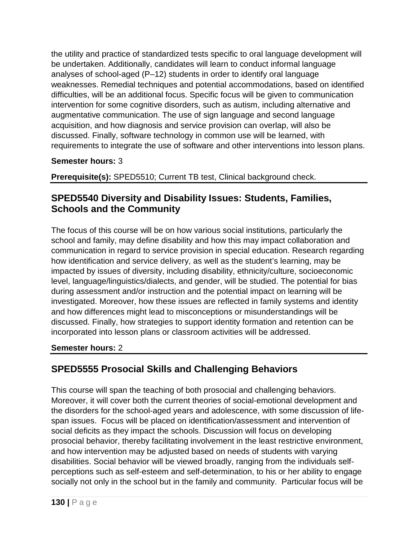the utility and practice of standardized tests specific to oral language development will be undertaken. Additionally, candidates will learn to conduct informal language analyses of school-aged (P–12) students in order to identify oral language weaknesses. Remedial techniques and potential accommodations, based on identified difficulties, will be an additional focus. Specific focus will be given to communication intervention for some cognitive disorders, such as autism, including alternative and augmentative communication. The use of sign language and second language acquisition, and how diagnosis and service provision can overlap, will also be discussed. Finally, software technology in common use will be learned, with requirements to integrate the use of software and other interventions into lesson plans.

### **Semester hours:** 3

**Prerequisite(s):** SPED5510; Current TB test, Clinical background check.

# **SPED5540 Diversity and Disability Issues: Students, Families, Schools and the Community**

The focus of this course will be on how various social institutions, particularly the school and family, may define disability and how this may impact collaboration and communication in regard to service provision in special education. Research regarding how identification and service delivery, as well as the student's learning, may be impacted by issues of diversity, including disability, ethnicity/culture, socioeconomic level, language/linguistics/dialects, and gender, will be studied. The potential for bias during assessment and/or instruction and the potential impact on learning will be investigated. Moreover, how these issues are reflected in family systems and identity and how differences might lead to misconceptions or misunderstandings will be discussed. Finally, how strategies to support identity formation and retention can be incorporated into lesson plans or classroom activities will be addressed.

### **Semester hours:** 2

# **SPED5555 Prosocial Skills and Challenging Behaviors**

This course will span the teaching of both prosocial and challenging behaviors. Moreover, it will cover both the current theories of social-emotional development and the disorders for the school-aged years and adolescence, with some discussion of lifespan issues. Focus will be placed on identification/assessment and intervention of social deficits as they impact the schools. Discussion will focus on developing prosocial behavior, thereby facilitating involvement in the least restrictive environment, and how intervention may be adjusted based on needs of students with varying disabilities. Social behavior will be viewed broadly, ranging from the individuals selfperceptions such as self-esteem and self-determination, to his or her ability to engage socially not only in the school but in the family and community. Particular focus will be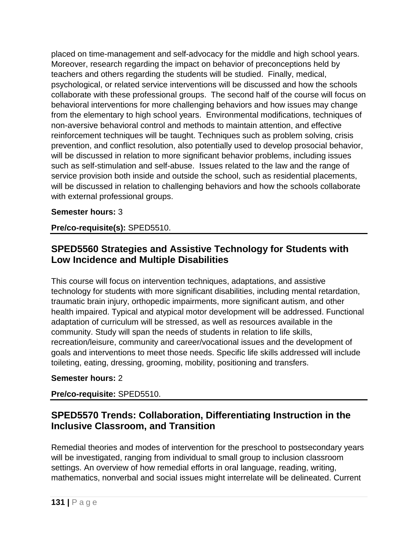placed on time-management and self-advocacy for the middle and high school years. Moreover, research regarding the impact on behavior of preconceptions held by teachers and others regarding the students will be studied. Finally, medical, psychological, or related service interventions will be discussed and how the schools collaborate with these professional groups. The second half of the course will focus on behavioral interventions for more challenging behaviors and how issues may change from the elementary to high school years. Environmental modifications, techniques of non-aversive behavioral control and methods to maintain attention, and effective reinforcement techniques will be taught. Techniques such as problem solving, crisis prevention, and conflict resolution, also potentially used to develop prosocial behavior, will be discussed in relation to more significant behavior problems, including issues such as self-stimulation and self-abuse. Issues related to the law and the range of service provision both inside and outside the school, such as residential placements, will be discussed in relation to challenging behaviors and how the schools collaborate with external professional groups.

### **Semester hours:** 3

**Pre/co-requisite(s):** SPED5510.

# **SPED5560 Strategies and Assistive Technology for Students with Low Incidence and Multiple Disabilities**

This course will focus on intervention techniques, adaptations, and assistive technology for students with more significant disabilities, including mental retardation, traumatic brain injury, orthopedic impairments, more significant autism, and other health impaired. Typical and atypical motor development will be addressed. Functional adaptation of curriculum will be stressed, as well as resources available in the community. Study will span the needs of students in relation to life skills, recreation/leisure, community and career/vocational issues and the development of goals and interventions to meet those needs. Specific life skills addressed will include toileting, eating, dressing, grooming, mobility, positioning and transfers.

### **Semester hours:** 2

### **Pre/co-requisite:** SPED5510.

# **SPED5570 Trends: Collaboration, Differentiating Instruction in the Inclusive Classroom, and Transition**

Remedial theories and modes of intervention for the preschool to postsecondary years will be investigated, ranging from individual to small group to inclusion classroom settings. An overview of how remedial efforts in oral language, reading, writing, mathematics, nonverbal and social issues might interrelate will be delineated. Current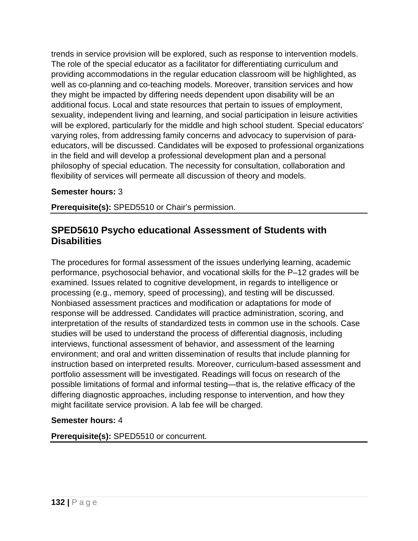trends in service provision will be explored, such as response to intervention models. The role of the special educator as a facilitator for differentiating curriculum and providing accommodations in the regular education classroom will be highlighted, as well as co-planning and co-teaching models. Moreover, transition services and how they might be impacted by differing needs dependent upon disability will be an additional focus. Local and state resources that pertain to issues of employment, sexuality, independent living and learning, and social participation in leisure activities will be explored, particularly for the middle and high school student. Special educators' varying roles, from addressing family concerns and advocacy to supervision of paraeducators, will be discussed. Candidates will be exposed to professional organizations in the field and will develop a professional development plan and a personal philosophy of special education. The necessity for consultation, collaboration and flexibility of services will permeate all discussion of theory and models.

### **Semester hours:** 3

**Prerequisite(s):** SPED5510 or Chair's permission.

## **SPED5610 Psycho educational Assessment of Students with Disabilities**

The procedures for formal assessment of the issues underlying learning, academic performance, psychosocial behavior, and vocational skills for the P–12 grades will be examined. Issues related to cognitive development, in regards to intelligence or processing (e.g., memory, speed of processing), and testing will be discussed. Nonbiased assessment practices and modification or adaptations for mode of response will be addressed. Candidates will practice administration, scoring, and interpretation of the results of standardized tests in common use in the schools. Case studies will be used to understand the process of differential diagnosis, including interviews, functional assessment of behavior, and assessment of the learning environment; and oral and written dissemination of results that include planning for instruction based on interpreted results. Moreover, curriculum-based assessment and portfolio assessment will be investigated. Readings will focus on research of the possible limitations of formal and informal testing—that is, the relative efficacy of the differing diagnostic approaches, including response to intervention, and how they might facilitate service provision. A lab fee will be charged.

### **Semester hours:** 4

**Prerequisite(s):** SPED5510 or concurrent.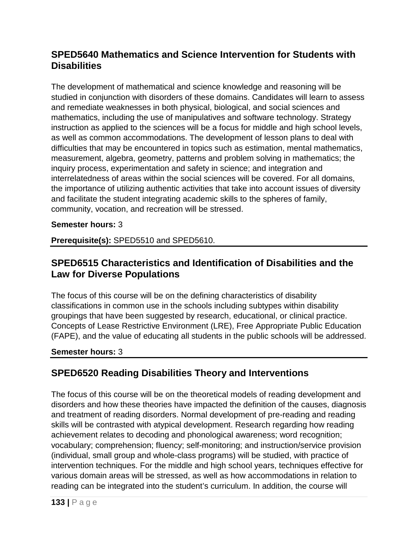# **SPED5640 Mathematics and Science Intervention for Students with Disabilities**

The development of mathematical and science knowledge and reasoning will be studied in conjunction with disorders of these domains. Candidates will learn to assess and remediate weaknesses in both physical, biological, and social sciences and mathematics, including the use of manipulatives and software technology. Strategy instruction as applied to the sciences will be a focus for middle and high school levels, as well as common accommodations. The development of lesson plans to deal with difficulties that may be encountered in topics such as estimation, mental mathematics, measurement, algebra, geometry, patterns and problem solving in mathematics; the inquiry process, experimentation and safety in science; and integration and interrelatedness of areas within the social sciences will be covered. For all domains, the importance of utilizing authentic activities that take into account issues of diversity and facilitate the student integrating academic skills to the spheres of family, community, vocation, and recreation will be stressed.

### **Semester hours:** 3

**Prerequisite(s):** SPED5510 and SPED5610.

## **SPED6515 Characteristics and Identification of Disabilities and the Law for Diverse Populations**

The focus of this course will be on the defining characteristics of disability classifications in common use in the schools including subtypes within disability groupings that have been suggested by research, educational, or clinical practice. Concepts of Lease Restrictive Environment (LRE), Free Appropriate Public Education (FAPE), and the value of educating all students in the public schools will be addressed.

### **Semester hours:** 3

# **SPED6520 Reading Disabilities Theory and Interventions**

The focus of this course will be on the theoretical models of reading development and disorders and how these theories have impacted the definition of the causes, diagnosis and treatment of reading disorders. Normal development of pre-reading and reading skills will be contrasted with atypical development. Research regarding how reading achievement relates to decoding and phonological awareness; word recognition; vocabulary; comprehension; fluency; self-monitoring; and instruction/service provision (individual, small group and whole-class programs) will be studied, with practice of intervention techniques. For the middle and high school years, techniques effective for various domain areas will be stressed, as well as how accommodations in relation to reading can be integrated into the student's curriculum. In addition, the course will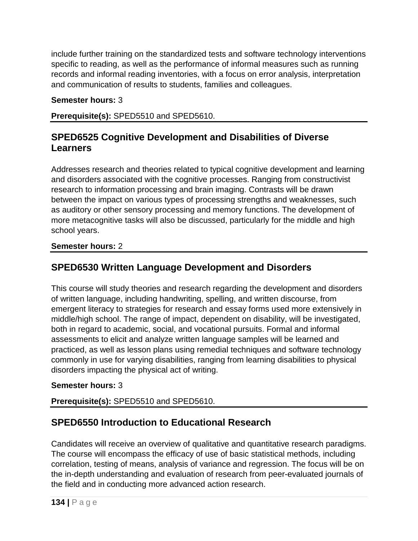include further training on the standardized tests and software technology interventions specific to reading, as well as the performance of informal measures such as running records and informal reading inventories, with a focus on error analysis, interpretation and communication of results to students, families and colleagues.

### **Semester hours:** 3

**Prerequisite(s):** SPED5510 and SPED5610.

# **SPED6525 Cognitive Development and Disabilities of Diverse Learners**

Addresses research and theories related to typical cognitive development and learning and disorders associated with the cognitive processes. Ranging from constructivist research to information processing and brain imaging. Contrasts will be drawn between the impact on various types of processing strengths and weaknesses, such as auditory or other sensory processing and memory functions. The development of more metacognitive tasks will also be discussed, particularly for the middle and high school years.

### **Semester hours:** 2

# **SPED6530 Written Language Development and Disorders**

This course will study theories and research regarding the development and disorders of written language, including handwriting, spelling, and written discourse, from emergent literacy to strategies for research and essay forms used more extensively in middle/high school. The range of impact, dependent on disability, will be investigated, both in regard to academic, social, and vocational pursuits. Formal and informal assessments to elicit and analyze written language samples will be learned and practiced, as well as lesson plans using remedial techniques and software technology commonly in use for varying disabilities, ranging from learning disabilities to physical disorders impacting the physical act of writing.

### **Semester hours:** 3

## **Prerequisite(s):** SPED5510 and SPED5610.

# **SPED6550 Introduction to Educational Research**

Candidates will receive an overview of qualitative and quantitative research paradigms. The course will encompass the efficacy of use of basic statistical methods, including correlation, testing of means, analysis of variance and regression. The focus will be on the in-depth understanding and evaluation of research from peer-evaluated journals of the field and in conducting more advanced action research.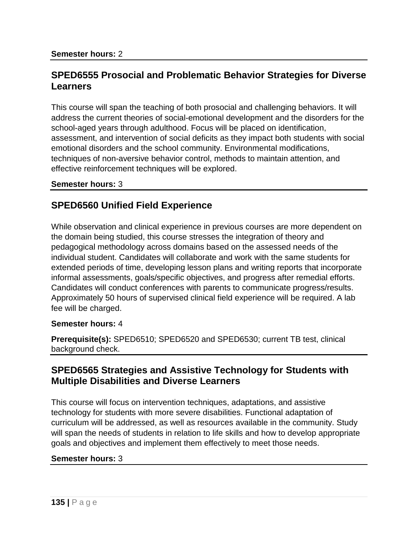## **SPED6555 Prosocial and Problematic Behavior Strategies for Diverse Learners**

This course will span the teaching of both prosocial and challenging behaviors. It will address the current theories of social-emotional development and the disorders for the school-aged years through adulthood. Focus will be placed on identification, assessment, and intervention of social deficits as they impact both students with social emotional disorders and the school community. Environmental modifications, techniques of non-aversive behavior control, methods to maintain attention, and effective reinforcement techniques will be explored.

#### **Semester hours:** 3

## **SPED6560 Unified Field Experience**

While observation and clinical experience in previous courses are more dependent on the domain being studied, this course stresses the integration of theory and pedagogical methodology across domains based on the assessed needs of the individual student. Candidates will collaborate and work with the same students for extended periods of time, developing lesson plans and writing reports that incorporate informal assessments, goals/specific objectives, and progress after remedial efforts. Candidates will conduct conferences with parents to communicate progress/results. Approximately 50 hours of supervised clinical field experience will be required. A lab fee will be charged.

#### **Semester hours:** 4

**Prerequisite(s):** SPED6510; SPED6520 and SPED6530; current TB test, clinical background check.

### **SPED6565 Strategies and Assistive Technology for Students with Multiple Disabilities and Diverse Learners**

This course will focus on intervention techniques, adaptations, and assistive technology for students with more severe disabilities. Functional adaptation of curriculum will be addressed, as well as resources available in the community. Study will span the needs of students in relation to life skills and how to develop appropriate goals and objectives and implement them effectively to meet those needs.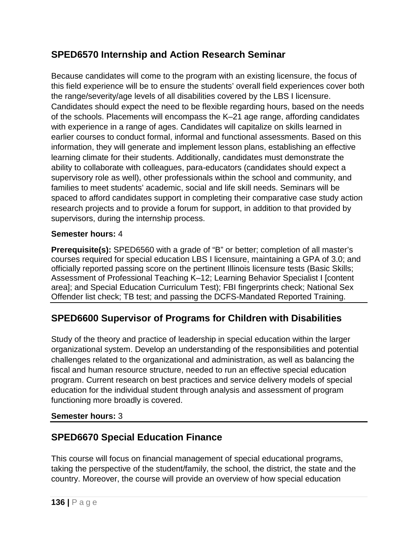# **SPED6570 Internship and Action Research Seminar**

Because candidates will come to the program with an existing licensure, the focus of this field experience will be to ensure the students' overall field experiences cover both the range/severity/age levels of all disabilities covered by the LBS I licensure. Candidates should expect the need to be flexible regarding hours, based on the needs of the schools. Placements will encompass the K–21 age range, affording candidates with experience in a range of ages. Candidates will capitalize on skills learned in earlier courses to conduct formal, informal and functional assessments. Based on this information, they will generate and implement lesson plans, establishing an effective learning climate for their students. Additionally, candidates must demonstrate the ability to collaborate with colleagues, para-educators (candidates should expect a supervisory role as well), other professionals within the school and community, and families to meet students' academic, social and life skill needs. Seminars will be spaced to afford candidates support in completing their comparative case study action research projects and to provide a forum for support, in addition to that provided by supervisors, during the internship process.

### **Semester hours:** 4

**Prerequisite(s):** SPED6560 with a grade of "B" or better; completion of all master's courses required for special education LBS I licensure, maintaining a GPA of 3.0; and officially reported passing score on the pertinent Illinois licensure tests (Basic Skills; Assessment of Professional Teaching K–12; Learning Behavior Specialist I [content area]; and Special Education Curriculum Test); FBI fingerprints check; National Sex Offender list check; TB test; and passing the DCFS-Mandated Reported Training.

# **SPED6600 Supervisor of Programs for Children with Disabilities**

Study of the theory and practice of leadership in special education within the larger organizational system. Develop an understanding of the responsibilities and potential challenges related to the organizational and administration, as well as balancing the fiscal and human resource structure, needed to run an effective special education program. Current research on best practices and service delivery models of special education for the individual student through analysis and assessment of program functioning more broadly is covered.

### **Semester hours:** 3

# **SPED6670 Special Education Finance**

This course will focus on financial management of special educational programs, taking the perspective of the student/family, the school, the district, the state and the country. Moreover, the course will provide an overview of how special education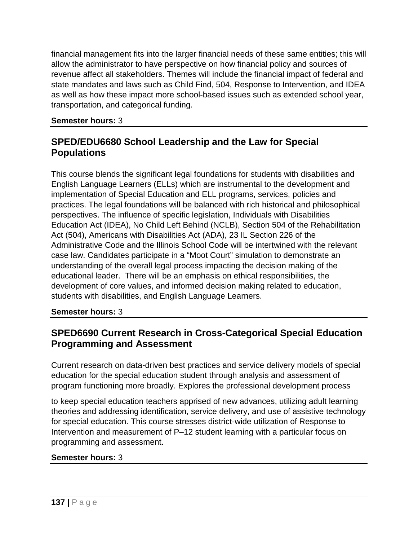financial management fits into the larger financial needs of these same entities; this will allow the administrator to have perspective on how financial policy and sources of revenue affect all stakeholders. Themes will include the financial impact of federal and state mandates and laws such as Child Find, 504, Response to Intervention, and IDEA as well as how these impact more school-based issues such as extended school year, transportation, and categorical funding.

**Semester hours:** 3

# **SPED/EDU6680 School Leadership and the Law for Special Populations**

This course blends the significant legal foundations for students with disabilities and English Language Learners (ELLs) which are instrumental to the development and implementation of Special Education and ELL programs, services, policies and practices. The legal foundations will be balanced with rich historical and philosophical perspectives. The influence of specific legislation, Individuals with Disabilities Education Act (IDEA), No Child Left Behind (NCLB), Section 504 of the Rehabilitation Act (504), Americans with Disabilities Act (ADA), 23 IL Section 226 of the Administrative Code and the Illinois School Code will be intertwined with the relevant case law. Candidates participate in a "Moot Court" simulation to demonstrate an understanding of the overall legal process impacting the decision making of the educational leader. There will be an emphasis on ethical responsibilities, the development of core values, and informed decision making related to education, students with disabilities, and English Language Learners.

**Semester hours:** 3

# **SPED6690 Current Research in Cross-Categorical Special Education Programming and Assessment**

Current research on data-driven best practices and service delivery models of special education for the special education student through analysis and assessment of program functioning more broadly. Explores the professional development process

to keep special education teachers apprised of new advances, utilizing adult learning theories and addressing identification, service delivery, and use of assistive technology for special education. This course stresses district-wide utilization of Response to Intervention and measurement of P–12 student learning with a particular focus on programming and assessment.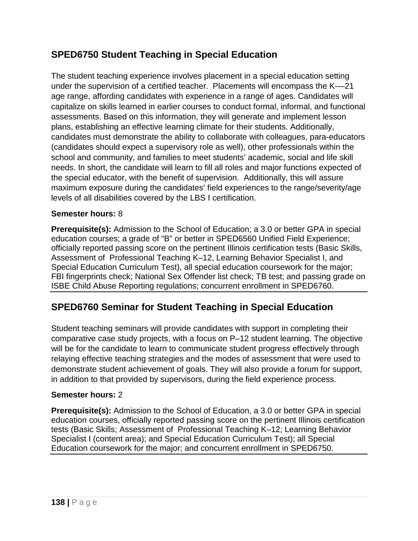# **SPED6750 Student Teaching in Special Education**

The student teaching experience involves placement in a special education setting under the supervision of a certified teacher. Placements will encompass the K--–21 age range, affording candidates with experience in a range of ages. Candidates will capitalize on skills learned in earlier courses to conduct formal, informal, and functional assessments. Based on this information, they will generate and implement lesson plans, establishing an effective learning climate for their students. Additionally, candidates must demonstrate the ability to collaborate with colleagues, para-educators (candidates should expect a supervisory role as well), other professionals within the school and community, and families to meet students' academic, social and life skill needs. In short, the candidate will learn to fill all roles and major functions expected of the special educator, with the benefit of supervision. Additionally, this will assure maximum exposure during the candidates' field experiences to the range/severity/age levels of all disabilities covered by the LBS I certification.

### **Semester hours:** 8

**Prerequisite(s):** Admission to the School of Education; a 3.0 or better GPA in special education courses; a grade of "B" or better in SPED6560 Unified Field Experience; officially reported passing score on the pertinent Illinois certification tests (Basic Skills, Assessment of Professional Teaching K–12, Learning Behavior Specialist I, and Special Education Curriculum Test), all special education coursework for the major; FBI fingerprints check; National Sex Offender list check; TB test; and passing grade on ISBE Child Abuse Reporting regulations; concurrent enrollment in SPED6760.

# **SPED6760 Seminar for Student Teaching in Special Education**

Student teaching seminars will provide candidates with support in completing their comparative case study projects, with a focus on P–12 student learning. The objective will be for the candidate to learn to communicate student progress effectively through relaying effective teaching strategies and the modes of assessment that were used to demonstrate student achievement of goals. They will also provide a forum for support, in addition to that provided by supervisors, during the field experience process.

### **Semester hours:** 2

**Prerequisite(s):** Admission to the School of Education, a 3.0 or better GPA in special education courses, officially reported passing score on the pertinent Illinois certification tests (Basic Skills; Assessment of Professional Teaching K–12; Learning Behavior Specialist I (content area); and Special Education Curriculum Test); all Special Education coursework for the major; and concurrent enrollment in SPED6750.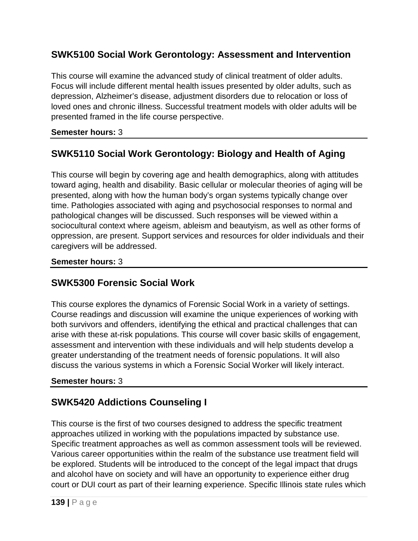# **SWK5100 Social Work Gerontology: Assessment and Intervention**

This course will examine the advanced study of clinical treatment of older adults. Focus will include different mental health issues presented by older adults, such as depression, Alzheimer's disease, adjustment disorders due to relocation or loss of loved ones and chronic illness. Successful treatment models with older adults will be presented framed in the life course perspective.

### **Semester hours:** 3

# **SWK5110 Social Work Gerontology: Biology and Health of Aging**

This course will begin by covering age and health demographics, along with attitudes toward aging, health and disability. Basic cellular or molecular theories of aging will be presented, along with how the human body's organ systems typically change over time. Pathologies associated with aging and psychosocial responses to normal and pathological changes will be discussed. Such responses will be viewed within a sociocultural context where ageism, ableism and beautyism, as well as other forms of oppression, are present. Support services and resources for older individuals and their caregivers will be addressed.

### **Semester hours:** 3

## **SWK5300 Forensic Social Work**

This course explores the dynamics of Forensic Social Work in a variety of settings. Course readings and discussion will examine the unique experiences of working with both survivors and offenders, identifying the ethical and practical challenges that can arise with these at-risk populations. This course will cover basic skills of engagement, assessment and intervention with these individuals and will help students develop a greater understanding of the treatment needs of forensic populations. It will also discuss the various systems in which a Forensic Social Worker will likely interact.

### **Semester hours:** 3

# **SWK5420 Addictions Counseling I**

This course is the first of two courses designed to address the specific treatment approaches utilized in working with the populations impacted by substance use. Specific treatment approaches as well as common assessment tools will be reviewed. Various career opportunities within the realm of the substance use treatment field will be explored. Students will be introduced to the concept of the legal impact that drugs and alcohol have on society and will have an opportunity to experience either drug court or DUI court as part of their learning experience. Specific Illinois state rules which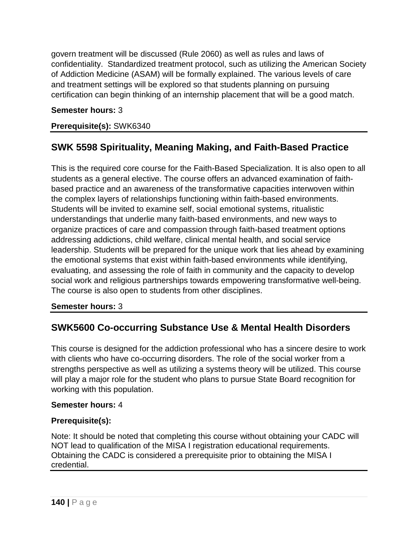govern treatment will be discussed (Rule 2060) as well as rules and laws of confidentiality. Standardized treatment protocol, such as utilizing the American Society of Addiction Medicine (ASAM) will be formally explained. The various levels of care and treatment settings will be explored so that students planning on pursuing certification can begin thinking of an internship placement that will be a good match.

### **Semester hours:** 3

### **Prerequisite(s):** SWK6340

# **SWK 5598 Spirituality, Meaning Making, and Faith-Based Practice**

This is the required core course for the Faith-Based Specialization. It is also open to all students as a general elective. The course offers an advanced examination of faithbased practice and an awareness of the transformative capacities interwoven within the complex layers of relationships functioning within faith-based environments. Students will be invited to examine self, social emotional systems, ritualistic understandings that underlie many faith-based environments, and new ways to organize practices of care and compassion through faith-based treatment options addressing addictions, child welfare, clinical mental health, and social service leadership. Students will be prepared for the unique work that lies ahead by examining the emotional systems that exist within faith-based environments while identifying, evaluating, and assessing the role of faith in community and the capacity to develop social work and religious partnerships towards empowering transformative well-being. The course is also open to students from other disciplines.

### **Semester hours:** 3

## **SWK5600 Co-occurring Substance Use & Mental Health Disorders**

This course is designed for the addiction professional who has a sincere desire to work with clients who have co-occurring disorders. The role of the social worker from a strengths perspective as well as utilizing a systems theory will be utilized. This course will play a major role for the student who plans to pursue State Board recognition for working with this population.

#### **Semester hours:** 4

### **Prerequisite(s):**

Note: It should be noted that completing this course without obtaining your CADC will NOT lead to qualification of the MISA I registration educational requirements. Obtaining the CADC is considered a prerequisite prior to obtaining the MISA I credential.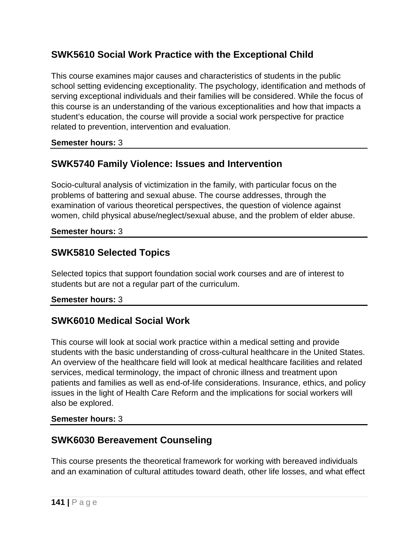# **SWK5610 Social Work Practice with the Exceptional Child**

This course examines major causes and characteristics of students in the public school setting evidencing exceptionality. The psychology, identification and methods of serving exceptional individuals and their families will be considered. While the focus of this course is an understanding of the various exceptionalities and how that impacts a student's education, the course will provide a social work perspective for practice related to prevention, intervention and evaluation.

### **Semester hours:** 3

# **SWK5740 Family Violence: Issues and Intervention**

Socio-cultural analysis of victimization in the family, with particular focus on the problems of battering and sexual abuse. The course addresses, through the examination of various theoretical perspectives, the question of violence against women, child physical abuse/neglect/sexual abuse, and the problem of elder abuse.

### **Semester hours:** 3

## **SWK5810 Selected Topics**

Selected topics that support foundation social work courses and are of interest to students but are not a regular part of the curriculum.

### **Semester hours:** 3

# **SWK6010 Medical Social Work**

This course will look at social work practice within a medical setting and provide students with the basic understanding of cross-cultural healthcare in the United States. An overview of the healthcare field will look at medical healthcare facilities and related services, medical terminology, the impact of chronic illness and treatment upon patients and families as well as end-of-life considerations. Insurance, ethics, and policy issues in the light of Health Care Reform and the implications for social workers will also be explored.

### **Semester hours:** 3

## **SWK6030 Bereavement Counseling**

This course presents the theoretical framework for working with bereaved individuals and an examination of cultural attitudes toward death, other life losses, and what effect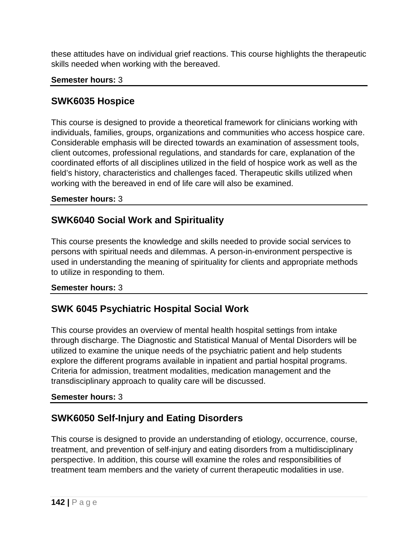these attitudes have on individual grief reactions. This course highlights the therapeutic skills needed when working with the bereaved.

### **Semester hours:** 3

## **SWK6035 Hospice**

This course is designed to provide a theoretical framework for clinicians working with individuals, families, groups, organizations and communities who access hospice care. Considerable emphasis will be directed towards an examination of assessment tools, client outcomes, professional regulations, and standards for care, explanation of the coordinated efforts of all disciplines utilized in the field of hospice work as well as the field's history, characteristics and challenges faced. Therapeutic skills utilized when working with the bereaved in end of life care will also be examined.

### **Semester hours:** 3

# **SWK6040 Social Work and Spirituality**

This course presents the knowledge and skills needed to provide social services to persons with spiritual needs and dilemmas. A person-in-environment perspective is used in understanding the meaning of spirituality for clients and appropriate methods to utilize in responding to them.

### **Semester hours:** 3

# **SWK 6045 Psychiatric Hospital Social Work**

This course provides an overview of mental health hospital settings from intake through discharge. The Diagnostic and Statistical Manual of Mental Disorders will be utilized to examine the unique needs of the psychiatric patient and help students explore the different programs available in inpatient and partial hospital programs. Criteria for admission, treatment modalities, medication management and the transdisciplinary approach to quality care will be discussed.

### **Semester hours:** 3

# **SWK6050 Self-Injury and Eating Disorders**

This course is designed to provide an understanding of etiology, occurrence, course, treatment, and prevention of self-injury and eating disorders from a multidisciplinary perspective. In addition, this course will examine the roles and responsibilities of treatment team members and the variety of current therapeutic modalities in use.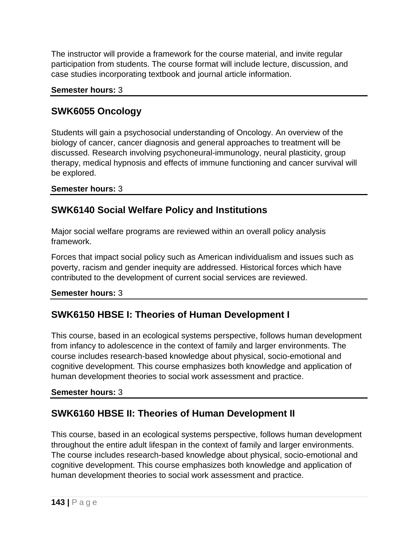The instructor will provide a framework for the course material, and invite regular participation from students. The course format will include lecture, discussion, and case studies incorporating textbook and journal article information.

**Semester hours:** 3

# **SWK6055 Oncology**

Students will gain a psychosocial understanding of Oncology. An overview of the biology of cancer, cancer diagnosis and general approaches to treatment will be discussed. Research involving psychoneural-immunology, neural plasticity, group therapy, medical hypnosis and effects of immune functioning and cancer survival will be explored.

**Semester hours:** 3

# **SWK6140 Social Welfare Policy and Institutions**

Major social welfare programs are reviewed within an overall policy analysis framework.

Forces that impact social policy such as American individualism and issues such as poverty, racism and gender inequity are addressed. Historical forces which have contributed to the development of current social services are reviewed.

**Semester hours:** 3

# **SWK6150 HBSE I: Theories of Human Development I**

This course, based in an ecological systems perspective, follows human development from infancy to adolescence in the context of family and larger environments. The course includes research-based knowledge about physical, socio-emotional and cognitive development. This course emphasizes both knowledge and application of human development theories to social work assessment and practice.

### **Semester hours:** 3

# **SWK6160 HBSE II: Theories of Human Development II**

This course, based in an ecological systems perspective, follows human development throughout the entire adult lifespan in the context of family and larger environments. The course includes research-based knowledge about physical, socio-emotional and cognitive development. This course emphasizes both knowledge and application of human development theories to social work assessment and practice.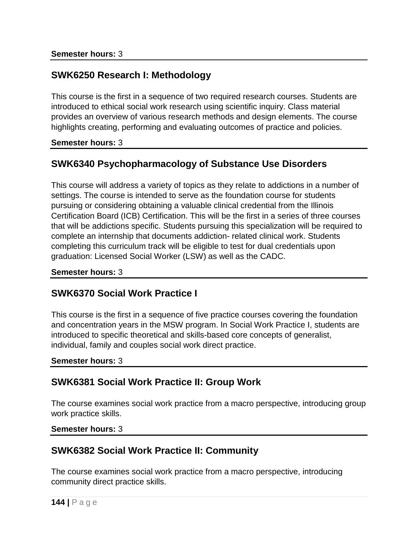# **SWK6250 Research I: Methodology**

This course is the first in a sequence of two required research courses. Students are introduced to ethical social work research using scientific inquiry. Class material provides an overview of various research methods and design elements. The course highlights creating, performing and evaluating outcomes of practice and policies.

**Semester hours:** 3

# **SWK6340 Psychopharmacology of Substance Use Disorders**

This course will address a variety of topics as they relate to addictions in a number of settings. The course is intended to serve as the foundation course for students pursuing or considering obtaining a valuable clinical credential from the Illinois Certification Board (ICB) Certification. This will be the first in a series of three courses that will be addictions specific. Students pursuing this specialization will be required to complete an internship that documents addiction- related clinical work. Students completing this curriculum track will be eligible to test for dual credentials upon graduation: Licensed Social Worker (LSW) as well as the CADC.

#### **Semester hours:** 3

## **SWK6370 Social Work Practice I**

This course is the first in a sequence of five practice courses covering the foundation and concentration years in the MSW program. In Social Work Practice I, students are introduced to specific theoretical and skills-based core concepts of generalist, individual, family and couples social work direct practice.

**Semester hours:** 3

## **SWK6381 Social Work Practice II: Group Work**

The course examines social work practice from a macro perspective, introducing group work practice skills.

#### **Semester hours:** 3

## **SWK6382 Social Work Practice II: Community**

The course examines social work practice from a macro perspective, introducing community direct practice skills.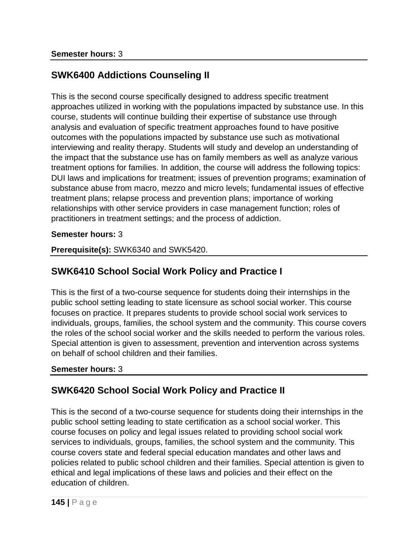# **SWK6400 Addictions Counseling II**

This is the second course specifically designed to address specific treatment approaches utilized in working with the populations impacted by substance use. In this course, students will continue building their expertise of substance use through analysis and evaluation of specific treatment approaches found to have positive outcomes with the populations impacted by substance use such as motivational interviewing and reality therapy. Students will study and develop an understanding of the impact that the substance use has on family members as well as analyze various treatment options for families. In addition, the course will address the following topics: DUI laws and implications for treatment; issues of prevention programs; examination of substance abuse from macro, mezzo and micro levels; fundamental issues of effective treatment plans; relapse process and prevention plans; importance of working relationships with other service providers in case management function; roles of practitioners in treatment settings; and the process of addiction.

#### **Semester hours:** 3

**Prerequisite(s):** SWK6340 and SWK5420.

# **SWK6410 School Social Work Policy and Practice I**

This is the first of a two-course sequence for students doing their internships in the public school setting leading to state licensure as school social worker. This course focuses on practice. It prepares students to provide school social work services to individuals, groups, families, the school system and the community. This course covers the roles of the school social worker and the skills needed to perform the various roles. Special attention is given to assessment, prevention and intervention across systems on behalf of school children and their families.

### **Semester hours:** 3

# **SWK6420 School Social Work Policy and Practice II**

This is the second of a two-course sequence for students doing their internships in the public school setting leading to state certification as a school social worker. This course focuses on policy and legal issues related to providing school social work services to individuals, groups, families, the school system and the community. This course covers state and federal special education mandates and other laws and policies related to public school children and their families. Special attention is given to ethical and legal implications of these laws and policies and their effect on the education of children.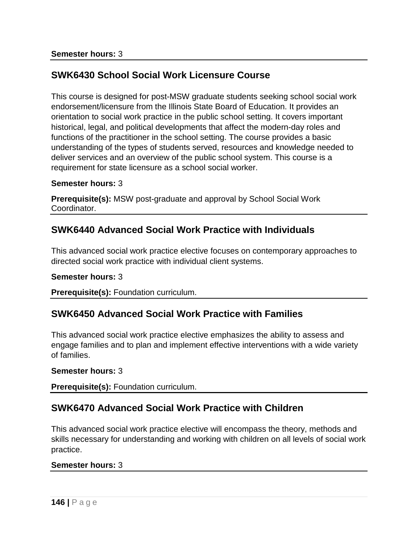# **SWK6430 School Social Work Licensure Course**

This course is designed for post-MSW graduate students seeking school social work endorsement/licensure from the Illinois State Board of Education. It provides an orientation to social work practice in the public school setting. It covers important historical, legal, and political developments that affect the modern-day roles and functions of the practitioner in the school setting. The course provides a basic understanding of the types of students served, resources and knowledge needed to deliver services and an overview of the public school system. This course is a requirement for state licensure as a school social worker.

#### **Semester hours:** 3

**Prerequisite(s):** MSW post-graduate and approval by School Social Work Coordinator.

## **SWK6440 Advanced Social Work Practice with Individuals**

This advanced social work practice elective focuses on contemporary approaches to directed social work practice with individual client systems.

#### **Semester hours:** 3

**Prerequisite(s):** Foundation curriculum.

### **SWK6450 Advanced Social Work Practice with Families**

This advanced social work practice elective emphasizes the ability to assess and engage families and to plan and implement effective interventions with a wide variety of families.

#### **Semester hours:** 3

**Prerequisite(s):** Foundation curriculum.

# **SWK6470 Advanced Social Work Practice with Children**

This advanced social work practice elective will encompass the theory, methods and skills necessary for understanding and working with children on all levels of social work practice.

#### **Semester hours:** 3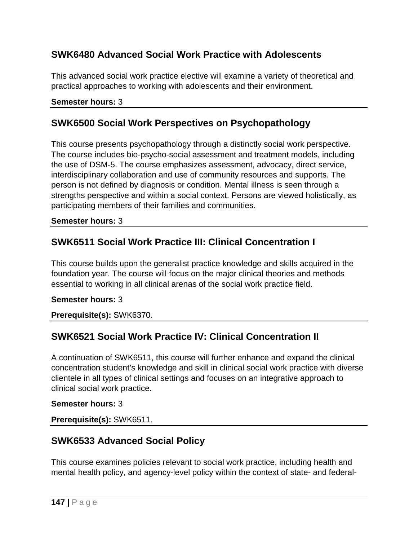# **SWK6480 Advanced Social Work Practice with Adolescents**

This advanced social work practice elective will examine a variety of theoretical and practical approaches to working with adolescents and their environment.

### **Semester hours:** 3

### **SWK6500 Social Work Perspectives on Psychopathology**

This course presents psychopathology through a distinctly social work perspective. The course includes bio-psycho-social assessment and treatment models, including the use of DSM-5. The course emphasizes assessment, advocacy, direct service, interdisciplinary collaboration and use of community resources and supports. The person is not defined by diagnosis or condition. Mental illness is seen through a strengths perspective and within a social context. Persons are viewed holistically, as participating members of their families and communities.

#### **Semester hours:** 3

## **SWK6511 Social Work Practice III: Clinical Concentration I**

This course builds upon the generalist practice knowledge and skills acquired in the foundation year. The course will focus on the major clinical theories and methods essential to working in all clinical arenas of the social work practice field.

#### **Semester hours:** 3

**Prerequisite(s):** SWK6370.

### **SWK6521 Social Work Practice IV: Clinical Concentration II**

A continuation of SWK6511, this course will further enhance and expand the clinical concentration student's knowledge and skill in clinical social work practice with diverse clientele in all types of clinical settings and focuses on an integrative approach to clinical social work practice.

#### **Semester hours:** 3

**Prerequisite(s):** SWK6511.

### **SWK6533 Advanced Social Policy**

This course examines policies relevant to social work practice, including health and mental health policy, and agency-level policy within the context of state- and federal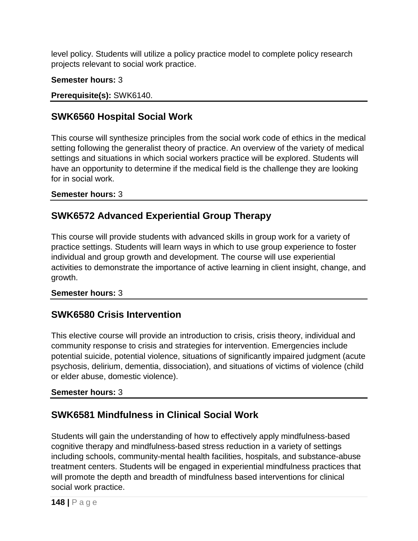level policy. Students will utilize a policy practice model to complete policy research projects relevant to social work practice.

### **Semester hours:** 3

### **Prerequisite(s):** SWK6140.

# **SWK6560 Hospital Social Work**

This course will synthesize principles from the social work code of ethics in the medical setting following the generalist theory of practice. An overview of the variety of medical settings and situations in which social workers practice will be explored. Students will have an opportunity to determine if the medical field is the challenge they are looking for in social work.

### **Semester hours:** 3

# **SWK6572 Advanced Experiential Group Therapy**

This course will provide students with advanced skills in group work for a variety of practice settings. Students will learn ways in which to use group experience to foster individual and group growth and development. The course will use experiential activities to demonstrate the importance of active learning in client insight, change, and growth.

### **Semester hours:** 3

### **SWK6580 Crisis Intervention**

This elective course will provide an introduction to crisis, crisis theory, individual and community response to crisis and strategies for intervention. Emergencies include potential suicide, potential violence, situations of significantly impaired judgment (acute psychosis, delirium, dementia, dissociation), and situations of victims of violence (child or elder abuse, domestic violence).

#### **Semester hours:** 3

# **SWK6581 Mindfulness in Clinical Social Work**

Students will gain the understanding of how to effectively apply mindfulness-based cognitive therapy and mindfulness-based stress reduction in a variety of settings including schools, community-mental health facilities, hospitals, and substance-abuse treatment centers. Students will be engaged in experiential mindfulness practices that will promote the depth and breadth of mindfulness based interventions for clinical social work practice.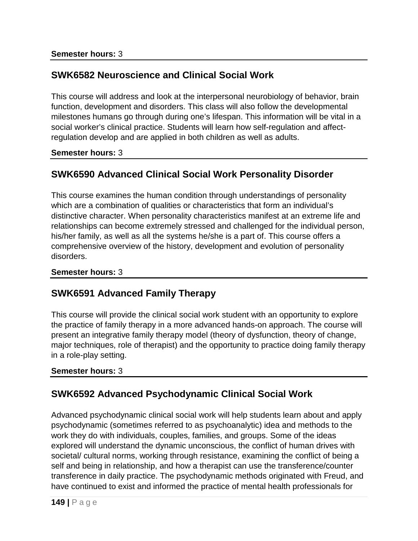# **SWK6582 Neuroscience and Clinical Social Work**

This course will address and look at the interpersonal neurobiology of behavior, brain function, development and disorders. This class will also follow the developmental milestones humans go through during one's lifespan. This information will be vital in a social worker's clinical practice. Students will learn how self-regulation and affectregulation develop and are applied in both children as well as adults.

### **Semester hours:** 3

# **SWK6590 Advanced Clinical Social Work Personality Disorder**

This course examines the human condition through understandings of personality which are a combination of qualities or characteristics that form an individual's distinctive character. When personality characteristics manifest at an extreme life and relationships can become extremely stressed and challenged for the individual person, his/her family, as well as all the systems he/she is a part of. This course offers a comprehensive overview of the history, development and evolution of personality disorders.

### **Semester hours:** 3

### **SWK6591 Advanced Family Therapy**

This course will provide the clinical social work student with an opportunity to explore the practice of family therapy in a more advanced hands-on approach. The course will present an integrative family therapy model (theory of dysfunction, theory of change, major techniques, role of therapist) and the opportunity to practice doing family therapy in a role-play setting.

### **Semester hours:** 3

# **SWK6592 Advanced Psychodynamic Clinical Social Work**

Advanced psychodynamic clinical social work will help students learn about and apply psychodynamic (sometimes referred to as psychoanalytic) idea and methods to the work they do with individuals, couples, families, and groups. Some of the ideas explored will understand the dynamic unconscious, the conflict of human drives with societal/ cultural norms, working through resistance, examining the conflict of being a self and being in relationship, and how a therapist can use the transference/counter transference in daily practice. The psychodynamic methods originated with Freud, and have continued to exist and informed the practice of mental health professionals for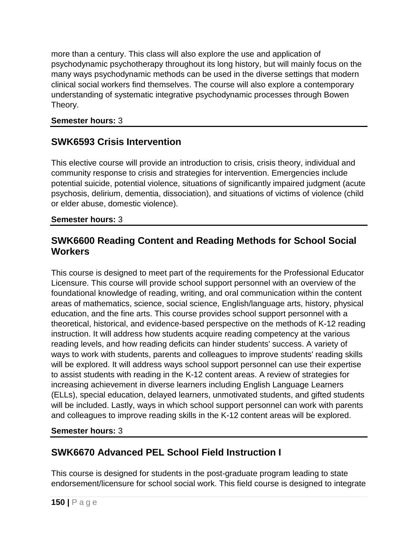more than a century. This class will also explore the use and application of psychodynamic psychotherapy throughout its long history, but will mainly focus on the many ways psychodynamic methods can be used in the diverse settings that modern clinical social workers find themselves. The course will also explore a contemporary understanding of systematic integrative psychodynamic processes through Bowen Theory.

### **Semester hours:** 3

# **SWK6593 Crisis Intervention**

This elective course will provide an introduction to crisis, crisis theory, individual and community response to crisis and strategies for intervention. Emergencies include potential suicide, potential violence, situations of significantly impaired judgment (acute psychosis, delirium, dementia, dissociation), and situations of victims of violence (child or elder abuse, domestic violence).

### **Semester hours:** 3

# **SWK6600 Reading Content and Reading Methods for School Social Workers**

This course is designed to meet part of the requirements for the Professional Educator Licensure. This course will provide school support personnel with an overview of the foundational knowledge of reading, writing, and oral communication within the content areas of mathematics, science, social science, English/language arts, history, physical education, and the fine arts. This course provides school support personnel with a theoretical, historical, and evidence-based perspective on the methods of K-12 reading instruction. It will address how students acquire reading competency at the various reading levels, and how reading deficits can hinder students' success. A variety of ways to work with students, parents and colleagues to improve students' reading skills will be explored. It will address ways school support personnel can use their expertise to assist students with reading in the K-12 content areas. A review of strategies for increasing achievement in diverse learners including English Language Learners (ELLs), special education, delayed learners, unmotivated students, and gifted students will be included. Lastly, ways in which school support personnel can work with parents and colleagues to improve reading skills in the K-12 content areas will be explored.

### **Semester hours:** 3

# **SWK6670 Advanced PEL School Field Instruction I**

This course is designed for students in the post-graduate program leading to state endorsement/licensure for school social work. This field course is designed to integrate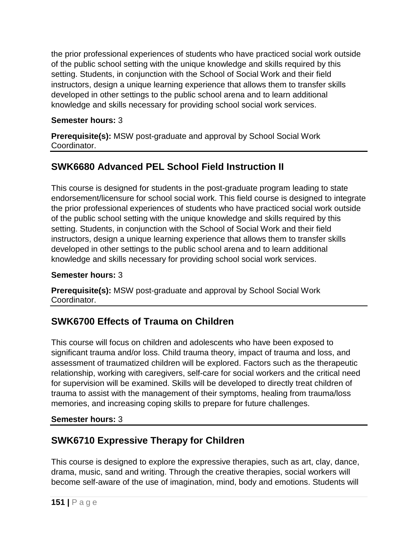the prior professional experiences of students who have practiced social work outside of the public school setting with the unique knowledge and skills required by this setting. Students, in conjunction with the School of Social Work and their field instructors, design a unique learning experience that allows them to transfer skills developed in other settings to the public school arena and to learn additional knowledge and skills necessary for providing school social work services.

### **Semester hours:** 3

**Prerequisite(s):** MSW post-graduate and approval by School Social Work Coordinator.

# **SWK6680 Advanced PEL School Field Instruction II**

This course is designed for students in the post-graduate program leading to state endorsement/licensure for school social work. This field course is designed to integrate the prior professional experiences of students who have practiced social work outside of the public school setting with the unique knowledge and skills required by this setting. Students, in conjunction with the School of Social Work and their field instructors, design a unique learning experience that allows them to transfer skills developed in other settings to the public school arena and to learn additional knowledge and skills necessary for providing school social work services.

### **Semester hours:** 3

**Prerequisite(s):** MSW post-graduate and approval by School Social Work Coordinator.

# **SWK6700 Effects of Trauma on Children**

This course will focus on children and adolescents who have been exposed to significant trauma and/or loss. Child trauma theory, impact of trauma and loss, and assessment of traumatized children will be explored. Factors such as the therapeutic relationship, working with caregivers, self-care for social workers and the critical need for supervision will be examined. Skills will be developed to directly treat children of trauma to assist with the management of their symptoms, healing from trauma/loss memories, and increasing coping skills to prepare for future challenges.

### **Semester hours:** 3

# **SWK6710 Expressive Therapy for Children**

This course is designed to explore the expressive therapies, such as art, clay, dance, drama, music, sand and writing. Through the creative therapies, social workers will become self-aware of the use of imagination, mind, body and emotions. Students will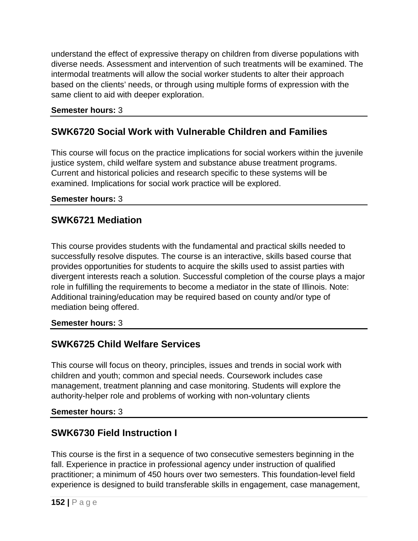understand the effect of expressive therapy on children from diverse populations with diverse needs. Assessment and intervention of such treatments will be examined. The intermodal treatments will allow the social worker students to alter their approach based on the clients' needs, or through using multiple forms of expression with the same client to aid with deeper exploration.

### **Semester hours:** 3

# **SWK6720 Social Work with Vulnerable Children and Families**

This course will focus on the practice implications for social workers within the juvenile justice system, child welfare system and substance abuse treatment programs. Current and historical policies and research specific to these systems will be examined. Implications for social work practice will be explored.

### **Semester hours:** 3

### **SWK6721 Mediation**

This course provides students with the fundamental and practical skills needed to successfully resolve disputes. The course is an interactive, skills based course that provides opportunities for students to acquire the skills used to assist parties with divergent interests reach a solution. Successful completion of the course plays a major role in fulfilling the requirements to become a mediator in the state of Illinois. Note: Additional training/education may be required based on county and/or type of mediation being offered.

#### **Semester hours:** 3

### **SWK6725 Child Welfare Services**

This course will focus on theory, principles, issues and trends in social work with children and youth; common and special needs. Coursework includes case management, treatment planning and case monitoring. Students will explore the authority-helper role and problems of working with non-voluntary clients

#### **Semester hours:** 3

# **SWK6730 Field Instruction I**

This course is the first in a sequence of two consecutive semesters beginning in the fall. Experience in practice in professional agency under instruction of qualified practitioner; a minimum of 450 hours over two semesters. This foundation-level field experience is designed to build transferable skills in engagement, case management,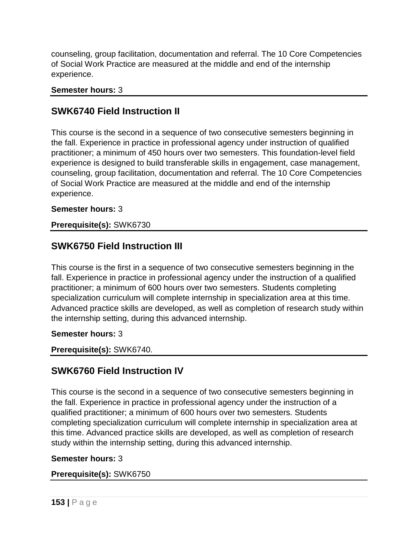counseling, group facilitation, documentation and referral. The 10 Core Competencies of Social Work Practice are measured at the middle and end of the internship experience.

### **Semester hours:** 3

## **SWK6740 Field Instruction II**

This course is the second in a sequence of two consecutive semesters beginning in the fall. Experience in practice in professional agency under instruction of qualified practitioner; a minimum of 450 hours over two semesters. This foundation-level field experience is designed to build transferable skills in engagement, case management, counseling, group facilitation, documentation and referral. The 10 Core Competencies of Social Work Practice are measured at the middle and end of the internship experience.

### **Semester hours:** 3

### **Prerequisite(s):** SWK6730

## **SWK6750 Field Instruction III**

This course is the first in a sequence of two consecutive semesters beginning in the fall. Experience in practice in professional agency under the instruction of a qualified practitioner; a minimum of 600 hours over two semesters. Students completing specialization curriculum will complete internship in specialization area at this time. Advanced practice skills are developed, as well as completion of research study within the internship setting, during this advanced internship.

### **Semester hours:** 3

**Prerequisite(s):** SWK6740.

# **SWK6760 Field Instruction IV**

This course is the second in a sequence of two consecutive semesters beginning in the fall. Experience in practice in professional agency under the instruction of a qualified practitioner; a minimum of 600 hours over two semesters. Students completing specialization curriculum will complete internship in specialization area at this time. Advanced practice skills are developed, as well as completion of research study within the internship setting, during this advanced internship.

### **Semester hours:** 3

### **Prerequisite(s):** SWK6750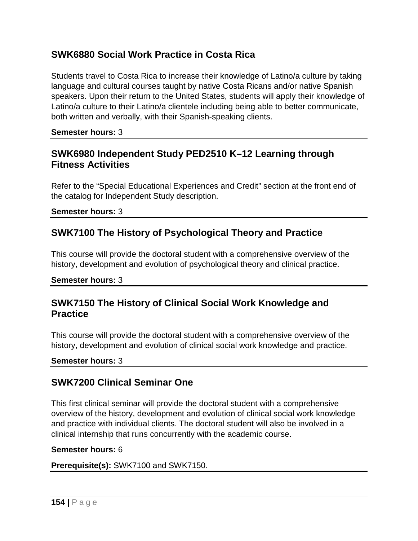# **SWK6880 Social Work Practice in Costa Rica**

Students travel to Costa Rica to increase their knowledge of Latino/a culture by taking language and cultural courses taught by native Costa Ricans and/or native Spanish speakers. Upon their return to the United States, students will apply their knowledge of Latino/a culture to their Latino/a clientele including being able to better communicate, both written and verbally, with their Spanish-speaking clients.

**Semester hours:** 3

### **SWK6980 Independent Study PED2510 K–12 Learning through Fitness Activities**

Refer to the "Special Educational Experiences and Credit" section at the front end of the catalog for Independent Study description.

**Semester hours:** 3

## **SWK7100 The History of Psychological Theory and Practice**

This course will provide the doctoral student with a comprehensive overview of the history, development and evolution of psychological theory and clinical practice.

**Semester hours:** 3

### **SWK7150 The History of Clinical Social Work Knowledge and Practice**

This course will provide the doctoral student with a comprehensive overview of the history, development and evolution of clinical social work knowledge and practice.

### **Semester hours:** 3

### **SWK7200 Clinical Seminar One**

This first clinical seminar will provide the doctoral student with a comprehensive overview of the history, development and evolution of clinical social work knowledge and practice with individual clients. The doctoral student will also be involved in a clinical internship that runs concurrently with the academic course.

#### **Semester hours:** 6

**Prerequisite(s):** SWK7100 and SWK7150.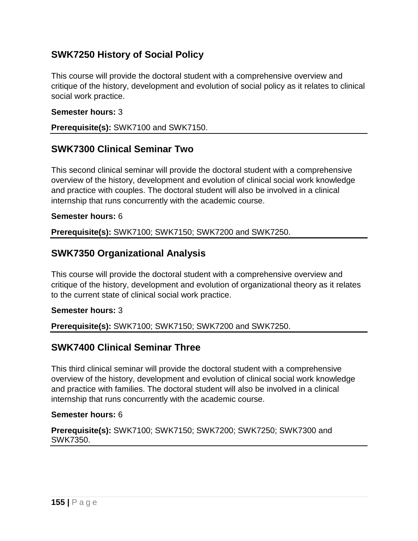# **SWK7250 History of Social Policy**

This course will provide the doctoral student with a comprehensive overview and critique of the history, development and evolution of social policy as it relates to clinical social work practice.

#### **Semester hours:** 3

**Prerequisite(s):** SWK7100 and SWK7150.

### **SWK7300 Clinical Seminar Two**

This second clinical seminar will provide the doctoral student with a comprehensive overview of the history, development and evolution of clinical social work knowledge and practice with couples. The doctoral student will also be involved in a clinical internship that runs concurrently with the academic course.

#### **Semester hours:** 6

**Prerequisite(s):** SWK7100; SWK7150; SWK7200 and SWK7250.

### **SWK7350 Organizational Analysis**

This course will provide the doctoral student with a comprehensive overview and critique of the history, development and evolution of organizational theory as it relates to the current state of clinical social work practice.

#### **Semester hours:** 3

**Prerequisite(s):** SWK7100; SWK7150; SWK7200 and SWK7250.

### **SWK7400 Clinical Seminar Three**

This third clinical seminar will provide the doctoral student with a comprehensive overview of the history, development and evolution of clinical social work knowledge and practice with families. The doctoral student will also be involved in a clinical internship that runs concurrently with the academic course.

#### **Semester hours:** 6

**Prerequisite(s):** SWK7100; SWK7150; SWK7200; SWK7250; SWK7300 and SWK7350.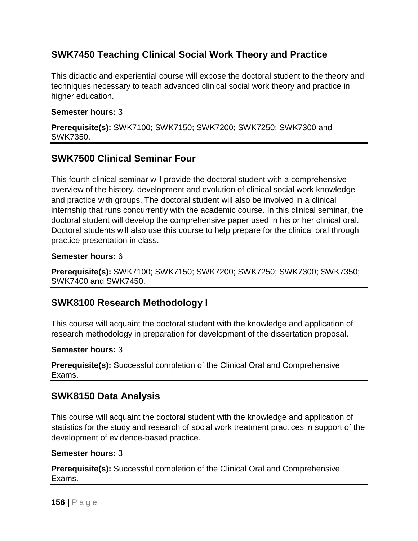# **SWK7450 Teaching Clinical Social Work Theory and Practice**

This didactic and experiential course will expose the doctoral student to the theory and techniques necessary to teach advanced clinical social work theory and practice in higher education.

#### **Semester hours:** 3

**Prerequisite(s):** SWK7100; SWK7150; SWK7200; SWK7250; SWK7300 and SWK7350.

### **SWK7500 Clinical Seminar Four**

This fourth clinical seminar will provide the doctoral student with a comprehensive overview of the history, development and evolution of clinical social work knowledge and practice with groups. The doctoral student will also be involved in a clinical internship that runs concurrently with the academic course. In this clinical seminar, the doctoral student will develop the comprehensive paper used in his or her clinical oral. Doctoral students will also use this course to help prepare for the clinical oral through practice presentation in class.

#### **Semester hours:** 6

**Prerequisite(s):** SWK7100; SWK7150; SWK7200; SWK7250; SWK7300; SWK7350; SWK7400 and SWK7450.

# **SWK8100 Research Methodology I**

This course will acquaint the doctoral student with the knowledge and application of research methodology in preparation for development of the dissertation proposal.

### **Semester hours:** 3

**Prerequisite(s):** Successful completion of the Clinical Oral and Comprehensive Exams.

### **SWK8150 Data Analysis**

This course will acquaint the doctoral student with the knowledge and application of statistics for the study and research of social work treatment practices in support of the development of evidence-based practice.

#### **Semester hours:** 3

**Prerequisite(s):** Successful completion of the Clinical Oral and Comprehensive Exams.